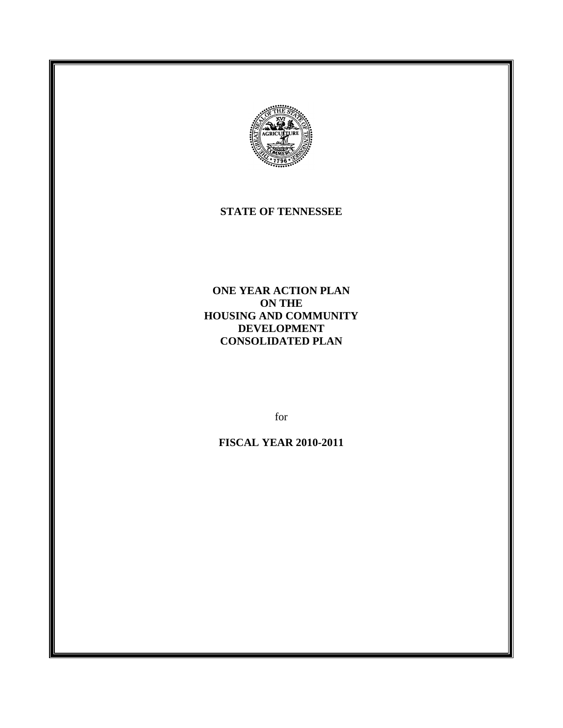

### **STATE OF TENNESSEE**

**ONE YEAR ACTION PLAN ON THE HOUSING AND COMMUNITY DEVELOPMENT CONSOLIDATED PLAN**

for

**FISCAL YEAR 2010-2011**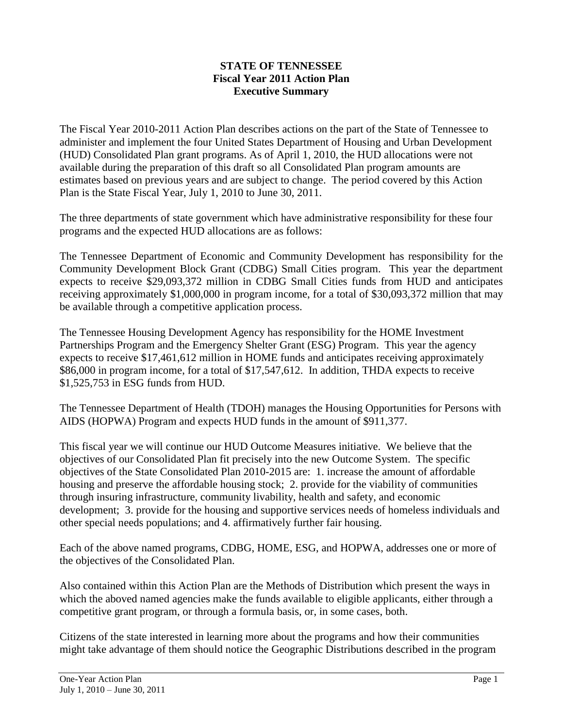### **STATE OF TENNESSEE Fiscal Year 2011 Action Plan Executive Summary**

The Fiscal Year 2010-2011 Action Plan describes actions on the part of the State of Tennessee to administer and implement the four United States Department of Housing and Urban Development (HUD) Consolidated Plan grant programs. As of April 1, 2010, the HUD allocations were not available during the preparation of this draft so all Consolidated Plan program amounts are estimates based on previous years and are subject to change. The period covered by this Action Plan is the State Fiscal Year, July 1, 2010 to June 30, 2011.

The three departments of state government which have administrative responsibility for these four programs and the expected HUD allocations are as follows:

The Tennessee Department of Economic and Community Development has responsibility for the Community Development Block Grant (CDBG) Small Cities program. This year the department expects to receive \$29,093,372 million in CDBG Small Cities funds from HUD and anticipates receiving approximately \$1,000,000 in program income, for a total of \$30,093,372 million that may be available through a competitive application process.

The Tennessee Housing Development Agency has responsibility for the HOME Investment Partnerships Program and the Emergency Shelter Grant (ESG) Program. This year the agency expects to receive \$17,461,612 million in HOME funds and anticipates receiving approximately \$86,000 in program income, for a total of \$17,547,612. In addition, THDA expects to receive \$1,525,753 in ESG funds from HUD.

The Tennessee Department of Health (TDOH) manages the Housing Opportunities for Persons with AIDS (HOPWA) Program and expects HUD funds in the amount of \$911,377.

This fiscal year we will continue our HUD Outcome Measures initiative. We believe that the objectives of our Consolidated Plan fit precisely into the new Outcome System. The specific objectives of the State Consolidated Plan 2010-2015 are: 1. increase the amount of affordable housing and preserve the affordable housing stock; 2. provide for the viability of communities through insuring infrastructure, community livability, health and safety, and economic development; 3. provide for the housing and supportive services needs of homeless individuals and other special needs populations; and 4. affirmatively further fair housing.

Each of the above named programs, CDBG, HOME, ESG, and HOPWA, addresses one or more of the objectives of the Consolidated Plan.

Also contained within this Action Plan are the Methods of Distribution which present the ways in which the aboved named agencies make the funds available to eligible applicants, either through a competitive grant program, or through a formula basis, or, in some cases, both.

Citizens of the state interested in learning more about the programs and how their communities might take advantage of them should notice the Geographic Distributions described in the program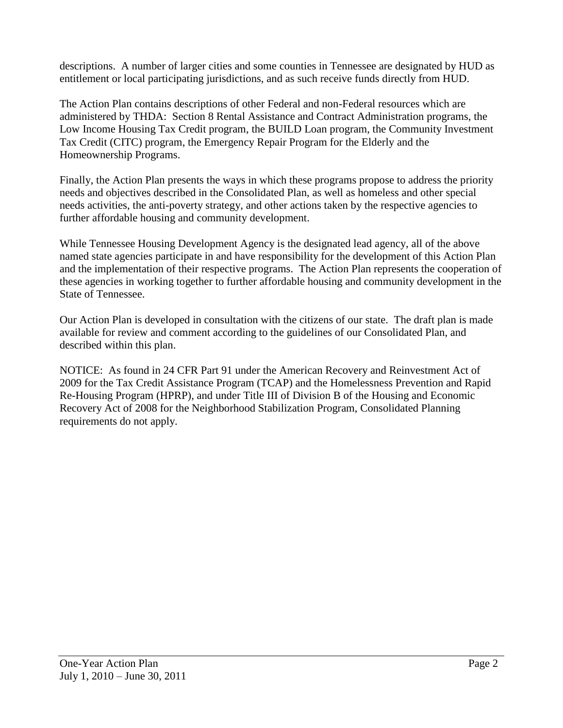descriptions. A number of larger cities and some counties in Tennessee are designated by HUD as entitlement or local participating jurisdictions, and as such receive funds directly from HUD.

The Action Plan contains descriptions of other Federal and non-Federal resources which are administered by THDA: Section 8 Rental Assistance and Contract Administration programs, the Low Income Housing Tax Credit program, the BUILD Loan program, the Community Investment Tax Credit (CITC) program, the Emergency Repair Program for the Elderly and the Homeownership Programs.

Finally, the Action Plan presents the ways in which these programs propose to address the priority needs and objectives described in the Consolidated Plan, as well as homeless and other special needs activities, the anti-poverty strategy, and other actions taken by the respective agencies to further affordable housing and community development.

While Tennessee Housing Development Agency is the designated lead agency, all of the above named state agencies participate in and have responsibility for the development of this Action Plan and the implementation of their respective programs. The Action Plan represents the cooperation of these agencies in working together to further affordable housing and community development in the State of Tennessee.

Our Action Plan is developed in consultation with the citizens of our state. The draft plan is made available for review and comment according to the guidelines of our Consolidated Plan, and described within this plan.

NOTICE: As found in 24 CFR Part 91 under the American Recovery and Reinvestment Act of 2009 for the Tax Credit Assistance Program (TCAP) and the Homelessness Prevention and Rapid Re-Housing Program (HPRP), and under Title III of Division B of the Housing and Economic Recovery Act of 2008 for the Neighborhood Stabilization Program, Consolidated Planning requirements do not apply.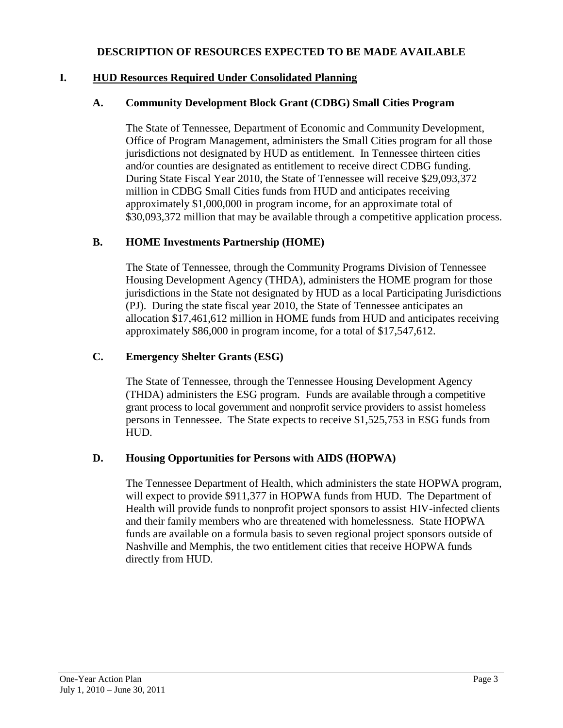#### **DESCRIPTION OF RESOURCES EXPECTED TO BE MADE AVAILABLE**

### **I. HUD Resources Required Under Consolidated Planning**

### **A. Community Development Block Grant (CDBG) Small Cities Program**

The State of Tennessee, Department of Economic and Community Development, Office of Program Management, administers the Small Cities program for all those jurisdictions not designated by HUD as entitlement. In Tennessee thirteen cities and/or counties are designated as entitlement to receive direct CDBG funding. During State Fiscal Year 2010, the State of Tennessee will receive \$29,093,372 million in CDBG Small Cities funds from HUD and anticipates receiving approximately \$1,000,000 in program income, for an approximate total of \$30,093,372 million that may be available through a competitive application process.

### **B. HOME Investments Partnership (HOME)**

The State of Tennessee, through the Community Programs Division of Tennessee Housing Development Agency (THDA), administers the HOME program for those jurisdictions in the State not designated by HUD as a local Participating Jurisdictions (PJ). During the state fiscal year 2010, the State of Tennessee anticipates an allocation \$17,461,612 million in HOME funds from HUD and anticipates receiving approximately \$86,000 in program income, for a total of \$17,547,612.

### **C. Emergency Shelter Grants (ESG)**

The State of Tennessee, through the Tennessee Housing Development Agency (THDA) administers the ESG program. Funds are available through a competitive grant process to local government and nonprofit service providers to assist homeless persons in Tennessee. The State expects to receive \$1,525,753 in ESG funds from HUD.

### **D. Housing Opportunities for Persons with AIDS (HOPWA)**

The Tennessee Department of Health, which administers the state HOPWA program, will expect to provide \$911,377 in HOPWA funds from HUD. The Department of Health will provide funds to nonprofit project sponsors to assist HIV-infected clients and their family members who are threatened with homelessness. State HOPWA funds are available on a formula basis to seven regional project sponsors outside of Nashville and Memphis, the two entitlement cities that receive HOPWA funds directly from HUD.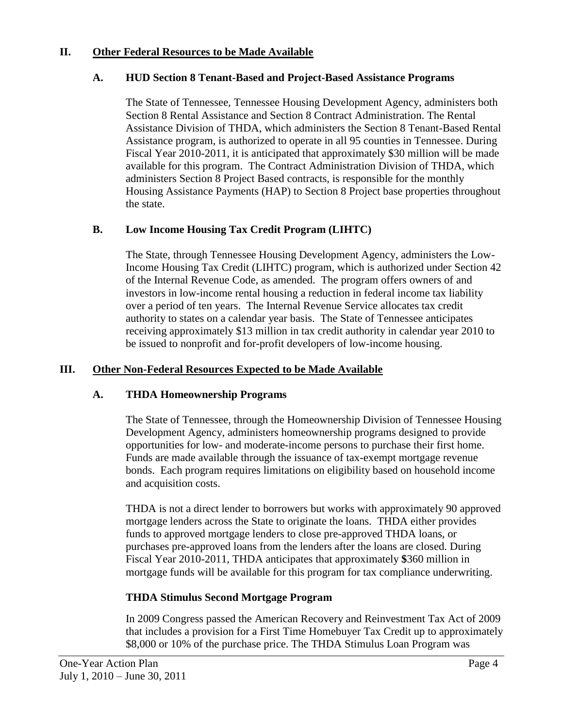### **II. Other Federal Resources to be Made Available**

#### **A. HUD Section 8 Tenant-Based and Project-Based Assistance Programs**

The State of Tennessee, Tennessee Housing Development Agency, administers both Section 8 Rental Assistance and Section 8 Contract Administration. The Rental Assistance Division of THDA, which administers the Section 8 Tenant-Based Rental Assistance program, is authorized to operate in all 95 counties in Tennessee. During Fiscal Year 2010-2011, it is anticipated that approximately \$30 million will be made available for this program. The Contract Administration Division of THDA, which administers Section 8 Project Based contracts, is responsible for the monthly Housing Assistance Payments (HAP) to Section 8 Project base properties throughout the state.

### **B. Low Income Housing Tax Credit Program (LIHTC)**

The State, through Tennessee Housing Development Agency, administers the Low-Income Housing Tax Credit (LIHTC) program, which is authorized under Section 42 of the Internal Revenue Code, as amended. The program offers owners of and investors in low-income rental housing a reduction in federal income tax liability over a period of ten years. The Internal Revenue Service allocates tax credit authority to states on a calendar year basis. The State of Tennessee anticipates receiving approximately \$13 million in tax credit authority in calendar year 2010 to be issued to nonprofit and for-profit developers of low-income housing.

### **III. Other Non-Federal Resources Expected to be Made Available**

### **A. THDA Homeownership Programs**

The State of Tennessee, through the Homeownership Division of Tennessee Housing Development Agency, administers homeownership programs designed to provide opportunities for low- and moderate-income persons to purchase their first home. Funds are made available through the issuance of tax-exempt mortgage revenue bonds. Each program requires limitations on eligibility based on household income and acquisition costs.

THDA is not a direct lender to borrowers but works with approximately 90 approved mortgage lenders across the State to originate the loans. THDA either provides funds to approved mortgage lenders to close pre-approved THDA loans, or purchases pre-approved loans from the lenders after the loans are closed. During Fiscal Year 2010-2011, THDA anticipates that approximately **\$**360 million in mortgage funds will be available for this program for tax compliance underwriting.

### **THDA Stimulus Second Mortgage Program**

In 2009 Congress passed the American Recovery and Reinvestment Tax Act of 2009 that includes a provision for a First Time Homebuyer Tax Credit up to approximately \$8,000 or 10% of the purchase price. The THDA Stimulus Loan Program was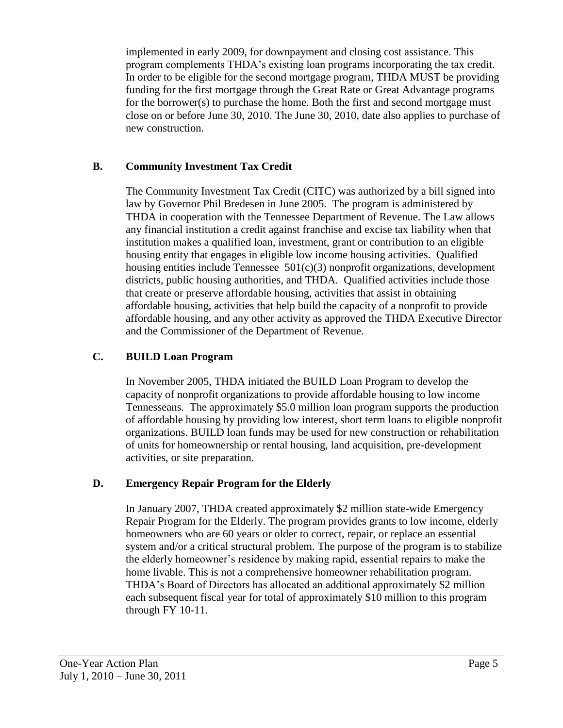implemented in early 2009, for downpayment and closing cost assistance. This program complements THDA's existing loan programs incorporating the tax credit. In order to be eligible for the second mortgage program, THDA MUST be providing funding for the first mortgage through the Great Rate or Great Advantage programs for the borrower(s) to purchase the home. Both the first and second mortgage must close on or before June 30, 2010. The June 30, 2010, date also applies to purchase of new construction.

## **B. Community Investment Tax Credit**

The Community Investment Tax Credit (CITC) was authorized by a bill signed into law by Governor Phil Bredesen in June 2005. The program is administered by THDA in cooperation with the Tennessee Department of Revenue. The Law allows any financial institution a credit against franchise and excise tax liability when that institution makes a qualified loan, investment, grant or contribution to an eligible housing entity that engages in eligible low income housing activities. Qualified housing entities include Tennessee  $501(c)(3)$  nonprofit organizations, development districts, public housing authorities, and THDA. Qualified activities include those that create or preserve affordable housing, activities that assist in obtaining affordable housing, activities that help build the capacity of a nonprofit to provide affordable housing, and any other activity as approved the THDA Executive Director and the Commissioner of the Department of Revenue.

## **C. BUILD Loan Program**

In November 2005, THDA initiated the BUILD Loan Program to develop the capacity of nonprofit organizations to provide affordable housing to low income Tennesseans. The approximately \$5.0 million loan program supports the production of affordable housing by providing low interest, short term loans to eligible nonprofit organizations. BUILD loan funds may be used for new construction or rehabilitation of units for homeownership or rental housing, land acquisition, pre-development activities, or site preparation.

### **D. Emergency Repair Program for the Elderly**

In January 2007, THDA created approximately \$2 million state-wide Emergency Repair Program for the Elderly. The program provides grants to low income, elderly homeowners who are 60 years or older to correct, repair, or replace an essential system and/or a critical structural problem. The purpose of the program is to stabilize the elderly homeowner's residence by making rapid, essential repairs to make the home livable. This is not a comprehensive homeowner rehabilitation program. THDA's Board of Directors has allocated an additional approximately \$2 million each subsequent fiscal year for total of approximately \$10 million to this program through FY 10-11.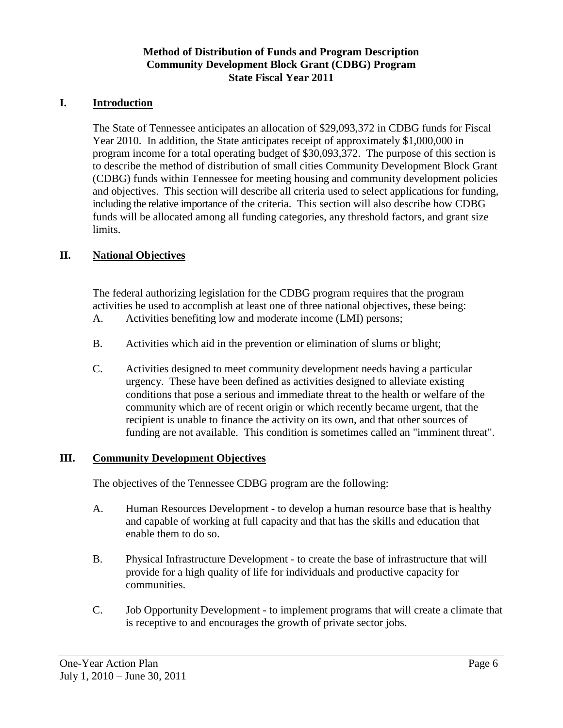### **Method of Distribution of Funds and Program Description Community Development Block Grant (CDBG) Program State Fiscal Year 2011**

### **I. Introduction**

The State of Tennessee anticipates an allocation of \$29,093,372 in CDBG funds for Fiscal Year 2010. In addition, the State anticipates receipt of approximately \$1,000,000 in program income for a total operating budget of \$30,093,372. The purpose of this section is to describe the method of distribution of small cities Community Development Block Grant (CDBG) funds within Tennessee for meeting housing and community development policies and objectives. This section will describe all criteria used to select applications for funding, including the relative importance of the criteria. This section will also describe how CDBG funds will be allocated among all funding categories, any threshold factors, and grant size limits.

### **II. National Objectives**

The federal authorizing legislation for the CDBG program requires that the program activities be used to accomplish at least one of three national objectives, these being: A. Activities benefiting low and moderate income (LMI) persons;

- B. Activities which aid in the prevention or elimination of slums or blight;
- C. Activities designed to meet community development needs having a particular urgency. These have been defined as activities designed to alleviate existing conditions that pose a serious and immediate threat to the health or welfare of the community which are of recent origin or which recently became urgent, that the recipient is unable to finance the activity on its own, and that other sources of funding are not available. This condition is sometimes called an "imminent threat".

#### **III. Community Development Objectives**

The objectives of the Tennessee CDBG program are the following:

- A. Human Resources Development to develop a human resource base that is healthy and capable of working at full capacity and that has the skills and education that enable them to do so.
- B. Physical Infrastructure Development to create the base of infrastructure that will provide for a high quality of life for individuals and productive capacity for communities.
- C. Job Opportunity Development to implement programs that will create a climate that is receptive to and encourages the growth of private sector jobs.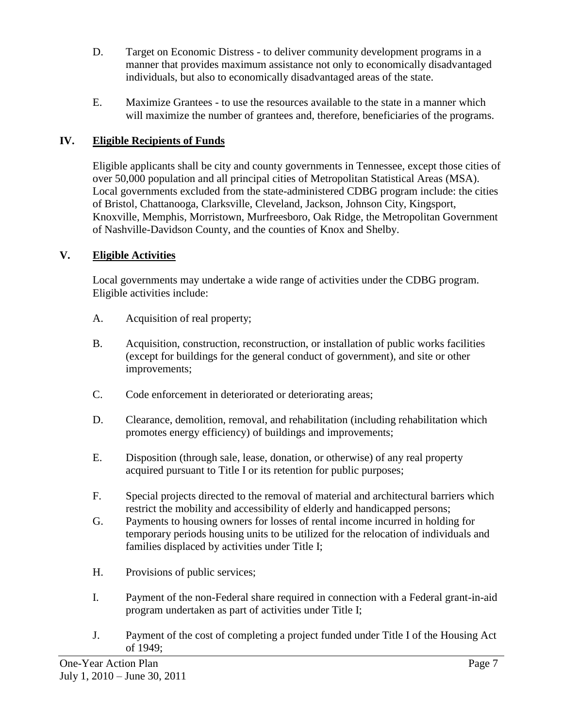- D. Target on Economic Distress to deliver community development programs in a manner that provides maximum assistance not only to economically disadvantaged individuals, but also to economically disadvantaged areas of the state.
- E. Maximize Grantees to use the resources available to the state in a manner which will maximize the number of grantees and, therefore, beneficiaries of the programs.

# **IV. Eligible Recipients of Funds**

Eligible applicants shall be city and county governments in Tennessee, except those cities of over 50,000 population and all principal cities of Metropolitan Statistical Areas (MSA). Local governments excluded from the state-administered CDBG program include: the cities of Bristol, Chattanooga, Clarksville, Cleveland, Jackson, Johnson City, Kingsport, Knoxville, Memphis, Morristown, Murfreesboro, Oak Ridge, the Metropolitan Government of Nashville-Davidson County, and the counties of Knox and Shelby.

# **V. Eligible Activities**

Local governments may undertake a wide range of activities under the CDBG program. Eligible activities include:

- A. Acquisition of real property;
- B. Acquisition, construction, reconstruction, or installation of public works facilities (except for buildings for the general conduct of government), and site or other improvements;
- C. Code enforcement in deteriorated or deteriorating areas;
- D. Clearance, demolition, removal, and rehabilitation (including rehabilitation which promotes energy efficiency) of buildings and improvements;
- E. Disposition (through sale, lease, donation, or otherwise) of any real property acquired pursuant to Title I or its retention for public purposes;
- F. Special projects directed to the removal of material and architectural barriers which restrict the mobility and accessibility of elderly and handicapped persons;
- G. Payments to housing owners for losses of rental income incurred in holding for temporary periods housing units to be utilized for the relocation of individuals and families displaced by activities under Title I;
- H. Provisions of public services;
- I. Payment of the non-Federal share required in connection with a Federal grant-in-aid program undertaken as part of activities under Title I;
- J. Payment of the cost of completing a project funded under Title I of the Housing Act of 1949;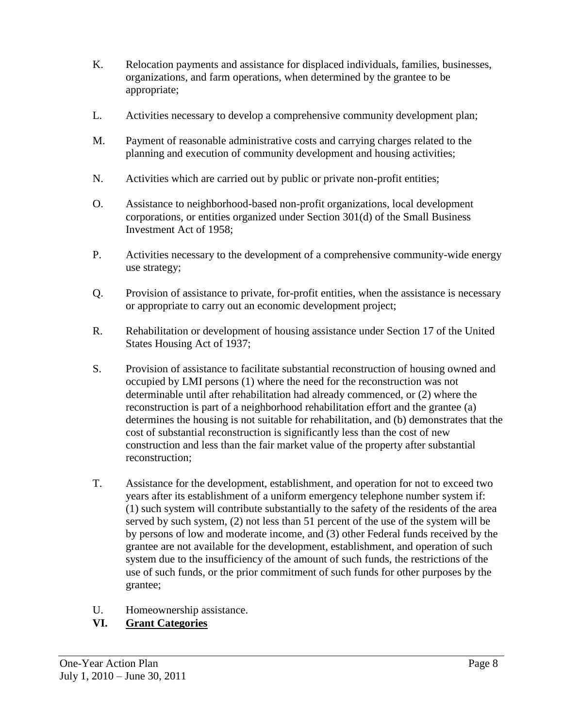- K. Relocation payments and assistance for displaced individuals, families, businesses, organizations, and farm operations, when determined by the grantee to be appropriate;
- L. Activities necessary to develop a comprehensive community development plan;
- M. Payment of reasonable administrative costs and carrying charges related to the planning and execution of community development and housing activities;
- N. Activities which are carried out by public or private non-profit entities;
- O. Assistance to neighborhood-based non-profit organizations, local development corporations, or entities organized under Section 301(d) of the Small Business Investment Act of 1958;
- P. Activities necessary to the development of a comprehensive community-wide energy use strategy;
- Q. Provision of assistance to private, for-profit entities, when the assistance is necessary or appropriate to carry out an economic development project;
- R. Rehabilitation or development of housing assistance under Section 17 of the United States Housing Act of 1937;
- S. Provision of assistance to facilitate substantial reconstruction of housing owned and occupied by LMI persons (1) where the need for the reconstruction was not determinable until after rehabilitation had already commenced, or (2) where the reconstruction is part of a neighborhood rehabilitation effort and the grantee (a) determines the housing is not suitable for rehabilitation, and (b) demonstrates that the cost of substantial reconstruction is significantly less than the cost of new construction and less than the fair market value of the property after substantial reconstruction;
- T. Assistance for the development, establishment, and operation for not to exceed two years after its establishment of a uniform emergency telephone number system if: (1) such system will contribute substantially to the safety of the residents of the area served by such system, (2) not less than 51 percent of the use of the system will be by persons of low and moderate income, and (3) other Federal funds received by the grantee are not available for the development, establishment, and operation of such system due to the insufficiency of the amount of such funds, the restrictions of the use of such funds, or the prior commitment of such funds for other purposes by the grantee;
- U. Homeownership assistance.

# **VI. Grant Categories**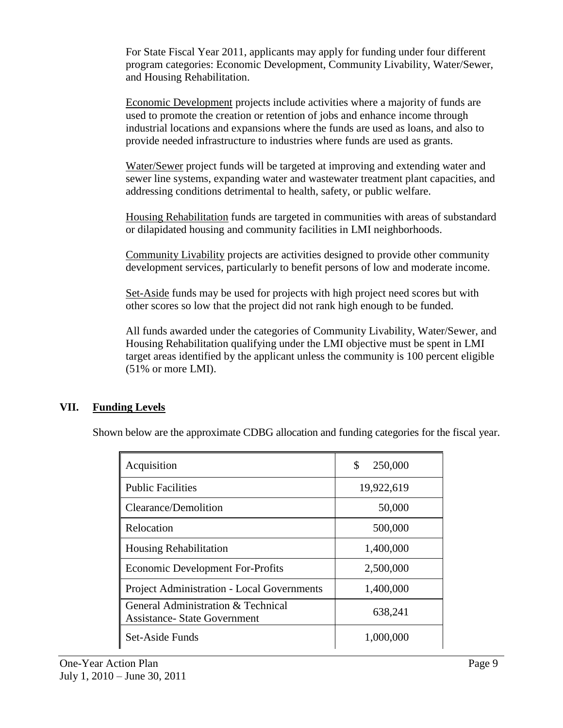For State Fiscal Year 2011, applicants may apply for funding under four different program categories: Economic Development, Community Livability, Water/Sewer, and Housing Rehabilitation.

Economic Development projects include activities where a majority of funds are used to promote the creation or retention of jobs and enhance income through industrial locations and expansions where the funds are used as loans, and also to provide needed infrastructure to industries where funds are used as grants.

Water/Sewer project funds will be targeted at improving and extending water and sewer line systems, expanding water and wastewater treatment plant capacities, and addressing conditions detrimental to health, safety, or public welfare.

Housing Rehabilitation funds are targeted in communities with areas of substandard or dilapidated housing and community facilities in LMI neighborhoods.

Community Livability projects are activities designed to provide other community development services, particularly to benefit persons of low and moderate income.

Set-Aside funds may be used for projects with high project need scores but with other scores so low that the project did not rank high enough to be funded.

All funds awarded under the categories of Community Livability, Water/Sewer, and Housing Rehabilitation qualifying under the LMI objective must be spent in LMI target areas identified by the applicant unless the community is 100 percent eligible (51% or more LMI).

# **VII. Funding Levels**

Shown below are the approximate CDBG allocation and funding categories for the fiscal year.

| Acquisition                                                               | \$<br>250,000 |
|---------------------------------------------------------------------------|---------------|
| <b>Public Facilities</b>                                                  | 19,922,619    |
| Clearance/Demolition                                                      | 50,000        |
| Relocation                                                                | 500,000       |
| <b>Housing Rehabilitation</b>                                             | 1,400,000     |
| <b>Economic Development For-Profits</b>                                   | 2,500,000     |
| <b>Project Administration - Local Governments</b>                         | 1,400,000     |
| General Administration & Technical<br><b>Assistance- State Government</b> | 638,241       |
| Set-Aside Funds                                                           | 1,000,000     |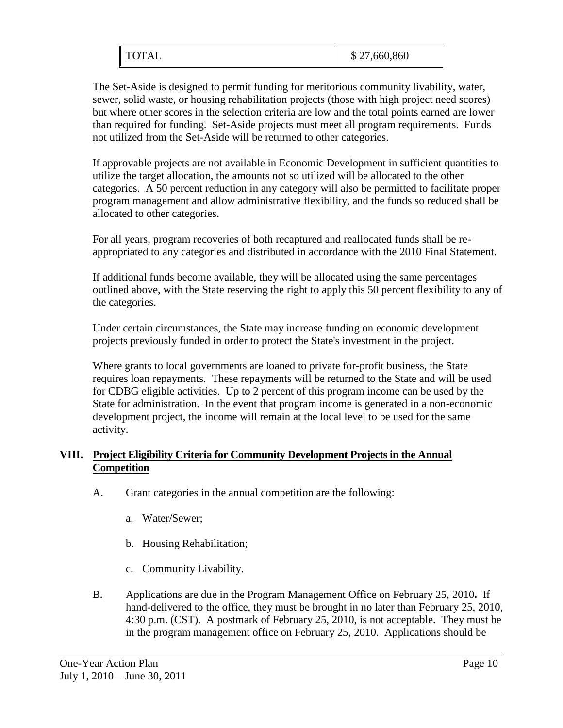| <b>TOTAL</b> | \$27,660,860 |
|--------------|--------------|
|--------------|--------------|

The Set-Aside is designed to permit funding for meritorious community livability, water, sewer, solid waste, or housing rehabilitation projects (those with high project need scores) but where other scores in the selection criteria are low and the total points earned are lower than required for funding. Set-Aside projects must meet all program requirements. Funds not utilized from the Set-Aside will be returned to other categories.

If approvable projects are not available in Economic Development in sufficient quantities to utilize the target allocation, the amounts not so utilized will be allocated to the other categories. A 50 percent reduction in any category will also be permitted to facilitate proper program management and allow administrative flexibility, and the funds so reduced shall be allocated to other categories.

For all years, program recoveries of both recaptured and reallocated funds shall be reappropriated to any categories and distributed in accordance with the 2010 Final Statement.

If additional funds become available, they will be allocated using the same percentages outlined above, with the State reserving the right to apply this 50 percent flexibility to any of the categories.

Under certain circumstances, the State may increase funding on economic development projects previously funded in order to protect the State's investment in the project.

Where grants to local governments are loaned to private for-profit business, the State requires loan repayments. These repayments will be returned to the State and will be used for CDBG eligible activities. Up to 2 percent of this program income can be used by the State for administration. In the event that program income is generated in a non-economic development project, the income will remain at the local level to be used for the same activity.

## **VIII. Project Eligibility Criteria for Community Development Projects in the Annual Competition**

- A. Grant categories in the annual competition are the following:
	- a. Water/Sewer;
	- b. Housing Rehabilitation;
	- c. Community Livability.
- B. Applications are due in the Program Management Office on February 25, 2010**.** If hand-delivered to the office, they must be brought in no later than February 25, 2010, 4:30 p.m. (CST). A postmark of February 25, 2010, is not acceptable. They must be in the program management office on February 25, 2010. Applications should be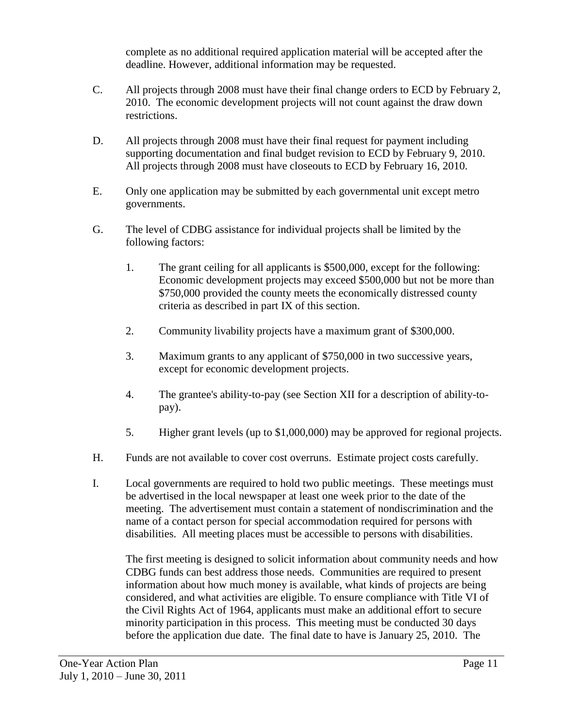complete as no additional required application material will be accepted after the deadline. However, additional information may be requested.

- C. All projects through 2008 must have their final change orders to ECD by February 2, 2010. The economic development projects will not count against the draw down restrictions.
- D. All projects through 2008 must have their final request for payment including supporting documentation and final budget revision to ECD by February 9, 2010. All projects through 2008 must have closeouts to ECD by February 16, 2010.
- E. Only one application may be submitted by each governmental unit except metro governments.
- G. The level of CDBG assistance for individual projects shall be limited by the following factors:
	- 1. The grant ceiling for all applicants is \$500,000, except for the following: Economic development projects may exceed \$500,000 but not be more than \$750,000 provided the county meets the economically distressed county criteria as described in part IX of this section.
	- 2. Community livability projects have a maximum grant of \$300,000.
	- 3. Maximum grants to any applicant of \$750,000 in two successive years, except for economic development projects.
	- 4. The grantee's ability-to-pay (see Section XII for a description of ability-topay).
	- 5. Higher grant levels (up to \$1,000,000) may be approved for regional projects.
- H. Funds are not available to cover cost overruns. Estimate project costs carefully.
- I. Local governments are required to hold two public meetings. These meetings must be advertised in the local newspaper at least one week prior to the date of the meeting. The advertisement must contain a statement of nondiscrimination and the name of a contact person for special accommodation required for persons with disabilities. All meeting places must be accessible to persons with disabilities.

The first meeting is designed to solicit information about community needs and how CDBG funds can best address those needs. Communities are required to present information about how much money is available, what kinds of projects are being considered, and what activities are eligible. To ensure compliance with Title VI of the Civil Rights Act of 1964, applicants must make an additional effort to secure minority participation in this process. This meeting must be conducted 30 days before the application due date. The final date to have is January 25, 2010. The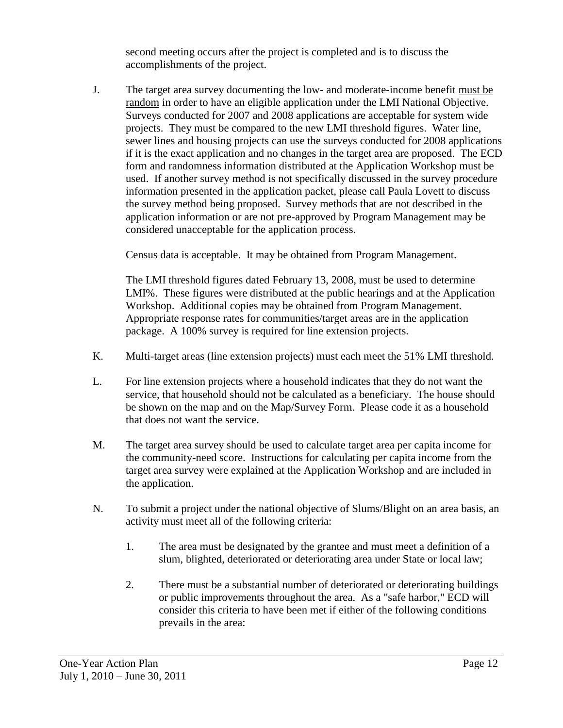second meeting occurs after the project is completed and is to discuss the accomplishments of the project.

J. The target area survey documenting the low- and moderate-income benefit must be random in order to have an eligible application under the LMI National Objective. Surveys conducted for 2007 and 2008 applications are acceptable for system wide projects. They must be compared to the new LMI threshold figures. Water line, sewer lines and housing projects can use the surveys conducted for 2008 applications if it is the exact application and no changes in the target area are proposed. The ECD form and randomness information distributed at the Application Workshop must be used. If another survey method is not specifically discussed in the survey procedure information presented in the application packet, please call Paula Lovett to discuss the survey method being proposed. Survey methods that are not described in the application information or are not pre-approved by Program Management may be considered unacceptable for the application process.

Census data is acceptable. It may be obtained from Program Management.

The LMI threshold figures dated February 13, 2008, must be used to determine LMI%. These figures were distributed at the public hearings and at the Application Workshop. Additional copies may be obtained from Program Management. Appropriate response rates for communities/target areas are in the application package. A 100% survey is required for line extension projects.

- K. Multi-target areas (line extension projects) must each meet the 51% LMI threshold.
- L. For line extension projects where a household indicates that they do not want the service, that household should not be calculated as a beneficiary. The house should be shown on the map and on the Map/Survey Form. Please code it as a household that does not want the service.
- M. The target area survey should be used to calculate target area per capita income for the community-need score. Instructions for calculating per capita income from the target area survey were explained at the Application Workshop and are included in the application.
- N. To submit a project under the national objective of Slums/Blight on an area basis, an activity must meet all of the following criteria:
	- 1. The area must be designated by the grantee and must meet a definition of a slum, blighted, deteriorated or deteriorating area under State or local law;
	- 2. There must be a substantial number of deteriorated or deteriorating buildings or public improvements throughout the area. As a "safe harbor," ECD will consider this criteria to have been met if either of the following conditions prevails in the area: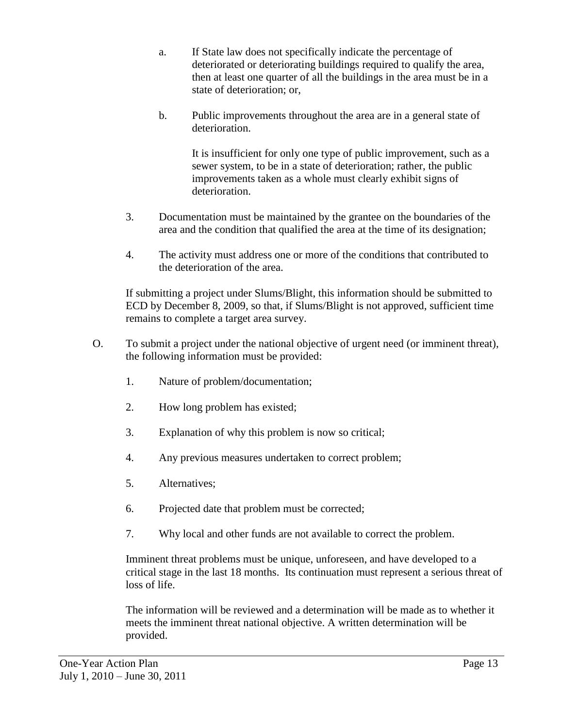- a. If State law does not specifically indicate the percentage of deteriorated or deteriorating buildings required to qualify the area, then at least one quarter of all the buildings in the area must be in a state of deterioration; or,
- b. Public improvements throughout the area are in a general state of deterioration.

It is insufficient for only one type of public improvement, such as a sewer system, to be in a state of deterioration; rather, the public improvements taken as a whole must clearly exhibit signs of deterioration.

- 3. Documentation must be maintained by the grantee on the boundaries of the area and the condition that qualified the area at the time of its designation;
- 4. The activity must address one or more of the conditions that contributed to the deterioration of the area.

If submitting a project under Slums/Blight, this information should be submitted to ECD by December 8, 2009, so that, if Slums/Blight is not approved, sufficient time remains to complete a target area survey.

- O. To submit a project under the national objective of urgent need (or imminent threat), the following information must be provided:
	- 1. Nature of problem/documentation;
	- 2. How long problem has existed;
	- 3. Explanation of why this problem is now so critical;
	- 4. Any previous measures undertaken to correct problem;
	- 5. Alternatives;
	- 6. Projected date that problem must be corrected;
	- 7. Why local and other funds are not available to correct the problem.

Imminent threat problems must be unique, unforeseen, and have developed to a critical stage in the last 18 months. Its continuation must represent a serious threat of loss of life.

The information will be reviewed and a determination will be made as to whether it meets the imminent threat national objective. A written determination will be provided.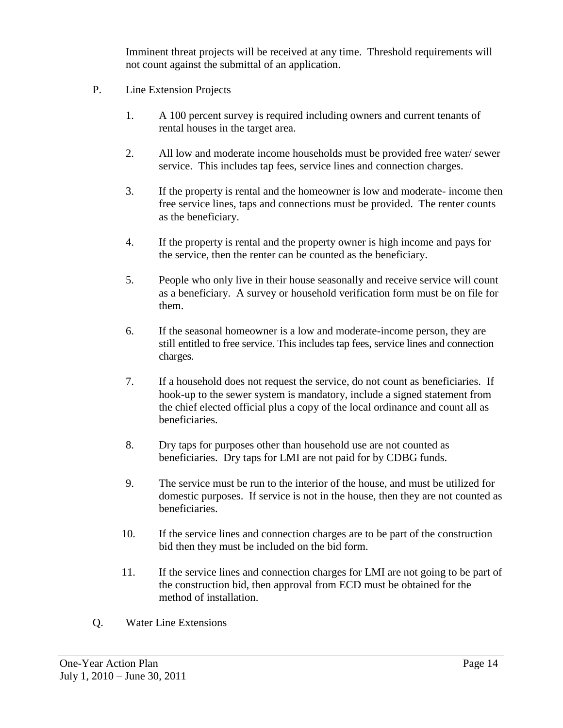Imminent threat projects will be received at any time. Threshold requirements will not count against the submittal of an application.

- P. Line Extension Projects
	- 1. A 100 percent survey is required including owners and current tenants of rental houses in the target area.
	- 2. All low and moderate income households must be provided free water/ sewer service. This includes tap fees, service lines and connection charges.
	- 3. If the property is rental and the homeowner is low and moderate- income then free service lines, taps and connections must be provided. The renter counts as the beneficiary.
	- 4. If the property is rental and the property owner is high income and pays for the service, then the renter can be counted as the beneficiary.
	- 5. People who only live in their house seasonally and receive service will count as a beneficiary. A survey or household verification form must be on file for them.
	- 6. If the seasonal homeowner is a low and moderate-income person, they are still entitled to free service. This includes tap fees, service lines and connection charges.
	- 7. If a household does not request the service, do not count as beneficiaries. If hook-up to the sewer system is mandatory, include a signed statement from the chief elected official plus a copy of the local ordinance and count all as beneficiaries.
	- 8. Dry taps for purposes other than household use are not counted as beneficiaries. Dry taps for LMI are not paid for by CDBG funds.
	- 9. The service must be run to the interior of the house, and must be utilized for domestic purposes. If service is not in the house, then they are not counted as beneficiaries.
	- 10. If the service lines and connection charges are to be part of the construction bid then they must be included on the bid form.
	- 11. If the service lines and connection charges for LMI are not going to be part of the construction bid, then approval from ECD must be obtained for the method of installation.
- Q. Water Line Extensions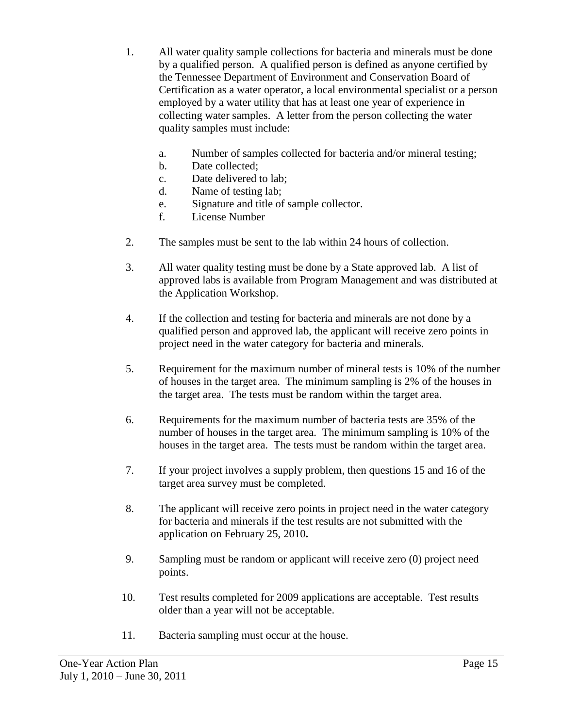- 1. All water quality sample collections for bacteria and minerals must be done by a qualified person. A qualified person is defined as anyone certified by the Tennessee Department of Environment and Conservation Board of Certification as a water operator, a local environmental specialist or a person employed by a water utility that has at least one year of experience in collecting water samples. A letter from the person collecting the water quality samples must include:
	- a. Number of samples collected for bacteria and/or mineral testing;
	- b. Date collected;
	- c. Date delivered to lab;
	- d. Name of testing lab;
	- e. Signature and title of sample collector.
	- f. License Number
- 2. The samples must be sent to the lab within 24 hours of collection.
- 3. All water quality testing must be done by a State approved lab. A list of approved labs is available from Program Management and was distributed at the Application Workshop.
- 4. If the collection and testing for bacteria and minerals are not done by a qualified person and approved lab, the applicant will receive zero points in project need in the water category for bacteria and minerals.
- 5. Requirement for the maximum number of mineral tests is 10% of the number of houses in the target area. The minimum sampling is 2% of the houses in the target area. The tests must be random within the target area.
- 6. Requirements for the maximum number of bacteria tests are 35% of the number of houses in the target area. The minimum sampling is 10% of the houses in the target area. The tests must be random within the target area.
- 7. If your project involves a supply problem, then questions 15 and 16 of the target area survey must be completed.
- 8. The applicant will receive zero points in project need in the water category for bacteria and minerals if the test results are not submitted with the application on February 25, 2010**.**
- 9. Sampling must be random or applicant will receive zero (0) project need points.
- 10. Test results completed for 2009 applications are acceptable. Test results older than a year will not be acceptable.
- 11. Bacteria sampling must occur at the house.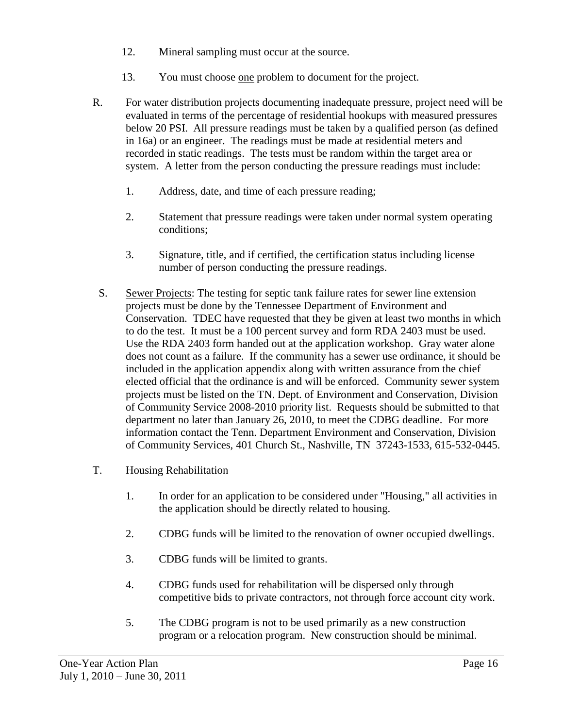- 12. Mineral sampling must occur at the source.
- 13. You must choose one problem to document for the project.
- R. For water distribution projects documenting inadequate pressure, project need will be evaluated in terms of the percentage of residential hookups with measured pressures below 20 PSI. All pressure readings must be taken by a qualified person (as defined in 16a) or an engineer. The readings must be made at residential meters and recorded in static readings. The tests must be random within the target area or system. A letter from the person conducting the pressure readings must include:
	- 1. Address, date, and time of each pressure reading;
	- 2. Statement that pressure readings were taken under normal system operating conditions;
	- 3. Signature, title, and if certified, the certification status including license number of person conducting the pressure readings.
- S. Sewer Projects: The testing for septic tank failure rates for sewer line extension projects must be done by the Tennessee Department of Environment and Conservation. TDEC have requested that they be given at least two months in which to do the test. It must be a 100 percent survey and form RDA 2403 must be used. Use the RDA 2403 form handed out at the application workshop. Gray water alone does not count as a failure. If the community has a sewer use ordinance, it should be included in the application appendix along with written assurance from the chief elected official that the ordinance is and will be enforced. Community sewer system projects must be listed on the TN. Dept. of Environment and Conservation, Division of Community Service 2008-2010 priority list. Requests should be submitted to that department no later than January 26, 2010, to meet the CDBG deadline. For more information contact the Tenn. Department Environment and Conservation, Division of Community Services, 401 Church St., Nashville, TN 37243-1533, 615-532-0445.
- T. Housing Rehabilitation
	- 1. In order for an application to be considered under "Housing," all activities in the application should be directly related to housing.
	- 2. CDBG funds will be limited to the renovation of owner occupied dwellings.
	- 3. CDBG funds will be limited to grants.
	- 4. CDBG funds used for rehabilitation will be dispersed only through competitive bids to private contractors, not through force account city work.
	- 5. The CDBG program is not to be used primarily as a new construction program or a relocation program. New construction should be minimal.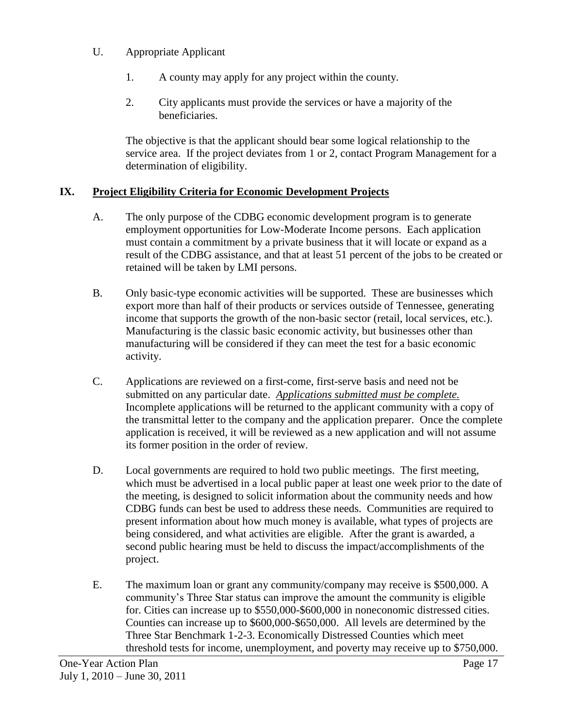- U. Appropriate Applicant
	- 1. A county may apply for any project within the county.
	- 2. City applicants must provide the services or have a majority of the beneficiaries.

The objective is that the applicant should bear some logical relationship to the service area. If the project deviates from 1 or 2, contact Program Management for a determination of eligibility.

## **IX. Project Eligibility Criteria for Economic Development Projects**

- A. The only purpose of the CDBG economic development program is to generate employment opportunities for Low-Moderate Income persons. Each application must contain a commitment by a private business that it will locate or expand as a result of the CDBG assistance, and that at least 51 percent of the jobs to be created or retained will be taken by LMI persons.
- B. Only basic-type economic activities will be supported. These are businesses which export more than half of their products or services outside of Tennessee, generating income that supports the growth of the non-basic sector (retail, local services, etc.). Manufacturing is the classic basic economic activity, but businesses other than manufacturing will be considered if they can meet the test for a basic economic activity.
- C. Applications are reviewed on a first-come, first-serve basis and need not be submitted on any particular date. *Applications submitted must be complete.* Incomplete applications will be returned to the applicant community with a copy of the transmittal letter to the company and the application preparer. Once the complete application is received, it will be reviewed as a new application and will not assume its former position in the order of review.
- D. Local governments are required to hold two public meetings. The first meeting, which must be advertised in a local public paper at least one week prior to the date of the meeting, is designed to solicit information about the community needs and how CDBG funds can best be used to address these needs. Communities are required to present information about how much money is available, what types of projects are being considered, and what activities are eligible. After the grant is awarded, a second public hearing must be held to discuss the impact/accomplishments of the project.
- E. The maximum loan or grant any community/company may receive is \$500,000. A community's Three Star status can improve the amount the community is eligible for. Cities can increase up to \$550,000-\$600,000 in noneconomic distressed cities. Counties can increase up to \$600,000-\$650,000. All levels are determined by the Three Star Benchmark 1-2-3. Economically Distressed Counties which meet threshold tests for income, unemployment, and poverty may receive up to \$750,000.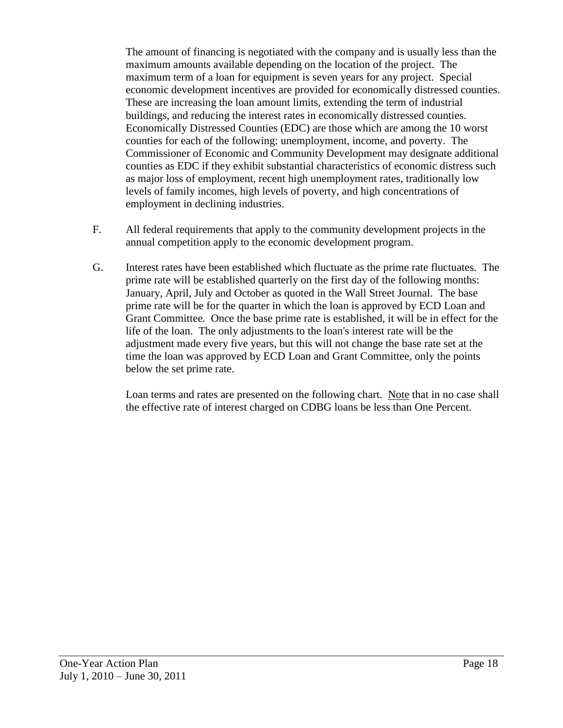The amount of financing is negotiated with the company and is usually less than the maximum amounts available depending on the location of the project. The maximum term of a loan for equipment is seven years for any project. Special economic development incentives are provided for economically distressed counties. These are increasing the loan amount limits, extending the term of industrial buildings, and reducing the interest rates in economically distressed counties. Economically Distressed Counties (EDC) are those which are among the 10 worst counties for each of the following: unemployment, income, and poverty. The Commissioner of Economic and Community Development may designate additional counties as EDC if they exhibit substantial characteristics of economic distress such as major loss of employment, recent high unemployment rates, traditionally low levels of family incomes, high levels of poverty, and high concentrations of employment in declining industries.

- F. All federal requirements that apply to the community development projects in the annual competition apply to the economic development program.
- G. Interest rates have been established which fluctuate as the prime rate fluctuates. The prime rate will be established quarterly on the first day of the following months: January, April, July and October as quoted in the Wall Street Journal. The base prime rate will be for the quarter in which the loan is approved by ECD Loan and Grant Committee. Once the base prime rate is established, it will be in effect for the life of the loan. The only adjustments to the loan's interest rate will be the adjustment made every five years, but this will not change the base rate set at the time the loan was approved by ECD Loan and Grant Committee, only the points below the set prime rate.

Loan terms and rates are presented on the following chart. Note that in no case shall the effective rate of interest charged on CDBG loans be less than One Percent.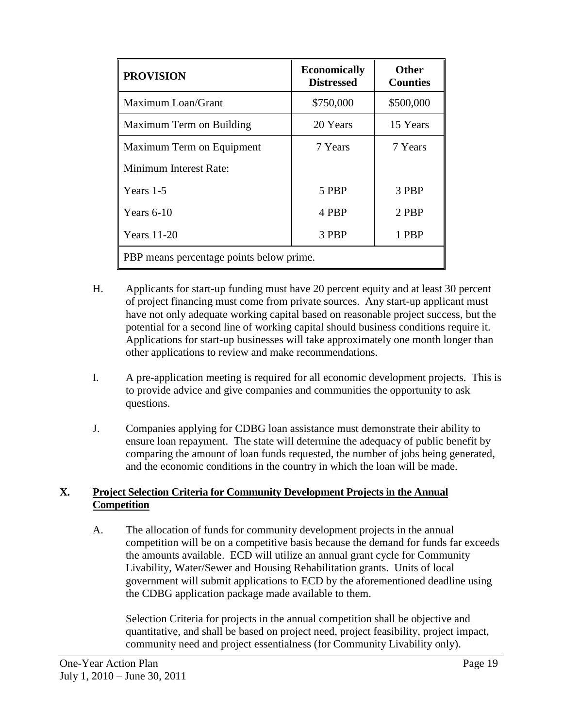| <b>PROVISION</b>                         | <b>Economically</b><br><b>Distressed</b> | <b>Other</b><br><b>Counties</b> |  |
|------------------------------------------|------------------------------------------|---------------------------------|--|
| Maximum Loan/Grant                       | \$750,000                                | \$500,000                       |  |
| Maximum Term on Building                 | 20 Years                                 | 15 Years                        |  |
| Maximum Term on Equipment                | 7 Years                                  | 7 Years                         |  |
| Minimum Interest Rate:                   |                                          |                                 |  |
| Years 1-5                                | 5 PBP                                    | 3 PBP                           |  |
| Years 6-10                               | 4 PBP                                    | 2 PBP                           |  |
| <b>Years</b> 11-20                       | 3 PBP                                    | 1 PBP                           |  |
| PBP means percentage points below prime. |                                          |                                 |  |

- H. Applicants for start-up funding must have 20 percent equity and at least 30 percent of project financing must come from private sources. Any start-up applicant must have not only adequate working capital based on reasonable project success, but the potential for a second line of working capital should business conditions require it. Applications for start-up businesses will take approximately one month longer than other applications to review and make recommendations.
- I. A pre-application meeting is required for all economic development projects. This is to provide advice and give companies and communities the opportunity to ask questions.
- J. Companies applying for CDBG loan assistance must demonstrate their ability to ensure loan repayment. The state will determine the adequacy of public benefit by comparing the amount of loan funds requested, the number of jobs being generated, and the economic conditions in the country in which the loan will be made.

## **X. Project Selection Criteria for Community Development Projects in the Annual Competition**

A. The allocation of funds for community development projects in the annual competition will be on a competitive basis because the demand for funds far exceeds the amounts available. ECD will utilize an annual grant cycle for Community Livability, Water/Sewer and Housing Rehabilitation grants. Units of local government will submit applications to ECD by the aforementioned deadline using the CDBG application package made available to them.

Selection Criteria for projects in the annual competition shall be objective and quantitative, and shall be based on project need, project feasibility, project impact, community need and project essentialness (for Community Livability only).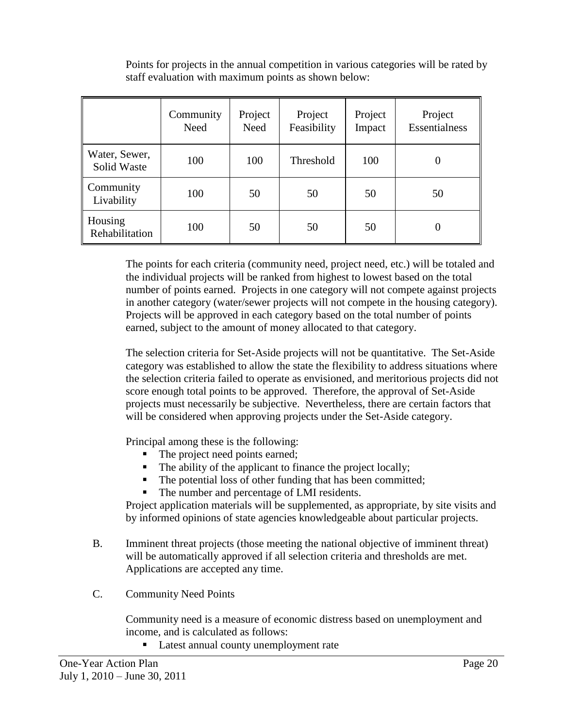|                              | Community<br>Need | Project<br><b>Need</b> | Project<br>Feasibility | Project<br>Impact | Project<br>Essentialness |
|------------------------------|-------------------|------------------------|------------------------|-------------------|--------------------------|
| Water, Sewer,<br>Solid Waste | 100               | 100                    | Threshold              | 100               |                          |
| Community<br>Livability      | 100               | 50                     | 50                     | 50                | 50                       |
| Housing<br>Rehabilitation    | 100               | 50                     | 50                     | 50                | O                        |

Points for projects in the annual competition in various categories will be rated by staff evaluation with maximum points as shown below:

The points for each criteria (community need, project need, etc.) will be totaled and the individual projects will be ranked from highest to lowest based on the total number of points earned. Projects in one category will not compete against projects in another category (water/sewer projects will not compete in the housing category). Projects will be approved in each category based on the total number of points earned, subject to the amount of money allocated to that category.

The selection criteria for Set-Aside projects will not be quantitative. The Set-Aside category was established to allow the state the flexibility to address situations where the selection criteria failed to operate as envisioned, and meritorious projects did not score enough total points to be approved. Therefore, the approval of Set-Aside projects must necessarily be subjective. Nevertheless, there are certain factors that will be considered when approving projects under the Set-Aside category.

Principal among these is the following:

- The project need points earned;
- $\blacksquare$  The ability of the applicant to finance the project locally;
- The potential loss of other funding that has been committed;
- The number and percentage of LMI residents.

Project application materials will be supplemented, as appropriate, by site visits and by informed opinions of state agencies knowledgeable about particular projects.

- B. Imminent threat projects (those meeting the national objective of imminent threat) will be automatically approved if all selection criteria and thresholds are met. Applications are accepted any time.
- C. Community Need Points

Community need is a measure of economic distress based on unemployment and income, and is calculated as follows:

Latest annual county unemployment rate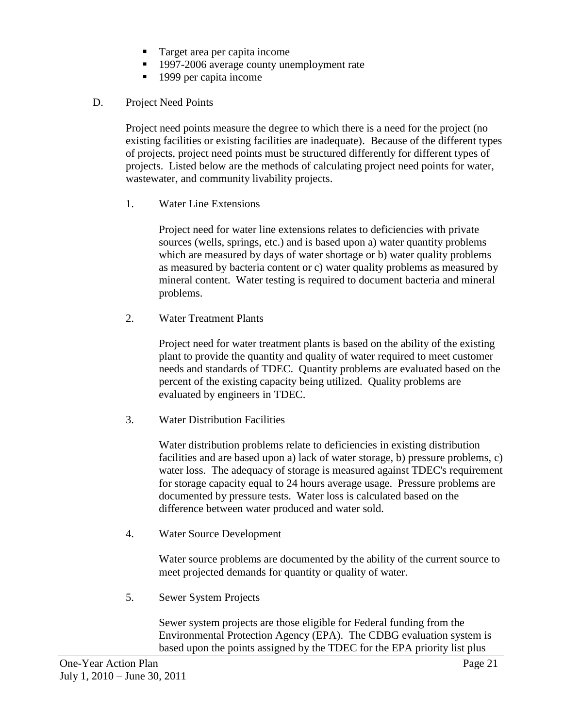- Target area per capita income
- <sup>1997-2006</sup> average county unemployment rate
- 1999 per capita income
- D. Project Need Points

Project need points measure the degree to which there is a need for the project (no existing facilities or existing facilities are inadequate). Because of the different types of projects, project need points must be structured differently for different types of projects. Listed below are the methods of calculating project need points for water, wastewater, and community livability projects.

1. Water Line Extensions

Project need for water line extensions relates to deficiencies with private sources (wells, springs, etc.) and is based upon a) water quantity problems which are measured by days of water shortage or b) water quality problems as measured by bacteria content or c) water quality problems as measured by mineral content. Water testing is required to document bacteria and mineral problems.

2. Water Treatment Plants

Project need for water treatment plants is based on the ability of the existing plant to provide the quantity and quality of water required to meet customer needs and standards of TDEC. Quantity problems are evaluated based on the percent of the existing capacity being utilized. Quality problems are evaluated by engineers in TDEC.

3. Water Distribution Facilities

Water distribution problems relate to deficiencies in existing distribution facilities and are based upon a) lack of water storage, b) pressure problems, c) water loss. The adequacy of storage is measured against TDEC's requirement for storage capacity equal to 24 hours average usage. Pressure problems are documented by pressure tests. Water loss is calculated based on the difference between water produced and water sold.

4. Water Source Development

Water source problems are documented by the ability of the current source to meet projected demands for quantity or quality of water.

5. Sewer System Projects

Sewer system projects are those eligible for Federal funding from the Environmental Protection Agency (EPA). The CDBG evaluation system is based upon the points assigned by the TDEC for the EPA priority list plus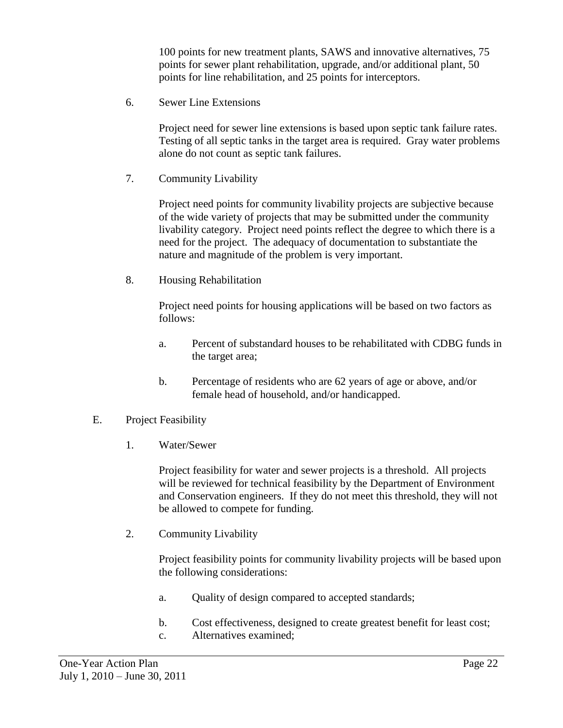100 points for new treatment plants, SAWS and innovative alternatives, 75 points for sewer plant rehabilitation, upgrade, and/or additional plant, 50 points for line rehabilitation, and 25 points for interceptors.

6. Sewer Line Extensions

Project need for sewer line extensions is based upon septic tank failure rates. Testing of all septic tanks in the target area is required. Gray water problems alone do not count as septic tank failures.

7. Community Livability

Project need points for community livability projects are subjective because of the wide variety of projects that may be submitted under the community livability category. Project need points reflect the degree to which there is a need for the project. The adequacy of documentation to substantiate the nature and magnitude of the problem is very important.

8. Housing Rehabilitation

Project need points for housing applications will be based on two factors as follows:

- a. Percent of substandard houses to be rehabilitated with CDBG funds in the target area;
- b. Percentage of residents who are 62 years of age or above, and/or female head of household, and/or handicapped.
- E. Project Feasibility
	- 1. Water/Sewer

Project feasibility for water and sewer projects is a threshold. All projects will be reviewed for technical feasibility by the Department of Environment and Conservation engineers. If they do not meet this threshold, they will not be allowed to compete for funding.

2. Community Livability

Project feasibility points for community livability projects will be based upon the following considerations:

- a. Quality of design compared to accepted standards;
- b. Cost effectiveness, designed to create greatest benefit for least cost;
- c. Alternatives examined;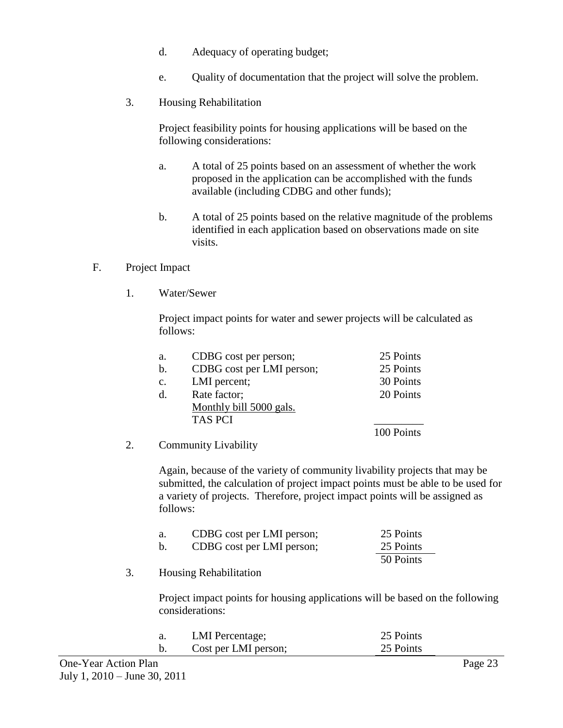- d. Adequacy of operating budget;
- e. Quality of documentation that the project will solve the problem.
- 3. Housing Rehabilitation

Project feasibility points for housing applications will be based on the following considerations:

- a. A total of 25 points based on an assessment of whether the work proposed in the application can be accomplished with the funds available (including CDBG and other funds);
- b. A total of 25 points based on the relative magnitude of the problems identified in each application based on observations made on site visits.

#### F. Project Impact

1. Water/Sewer

Project impact points for water and sewer projects will be calculated as follows:

| a.             | CDBG cost per person;     | 25 Points  |
|----------------|---------------------------|------------|
| $\mathbf{b}$ . | CDBG cost per LMI person; | 25 Points  |
| $\mathbf{c}$ . | LMI percent;              | 30 Points  |
| $d_{\cdot}$    | Rate factor;              | 20 Points  |
|                | Monthly bill 5000 gals.   |            |
|                | <b>TAS PCI</b>            |            |
|                |                           | 100 Points |

2. Community Livability

Again, because of the variety of community livability projects that may be submitted, the calculation of project impact points must be able to be used for a variety of projects. Therefore, project impact points will be assigned as follows:

| а.             | CDBG cost per LMI person; | 25 Points |
|----------------|---------------------------|-----------|
| $\mathbf{b}$ . | CDBG cost per LMI person; | 25 Points |
|                |                           | 50 Points |

3. Housing Rehabilitation

Project impact points for housing applications will be based on the following considerations:

| LMI Percentage;      | 25 Points |
|----------------------|-----------|
| Cost per LMI person; | 25 Points |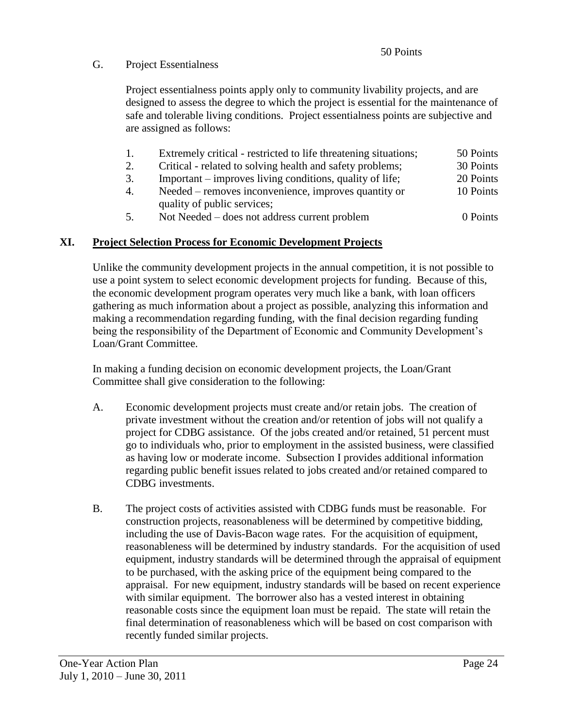# G. Project Essentialness

Project essentialness points apply only to community livability projects, and are designed to assess the degree to which the project is essential for the maintenance of safe and tolerable living conditions. Project essentialness points are subjective and are assigned as follows:

- 1. Extremely critical restricted to life threatening situations; 50 Points
- 2. Critical related to solving health and safety problems; 30 Points
- 3. Important improves living conditions, quality of life; 20 Points
- 4. Needed removes inconvenience, improves quantity or 10 Points quality of public services;
- 5. Not Needed does not address current problem 0 Points

## **XI. Project Selection Process for Economic Development Projects**

Unlike the community development projects in the annual competition, it is not possible to use a point system to select economic development projects for funding. Because of this, the economic development program operates very much like a bank, with loan officers gathering as much information about a project as possible, analyzing this information and making a recommendation regarding funding, with the final decision regarding funding being the responsibility of the Department of Economic and Community Development's Loan/Grant Committee.

In making a funding decision on economic development projects, the Loan/Grant Committee shall give consideration to the following:

- A. Economic development projects must create and/or retain jobs. The creation of private investment without the creation and/or retention of jobs will not qualify a project for CDBG assistance. Of the jobs created and/or retained, 51 percent must go to individuals who, prior to employment in the assisted business, were classified as having low or moderate income. Subsection I provides additional information regarding public benefit issues related to jobs created and/or retained compared to CDBG investments.
- B. The project costs of activities assisted with CDBG funds must be reasonable. For construction projects, reasonableness will be determined by competitive bidding, including the use of Davis-Bacon wage rates. For the acquisition of equipment, reasonableness will be determined by industry standards. For the acquisition of used equipment, industry standards will be determined through the appraisal of equipment to be purchased, with the asking price of the equipment being compared to the appraisal. For new equipment, industry standards will be based on recent experience with similar equipment. The borrower also has a vested interest in obtaining reasonable costs since the equipment loan must be repaid. The state will retain the final determination of reasonableness which will be based on cost comparison with recently funded similar projects.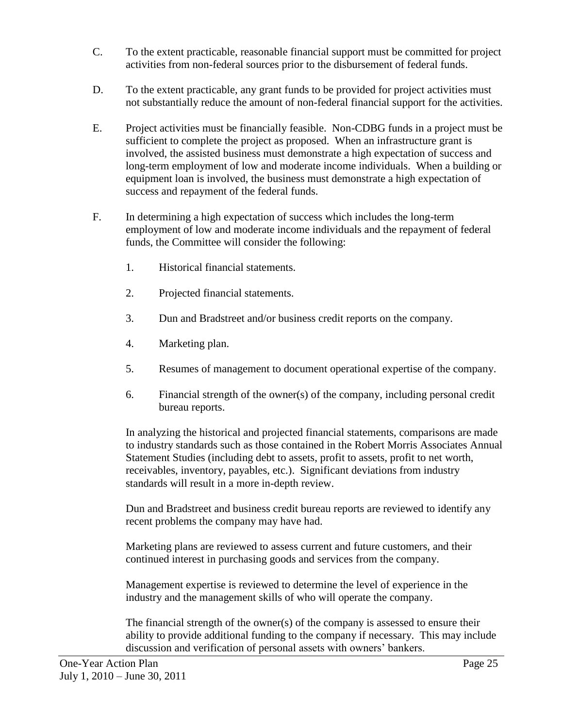- C. To the extent practicable, reasonable financial support must be committed for project activities from non-federal sources prior to the disbursement of federal funds.
- D. To the extent practicable, any grant funds to be provided for project activities must not substantially reduce the amount of non-federal financial support for the activities.
- E. Project activities must be financially feasible. Non-CDBG funds in a project must be sufficient to complete the project as proposed. When an infrastructure grant is involved, the assisted business must demonstrate a high expectation of success and long-term employment of low and moderate income individuals. When a building or equipment loan is involved, the business must demonstrate a high expectation of success and repayment of the federal funds.
- F. In determining a high expectation of success which includes the long-term employment of low and moderate income individuals and the repayment of federal funds, the Committee will consider the following:
	- 1. Historical financial statements.
	- 2. Projected financial statements.
	- 3. Dun and Bradstreet and/or business credit reports on the company.
	- 4. Marketing plan.
	- 5. Resumes of management to document operational expertise of the company.
	- 6. Financial strength of the owner(s) of the company, including personal credit bureau reports.

In analyzing the historical and projected financial statements, comparisons are made to industry standards such as those contained in the Robert Morris Associates Annual Statement Studies (including debt to assets, profit to assets, profit to net worth, receivables, inventory, payables, etc.). Significant deviations from industry standards will result in a more in-depth review.

Dun and Bradstreet and business credit bureau reports are reviewed to identify any recent problems the company may have had.

Marketing plans are reviewed to assess current and future customers, and their continued interest in purchasing goods and services from the company.

Management expertise is reviewed to determine the level of experience in the industry and the management skills of who will operate the company.

The financial strength of the owner(s) of the company is assessed to ensure their ability to provide additional funding to the company if necessary. This may include discussion and verification of personal assets with owners' bankers.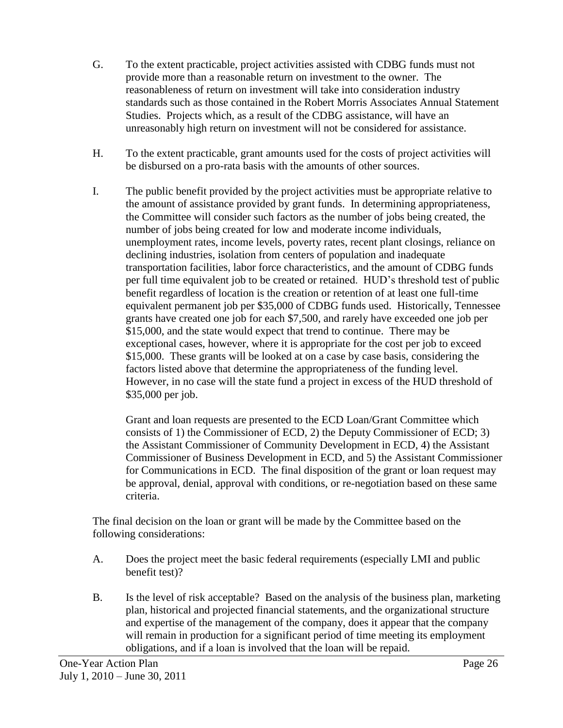- G. To the extent practicable, project activities assisted with CDBG funds must not provide more than a reasonable return on investment to the owner. The reasonableness of return on investment will take into consideration industry standards such as those contained in the Robert Morris Associates Annual Statement Studies. Projects which, as a result of the CDBG assistance, will have an unreasonably high return on investment will not be considered for assistance.
- H. To the extent practicable, grant amounts used for the costs of project activities will be disbursed on a pro-rata basis with the amounts of other sources.
- I. The public benefit provided by the project activities must be appropriate relative to the amount of assistance provided by grant funds. In determining appropriateness, the Committee will consider such factors as the number of jobs being created, the number of jobs being created for low and moderate income individuals, unemployment rates, income levels, poverty rates, recent plant closings, reliance on declining industries, isolation from centers of population and inadequate transportation facilities, labor force characteristics, and the amount of CDBG funds per full time equivalent job to be created or retained. HUD's threshold test of public benefit regardless of location is the creation or retention of at least one full-time equivalent permanent job per \$35,000 of CDBG funds used. Historically, Tennessee grants have created one job for each \$7,500, and rarely have exceeded one job per \$15,000, and the state would expect that trend to continue. There may be exceptional cases, however, where it is appropriate for the cost per job to exceed \$15,000. These grants will be looked at on a case by case basis, considering the factors listed above that determine the appropriateness of the funding level. However, in no case will the state fund a project in excess of the HUD threshold of \$35,000 per job.

Grant and loan requests are presented to the ECD Loan/Grant Committee which consists of 1) the Commissioner of ECD, 2) the Deputy Commissioner of ECD; 3) the Assistant Commissioner of Community Development in ECD, 4) the Assistant Commissioner of Business Development in ECD, and 5) the Assistant Commissioner for Communications in ECD. The final disposition of the grant or loan request may be approval, denial, approval with conditions, or re-negotiation based on these same criteria.

The final decision on the loan or grant will be made by the Committee based on the following considerations:

- A. Does the project meet the basic federal requirements (especially LMI and public benefit test)?
- B. Is the level of risk acceptable? Based on the analysis of the business plan, marketing plan, historical and projected financial statements, and the organizational structure and expertise of the management of the company, does it appear that the company will remain in production for a significant period of time meeting its employment obligations, and if a loan is involved that the loan will be repaid.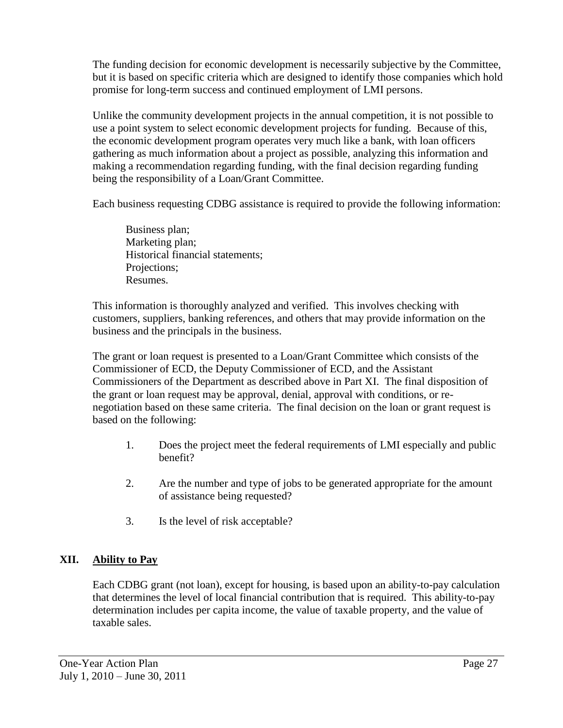The funding decision for economic development is necessarily subjective by the Committee, but it is based on specific criteria which are designed to identify those companies which hold promise for long-term success and continued employment of LMI persons.

Unlike the community development projects in the annual competition, it is not possible to use a point system to select economic development projects for funding. Because of this, the economic development program operates very much like a bank, with loan officers gathering as much information about a project as possible, analyzing this information and making a recommendation regarding funding, with the final decision regarding funding being the responsibility of a Loan/Grant Committee.

Each business requesting CDBG assistance is required to provide the following information:

Business plan; Marketing plan; Historical financial statements; Projections; Resumes.

This information is thoroughly analyzed and verified. This involves checking with customers, suppliers, banking references, and others that may provide information on the business and the principals in the business.

The grant or loan request is presented to a Loan/Grant Committee which consists of the Commissioner of ECD, the Deputy Commissioner of ECD, and the Assistant Commissioners of the Department as described above in Part XI. The final disposition of the grant or loan request may be approval, denial, approval with conditions, or renegotiation based on these same criteria. The final decision on the loan or grant request is based on the following:

- 1. Does the project meet the federal requirements of LMI especially and public benefit?
- 2. Are the number and type of jobs to be generated appropriate for the amount of assistance being requested?
- 3. Is the level of risk acceptable?

# **XII. Ability to Pay**

Each CDBG grant (not loan), except for housing, is based upon an ability-to-pay calculation that determines the level of local financial contribution that is required. This ability-to-pay determination includes per capita income, the value of taxable property, and the value of taxable sales.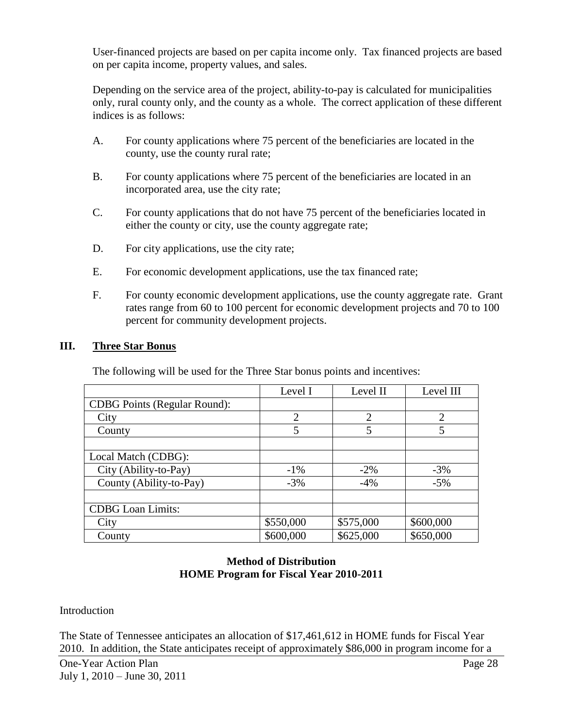User-financed projects are based on per capita income only. Tax financed projects are based on per capita income, property values, and sales.

Depending on the service area of the project, ability-to-pay is calculated for municipalities only, rural county only, and the county as a whole. The correct application of these different indices is as follows:

- A. For county applications where 75 percent of the beneficiaries are located in the county, use the county rural rate;
- B. For county applications where 75 percent of the beneficiaries are located in an incorporated area, use the city rate;
- C. For county applications that do not have 75 percent of the beneficiaries located in either the county or city, use the county aggregate rate;
- D. For city applications, use the city rate;
- E. For economic development applications, use the tax financed rate;
- F. For county economic development applications, use the county aggregate rate. Grant rates range from 60 to 100 percent for economic development projects and 70 to 100 percent for community development projects.

#### **III. Three Star Bonus**

The following will be used for the Three Star bonus points and incentives:

| Level I        | Level II  | Level III      |
|----------------|-----------|----------------|
|                |           |                |
| $\overline{2}$ | 2         | $\overline{2}$ |
| 5              | 5         | 5              |
|                |           |                |
|                |           |                |
| $-1\%$         | $-2\%$    | $-3%$          |
| $-3%$          | $-4%$     | $-5%$          |
|                |           |                |
|                |           |                |
| \$550,000      | \$575,000 | \$600,000      |
| \$600,000      | \$625,000 | \$650,000      |
|                |           |                |

## **Method of Distribution HOME Program for Fiscal Year 2010-2011**

#### Introduction

The State of Tennessee anticipates an allocation of \$17,461,612 in HOME funds for Fiscal Year 2010. In addition, the State anticipates receipt of approximately \$86,000 in program income for a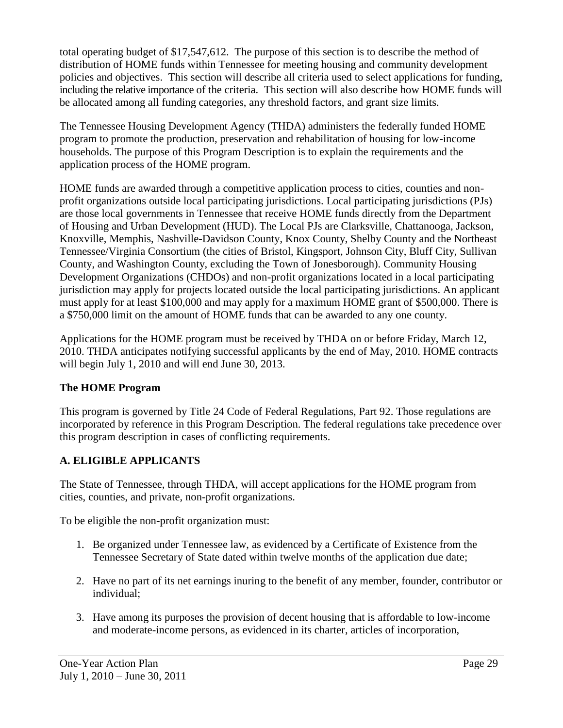total operating budget of \$17,547,612. The purpose of this section is to describe the method of distribution of HOME funds within Tennessee for meeting housing and community development policies and objectives. This section will describe all criteria used to select applications for funding, including the relative importance of the criteria. This section will also describe how HOME funds will be allocated among all funding categories, any threshold factors, and grant size limits.

The Tennessee Housing Development Agency (THDA) administers the federally funded HOME program to promote the production, preservation and rehabilitation of housing for low-income households. The purpose of this Program Description is to explain the requirements and the application process of the HOME program.

HOME funds are awarded through a competitive application process to cities, counties and nonprofit organizations outside local participating jurisdictions. Local participating jurisdictions (PJs) are those local governments in Tennessee that receive HOME funds directly from the Department of Housing and Urban Development (HUD). The Local PJs are Clarksville, Chattanooga, Jackson, Knoxville, Memphis, Nashville-Davidson County, Knox County, Shelby County and the Northeast Tennessee/Virginia Consortium (the cities of Bristol, Kingsport, Johnson City, Bluff City, Sullivan County, and Washington County, excluding the Town of Jonesborough). Community Housing Development Organizations (CHDOs) and non-profit organizations located in a local participating jurisdiction may apply for projects located outside the local participating jurisdictions. An applicant must apply for at least \$100,000 and may apply for a maximum HOME grant of \$500,000. There is a \$750,000 limit on the amount of HOME funds that can be awarded to any one county.

Applications for the HOME program must be received by THDA on or before Friday, March 12, 2010. THDA anticipates notifying successful applicants by the end of May, 2010. HOME contracts will begin July 1, 2010 and will end June 30, 2013.

# **The HOME Program**

This program is governed by Title 24 Code of Federal Regulations, Part 92. Those regulations are incorporated by reference in this Program Description. The federal regulations take precedence over this program description in cases of conflicting requirements.

# **A. ELIGIBLE APPLICANTS**

The State of Tennessee, through THDA, will accept applications for the HOME program from cities, counties, and private, non-profit organizations.

To be eligible the non-profit organization must:

- 1. Be organized under Tennessee law, as evidenced by a Certificate of Existence from the Tennessee Secretary of State dated within twelve months of the application due date;
- 2. Have no part of its net earnings inuring to the benefit of any member, founder, contributor or individual;
- 3. Have among its purposes the provision of decent housing that is affordable to low-income and moderate-income persons, as evidenced in its charter, articles of incorporation,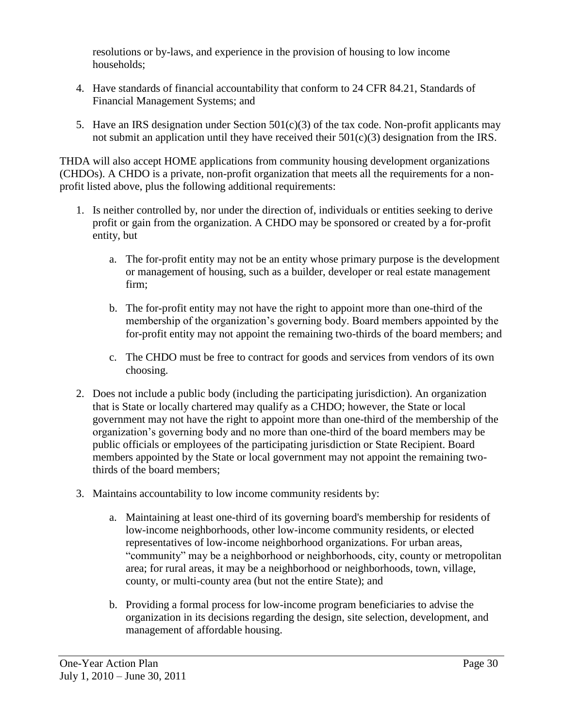resolutions or by-laws, and experience in the provision of housing to low income households;

- 4. Have standards of financial accountability that conform to 24 CFR 84.21, Standards of Financial Management Systems; and
- 5. Have an IRS designation under Section 501(c)(3) of the tax code. Non-profit applicants may not submit an application until they have received their  $501(c)(3)$  designation from the IRS.

THDA will also accept HOME applications from community housing development organizations (CHDOs). A CHDO is a private, non-profit organization that meets all the requirements for a nonprofit listed above, plus the following additional requirements:

- 1. Is neither controlled by, nor under the direction of, individuals or entities seeking to derive profit or gain from the organization. A CHDO may be sponsored or created by a for-profit entity, but
	- a. The for-profit entity may not be an entity whose primary purpose is the development or management of housing, such as a builder, developer or real estate management firm;
	- b. The for-profit entity may not have the right to appoint more than one-third of the membership of the organization's governing body. Board members appointed by the for-profit entity may not appoint the remaining two-thirds of the board members; and
	- c. The CHDO must be free to contract for goods and services from vendors of its own choosing.
- 2. Does not include a public body (including the participating jurisdiction). An organization that is State or locally chartered may qualify as a CHDO; however, the State or local government may not have the right to appoint more than one-third of the membership of the organization's governing body and no more than one-third of the board members may be public officials or employees of the participating jurisdiction or State Recipient. Board members appointed by the State or local government may not appoint the remaining twothirds of the board members;
- 3. Maintains accountability to low income community residents by:
	- a. Maintaining at least one-third of its governing board's membership for residents of low-income neighborhoods, other low-income community residents, or elected representatives of low-income neighborhood organizations. For urban areas, "community" may be a neighborhood or neighborhoods, city, county or metropolitan area; for rural areas, it may be a neighborhood or neighborhoods, town, village, county, or multi-county area (but not the entire State); and
	- b. Providing a formal process for low-income program beneficiaries to advise the organization in its decisions regarding the design, site selection, development, and management of affordable housing.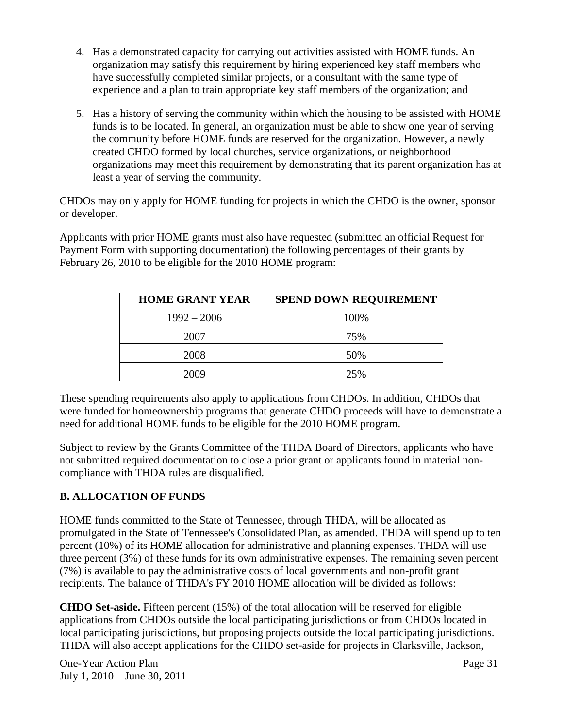- 4. Has a demonstrated capacity for carrying out activities assisted with HOME funds. An organization may satisfy this requirement by hiring experienced key staff members who have successfully completed similar projects, or a consultant with the same type of experience and a plan to train appropriate key staff members of the organization; and
- 5. Has a history of serving the community within which the housing to be assisted with HOME funds is to be located. In general, an organization must be able to show one year of serving the community before HOME funds are reserved for the organization. However, a newly created CHDO formed by local churches, service organizations, or neighborhood organizations may meet this requirement by demonstrating that its parent organization has at least a year of serving the community.

CHDOs may only apply for HOME funding for projects in which the CHDO is the owner, sponsor or developer.

Applicants with prior HOME grants must also have requested (submitted an official Request for Payment Form with supporting documentation) the following percentages of their grants by February 26, 2010 to be eligible for the 2010 HOME program:

| <b>HOME GRANT YEAR</b> | <b>SPEND DOWN REQUIREMENT</b> |
|------------------------|-------------------------------|
| $1992 - 2006$          | 100%                          |
| 2007                   | 75%                           |
| 2008                   | 50%                           |
| 2009                   | 25%                           |

These spending requirements also apply to applications from CHDOs. In addition, CHDOs that were funded for homeownership programs that generate CHDO proceeds will have to demonstrate a need for additional HOME funds to be eligible for the 2010 HOME program.

Subject to review by the Grants Committee of the THDA Board of Directors, applicants who have not submitted required documentation to close a prior grant or applicants found in material noncompliance with THDA rules are disqualified.

# **B. ALLOCATION OF FUNDS**

HOME funds committed to the State of Tennessee, through THDA, will be allocated as promulgated in the State of Tennessee's Consolidated Plan, as amended. THDA will spend up to ten percent (10%) of its HOME allocation for administrative and planning expenses. THDA will use three percent (3%) of these funds for its own administrative expenses. The remaining seven percent (7%) is available to pay the administrative costs of local governments and non-profit grant recipients. The balance of THDA's FY 2010 HOME allocation will be divided as follows:

**CHDO Set-aside.** Fifteen percent (15%) of the total allocation will be reserved for eligible applications from CHDOs outside the local participating jurisdictions or from CHDOs located in local participating jurisdictions, but proposing projects outside the local participating jurisdictions. THDA will also accept applications for the CHDO set-aside for projects in Clarksville, Jackson,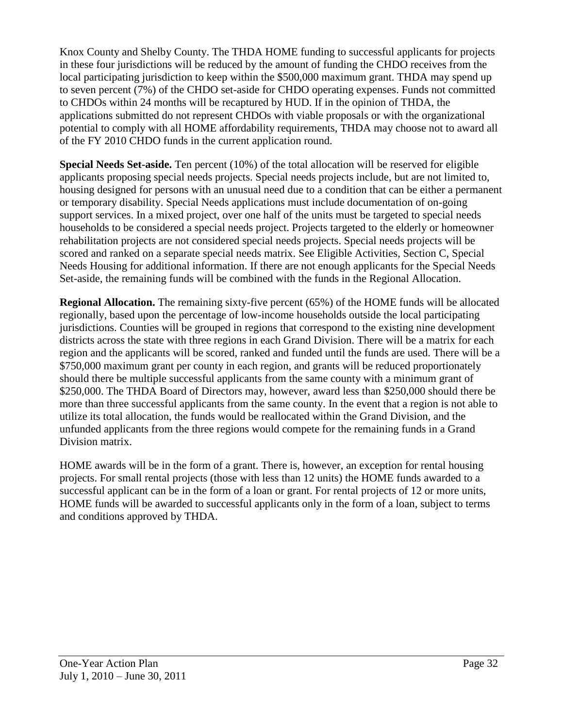Knox County and Shelby County. The THDA HOME funding to successful applicants for projects in these four jurisdictions will be reduced by the amount of funding the CHDO receives from the local participating jurisdiction to keep within the \$500,000 maximum grant. THDA may spend up to seven percent (7%) of the CHDO set-aside for CHDO operating expenses. Funds not committed to CHDOs within 24 months will be recaptured by HUD. If in the opinion of THDA, the applications submitted do not represent CHDOs with viable proposals or with the organizational potential to comply with all HOME affordability requirements, THDA may choose not to award all of the FY 2010 CHDO funds in the current application round.

**Special Needs Set-aside.** Ten percent (10%) of the total allocation will be reserved for eligible applicants proposing special needs projects. Special needs projects include, but are not limited to, housing designed for persons with an unusual need due to a condition that can be either a permanent or temporary disability. Special Needs applications must include documentation of on-going support services. In a mixed project, over one half of the units must be targeted to special needs households to be considered a special needs project. Projects targeted to the elderly or homeowner rehabilitation projects are not considered special needs projects. Special needs projects will be scored and ranked on a separate special needs matrix. See Eligible Activities, Section C, Special Needs Housing for additional information. If there are not enough applicants for the Special Needs Set-aside, the remaining funds will be combined with the funds in the Regional Allocation.

**Regional Allocation.** The remaining sixty-five percent (65%) of the HOME funds will be allocated regionally, based upon the percentage of low-income households outside the local participating jurisdictions. Counties will be grouped in regions that correspond to the existing nine development districts across the state with three regions in each Grand Division. There will be a matrix for each region and the applicants will be scored, ranked and funded until the funds are used. There will be a \$750,000 maximum grant per county in each region, and grants will be reduced proportionately should there be multiple successful applicants from the same county with a minimum grant of \$250,000. The THDA Board of Directors may, however, award less than \$250,000 should there be more than three successful applicants from the same county. In the event that a region is not able to utilize its total allocation, the funds would be reallocated within the Grand Division, and the unfunded applicants from the three regions would compete for the remaining funds in a Grand Division matrix.

HOME awards will be in the form of a grant. There is, however, an exception for rental housing projects. For small rental projects (those with less than 12 units) the HOME funds awarded to a successful applicant can be in the form of a loan or grant. For rental projects of 12 or more units, HOME funds will be awarded to successful applicants only in the form of a loan, subject to terms and conditions approved by THDA.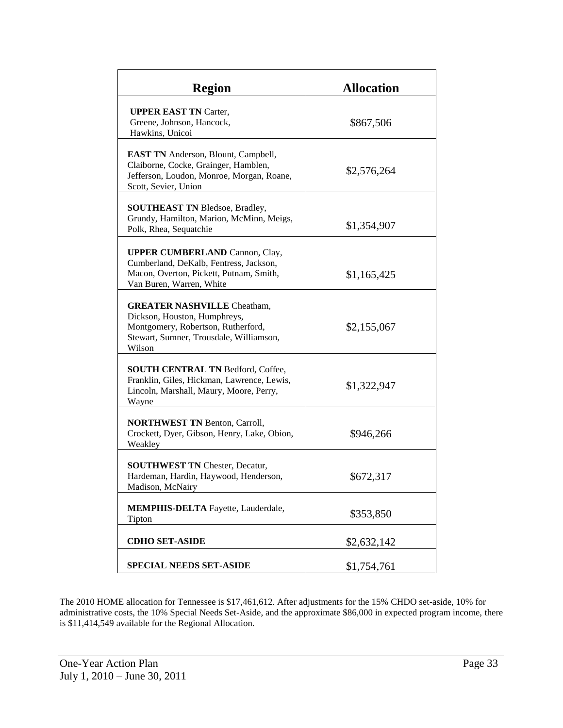| <b>Region</b>                                                                                                                                                 | <b>Allocation</b> |
|---------------------------------------------------------------------------------------------------------------------------------------------------------------|-------------------|
| <b>UPPER EAST TN Carter,</b><br>Greene, Johnson, Hancock,<br>Hawkins, Unicoi                                                                                  | \$867,506         |
| <b>EAST TN</b> Anderson, Blount, Campbell,<br>Claiborne, Cocke, Grainger, Hamblen,<br>Jefferson, Loudon, Monroe, Morgan, Roane,<br>Scott, Sevier, Union       | \$2,576,264       |
| <b>SOUTHEAST TN Bledsoe, Bradley,</b><br>Grundy, Hamilton, Marion, McMinn, Meigs,<br>Polk, Rhea, Sequatchie                                                   | \$1,354,907       |
| <b>UPPER CUMBERLAND Cannon, Clay,</b><br>Cumberland, DeKalb, Fentress, Jackson,<br>Macon, Overton, Pickett, Putnam, Smith,<br>Van Buren, Warren, White        | \$1,165,425       |
| <b>GREATER NASHVILLE Cheatham,</b><br>Dickson, Houston, Humphreys,<br>Montgomery, Robertson, Rutherford,<br>Stewart, Sumner, Trousdale, Williamson,<br>Wilson | \$2,155,067       |
| SOUTH CENTRAL TN Bedford, Coffee,<br>Franklin, Giles, Hickman, Lawrence, Lewis,<br>Lincoln, Marshall, Maury, Moore, Perry,<br>Wayne                           | \$1,322,947       |
| <b>NORTHWEST TN Benton, Carroll,</b><br>Crockett, Dyer, Gibson, Henry, Lake, Obion,<br>Weakley                                                                | \$946,266         |
| <b>SOUTHWEST TN Chester, Decatur,</b><br>Hardeman, Hardin, Haywood, Henderson,<br>Madison, McNairy                                                            | \$672,317         |
| <b>MEMPHIS-DELTA</b> Fayette, Lauderdale,<br>Tipton                                                                                                           | \$353,850         |
| <b>CDHO SET-ASIDE</b>                                                                                                                                         | \$2,632,142       |
| <b>SPECIAL NEEDS SET-ASIDE</b>                                                                                                                                | \$1,754,761       |

The 2010 HOME allocation for Tennessee is \$17,461,612. After adjustments for the 15% CHDO set-aside, 10% for administrative costs, the 10% Special Needs Set-Aside, and the approximate \$86,000 in expected program income, there is \$11,414,549 available for the Regional Allocation.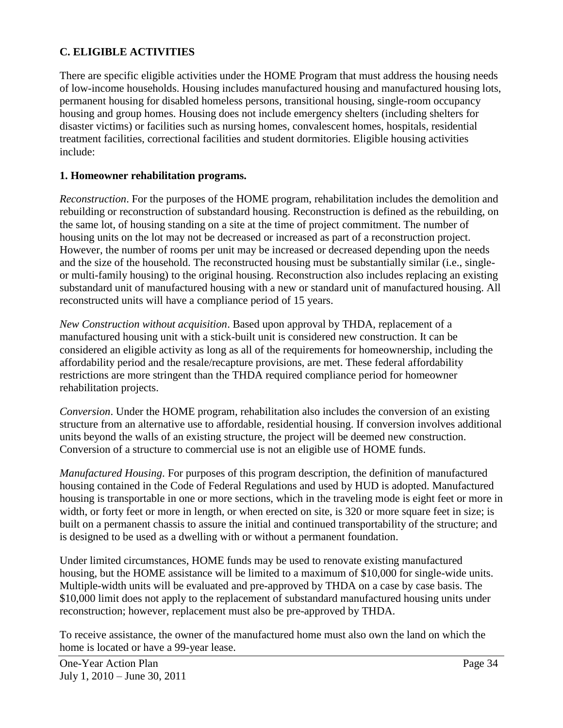### **C. ELIGIBLE ACTIVITIES**

There are specific eligible activities under the HOME Program that must address the housing needs of low-income households. Housing includes manufactured housing and manufactured housing lots, permanent housing for disabled homeless persons, transitional housing, single-room occupancy housing and group homes. Housing does not include emergency shelters (including shelters for disaster victims) or facilities such as nursing homes, convalescent homes, hospitals, residential treatment facilities, correctional facilities and student dormitories. Eligible housing activities include:

#### **1. Homeowner rehabilitation programs.**

*Reconstruction*. For the purposes of the HOME program, rehabilitation includes the demolition and rebuilding or reconstruction of substandard housing. Reconstruction is defined as the rebuilding, on the same lot, of housing standing on a site at the time of project commitment. The number of housing units on the lot may not be decreased or increased as part of a reconstruction project. However, the number of rooms per unit may be increased or decreased depending upon the needs and the size of the household. The reconstructed housing must be substantially similar (i.e., singleor multi-family housing) to the original housing. Reconstruction also includes replacing an existing substandard unit of manufactured housing with a new or standard unit of manufactured housing. All reconstructed units will have a compliance period of 15 years.

*New Construction without acquisition*. Based upon approval by THDA, replacement of a manufactured housing unit with a stick-built unit is considered new construction. It can be considered an eligible activity as long as all of the requirements for homeownership, including the affordability period and the resale/recapture provisions, are met. These federal affordability restrictions are more stringent than the THDA required compliance period for homeowner rehabilitation projects.

*Conversion*. Under the HOME program, rehabilitation also includes the conversion of an existing structure from an alternative use to affordable, residential housing. If conversion involves additional units beyond the walls of an existing structure, the project will be deemed new construction. Conversion of a structure to commercial use is not an eligible use of HOME funds.

*Manufactured Housing*. For purposes of this program description, the definition of manufactured housing contained in the Code of Federal Regulations and used by HUD is adopted. Manufactured housing is transportable in one or more sections, which in the traveling mode is eight feet or more in width, or forty feet or more in length, or when erected on site, is 320 or more square feet in size; is built on a permanent chassis to assure the initial and continued transportability of the structure; and is designed to be used as a dwelling with or without a permanent foundation.

Under limited circumstances, HOME funds may be used to renovate existing manufactured housing, but the HOME assistance will be limited to a maximum of \$10,000 for single-wide units. Multiple-width units will be evaluated and pre-approved by THDA on a case by case basis. The \$10,000 limit does not apply to the replacement of substandard manufactured housing units under reconstruction; however, replacement must also be pre-approved by THDA.

To receive assistance, the owner of the manufactured home must also own the land on which the home is located or have a 99-year lease.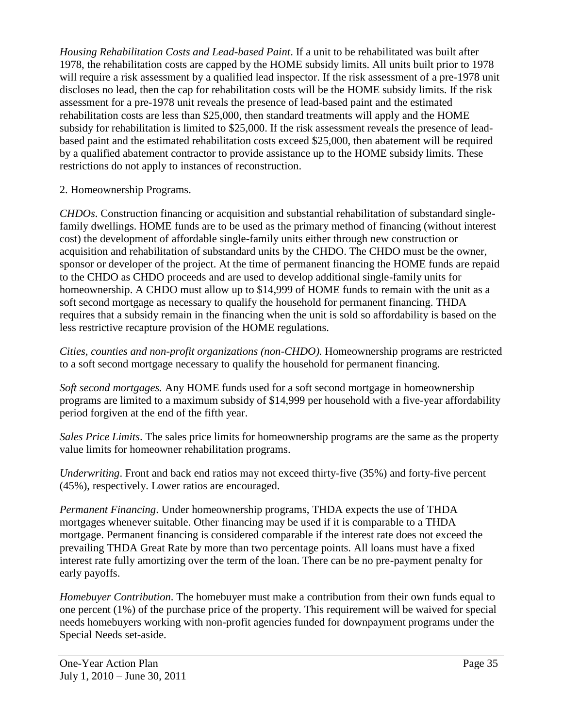*Housing Rehabilitation Costs and Lead-based Paint*. If a unit to be rehabilitated was built after 1978, the rehabilitation costs are capped by the HOME subsidy limits. All units built prior to 1978 will require a risk assessment by a qualified lead inspector. If the risk assessment of a pre-1978 unit discloses no lead, then the cap for rehabilitation costs will be the HOME subsidy limits. If the risk assessment for a pre-1978 unit reveals the presence of lead-based paint and the estimated rehabilitation costs are less than \$25,000, then standard treatments will apply and the HOME subsidy for rehabilitation is limited to \$25,000. If the risk assessment reveals the presence of leadbased paint and the estimated rehabilitation costs exceed \$25,000, then abatement will be required by a qualified abatement contractor to provide assistance up to the HOME subsidy limits. These restrictions do not apply to instances of reconstruction.

2. Homeownership Programs.

*CHDOs*. Construction financing or acquisition and substantial rehabilitation of substandard singlefamily dwellings. HOME funds are to be used as the primary method of financing (without interest cost) the development of affordable single-family units either through new construction or acquisition and rehabilitation of substandard units by the CHDO. The CHDO must be the owner, sponsor or developer of the project. At the time of permanent financing the HOME funds are repaid to the CHDO as CHDO proceeds and are used to develop additional single-family units for homeownership. A CHDO must allow up to \$14,999 of HOME funds to remain with the unit as a soft second mortgage as necessary to qualify the household for permanent financing. THDA requires that a subsidy remain in the financing when the unit is sold so affordability is based on the less restrictive recapture provision of the HOME regulations.

*Cities, counties and non-profit organizations (non-CHDO).* Homeownership programs are restricted to a soft second mortgage necessary to qualify the household for permanent financing.

*Soft second mortgages.* Any HOME funds used for a soft second mortgage in homeownership programs are limited to a maximum subsidy of \$14,999 per household with a five-year affordability period forgiven at the end of the fifth year.

*Sales Price Limits*. The sales price limits for homeownership programs are the same as the property value limits for homeowner rehabilitation programs.

*Underwriting*. Front and back end ratios may not exceed thirty-five (35%) and forty-five percent (45%), respectively. Lower ratios are encouraged.

*Permanent Financing*. Under homeownership programs, THDA expects the use of THDA mortgages whenever suitable. Other financing may be used if it is comparable to a THDA mortgage. Permanent financing is considered comparable if the interest rate does not exceed the prevailing THDA Great Rate by more than two percentage points. All loans must have a fixed interest rate fully amortizing over the term of the loan. There can be no pre-payment penalty for early payoffs.

*Homebuyer Contribution*. The homebuyer must make a contribution from their own funds equal to one percent (1%) of the purchase price of the property. This requirement will be waived for special needs homebuyers working with non-profit agencies funded for downpayment programs under the Special Needs set-aside.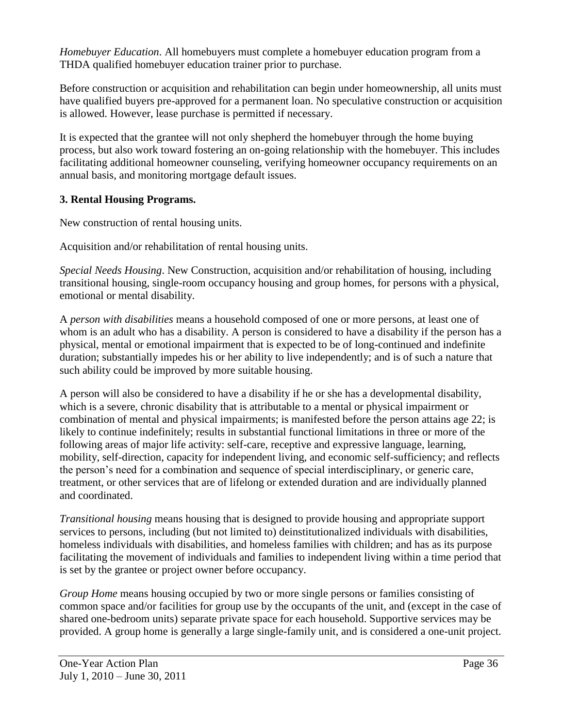*Homebuyer Education*. All homebuyers must complete a homebuyer education program from a THDA qualified homebuyer education trainer prior to purchase.

Before construction or acquisition and rehabilitation can begin under homeownership, all units must have qualified buyers pre-approved for a permanent loan. No speculative construction or acquisition is allowed. However, lease purchase is permitted if necessary.

It is expected that the grantee will not only shepherd the homebuyer through the home buying process, but also work toward fostering an on-going relationship with the homebuyer. This includes facilitating additional homeowner counseling, verifying homeowner occupancy requirements on an annual basis, and monitoring mortgage default issues.

## **3. Rental Housing Programs.**

New construction of rental housing units.

Acquisition and/or rehabilitation of rental housing units.

*Special Needs Housing*. New Construction, acquisition and/or rehabilitation of housing, including transitional housing, single-room occupancy housing and group homes, for persons with a physical, emotional or mental disability.

A *person with disabilities* means a household composed of one or more persons, at least one of whom is an adult who has a disability. A person is considered to have a disability if the person has a physical, mental or emotional impairment that is expected to be of long-continued and indefinite duration; substantially impedes his or her ability to live independently; and is of such a nature that such ability could be improved by more suitable housing.

A person will also be considered to have a disability if he or she has a developmental disability, which is a severe, chronic disability that is attributable to a mental or physical impairment or combination of mental and physical impairments; is manifested before the person attains age 22; is likely to continue indefinitely; results in substantial functional limitations in three or more of the following areas of major life activity: self-care, receptive and expressive language, learning, mobility, self-direction, capacity for independent living, and economic self-sufficiency; and reflects the person's need for a combination and sequence of special interdisciplinary, or generic care, treatment, or other services that are of lifelong or extended duration and are individually planned and coordinated.

*Transitional housing* means housing that is designed to provide housing and appropriate support services to persons, including (but not limited to) deinstitutionalized individuals with disabilities, homeless individuals with disabilities, and homeless families with children; and has as its purpose facilitating the movement of individuals and families to independent living within a time period that is set by the grantee or project owner before occupancy.

*Group Home* means housing occupied by two or more single persons or families consisting of common space and/or facilities for group use by the occupants of the unit, and (except in the case of shared one-bedroom units) separate private space for each household. Supportive services may be provided. A group home is generally a large single-family unit, and is considered a one-unit project.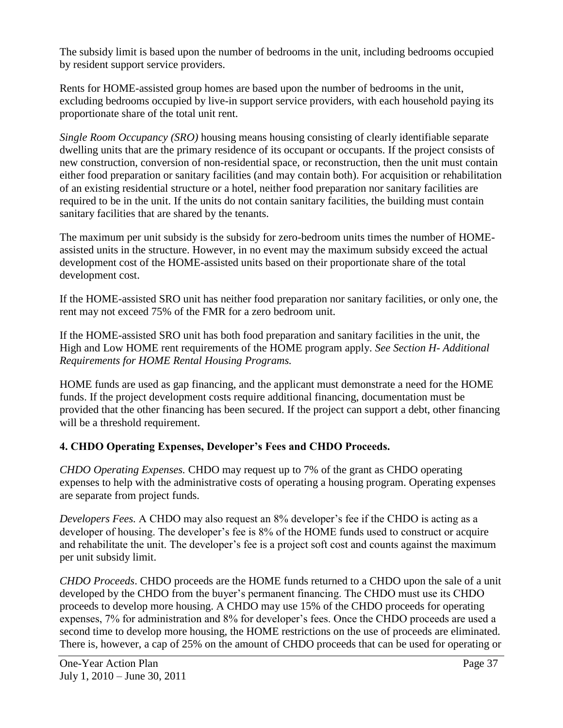The subsidy limit is based upon the number of bedrooms in the unit, including bedrooms occupied by resident support service providers.

Rents for HOME-assisted group homes are based upon the number of bedrooms in the unit, excluding bedrooms occupied by live-in support service providers, with each household paying its proportionate share of the total unit rent.

*Single Room Occupancy (SRO)* housing means housing consisting of clearly identifiable separate dwelling units that are the primary residence of its occupant or occupants. If the project consists of new construction, conversion of non-residential space, or reconstruction, then the unit must contain either food preparation or sanitary facilities (and may contain both). For acquisition or rehabilitation of an existing residential structure or a hotel, neither food preparation nor sanitary facilities are required to be in the unit. If the units do not contain sanitary facilities, the building must contain sanitary facilities that are shared by the tenants.

The maximum per unit subsidy is the subsidy for zero-bedroom units times the number of HOMEassisted units in the structure. However, in no event may the maximum subsidy exceed the actual development cost of the HOME-assisted units based on their proportionate share of the total development cost.

If the HOME-assisted SRO unit has neither food preparation nor sanitary facilities, or only one, the rent may not exceed 75% of the FMR for a zero bedroom unit.

If the HOME-assisted SRO unit has both food preparation and sanitary facilities in the unit, the High and Low HOME rent requirements of the HOME program apply. *See Section H- Additional Requirements for HOME Rental Housing Programs.*

HOME funds are used as gap financing, and the applicant must demonstrate a need for the HOME funds. If the project development costs require additional financing, documentation must be provided that the other financing has been secured. If the project can support a debt, other financing will be a threshold requirement.

## **4. CHDO Operating Expenses, Developer's Fees and CHDO Proceeds.**

*CHDO Operating Expenses.* CHDO may request up to 7% of the grant as CHDO operating expenses to help with the administrative costs of operating a housing program. Operating expenses are separate from project funds.

*Developers Fees.* A CHDO may also request an 8% developer's fee if the CHDO is acting as a developer of housing. The developer's fee is 8% of the HOME funds used to construct or acquire and rehabilitate the unit. The developer's fee is a project soft cost and counts against the maximum per unit subsidy limit.

*CHDO Proceeds*. CHDO proceeds are the HOME funds returned to a CHDO upon the sale of a unit developed by the CHDO from the buyer's permanent financing. The CHDO must use its CHDO proceeds to develop more housing. A CHDO may use 15% of the CHDO proceeds for operating expenses, 7% for administration and 8% for developer's fees. Once the CHDO proceeds are used a second time to develop more housing, the HOME restrictions on the use of proceeds are eliminated. There is, however, a cap of 25% on the amount of CHDO proceeds that can be used for operating or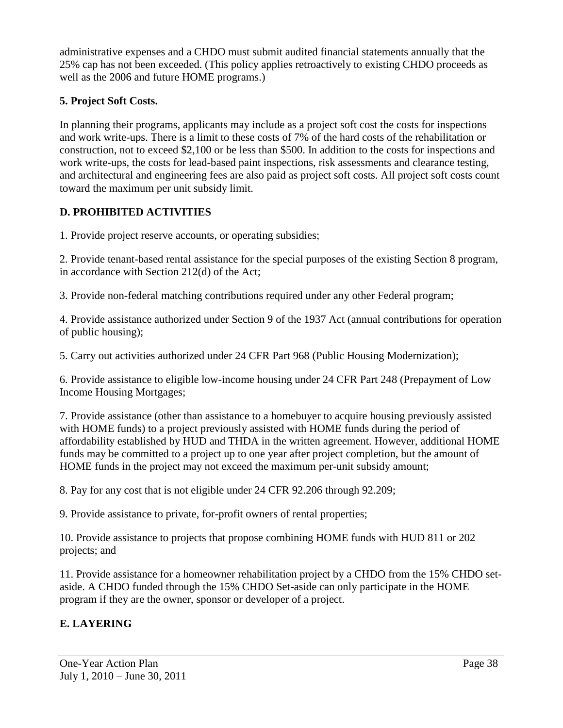administrative expenses and a CHDO must submit audited financial statements annually that the 25% cap has not been exceeded. (This policy applies retroactively to existing CHDO proceeds as well as the 2006 and future HOME programs.)

## **5. Project Soft Costs.**

In planning their programs, applicants may include as a project soft cost the costs for inspections and work write-ups. There is a limit to these costs of 7% of the hard costs of the rehabilitation or construction, not to exceed \$2,100 or be less than \$500. In addition to the costs for inspections and work write-ups, the costs for lead-based paint inspections, risk assessments and clearance testing, and architectural and engineering fees are also paid as project soft costs. All project soft costs count toward the maximum per unit subsidy limit.

# **D. PROHIBITED ACTIVITIES**

1. Provide project reserve accounts, or operating subsidies;

2. Provide tenant-based rental assistance for the special purposes of the existing Section 8 program, in accordance with Section 212(d) of the Act;

3. Provide non-federal matching contributions required under any other Federal program;

4. Provide assistance authorized under Section 9 of the 1937 Act (annual contributions for operation of public housing);

5. Carry out activities authorized under 24 CFR Part 968 (Public Housing Modernization);

6. Provide assistance to eligible low-income housing under 24 CFR Part 248 (Prepayment of Low Income Housing Mortgages;

7. Provide assistance (other than assistance to a homebuyer to acquire housing previously assisted with HOME funds) to a project previously assisted with HOME funds during the period of affordability established by HUD and THDA in the written agreement. However, additional HOME funds may be committed to a project up to one year after project completion, but the amount of HOME funds in the project may not exceed the maximum per-unit subsidy amount;

8. Pay for any cost that is not eligible under 24 CFR 92.206 through 92.209;

9. Provide assistance to private, for-profit owners of rental properties;

10. Provide assistance to projects that propose combining HOME funds with HUD 811 or 202 projects; and

11. Provide assistance for a homeowner rehabilitation project by a CHDO from the 15% CHDO setaside. A CHDO funded through the 15% CHDO Set-aside can only participate in the HOME program if they are the owner, sponsor or developer of a project.

# **E. LAYERING**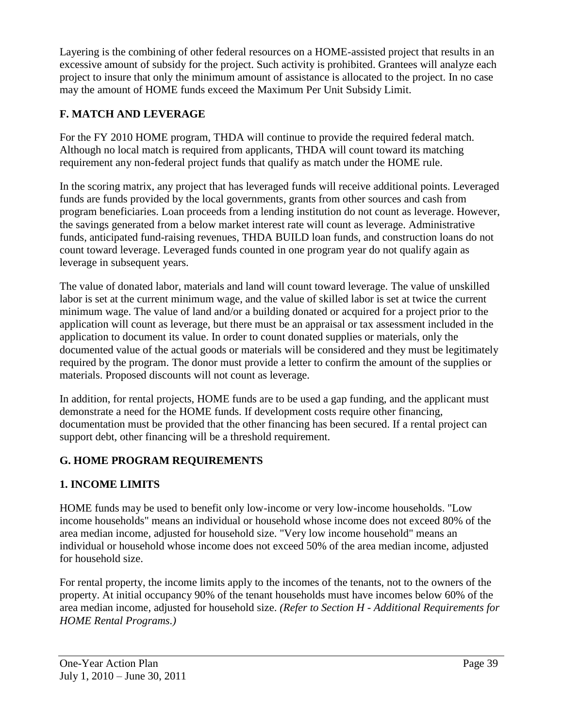Layering is the combining of other federal resources on a HOME-assisted project that results in an excessive amount of subsidy for the project. Such activity is prohibited. Grantees will analyze each project to insure that only the minimum amount of assistance is allocated to the project. In no case may the amount of HOME funds exceed the Maximum Per Unit Subsidy Limit.

# **F. MATCH AND LEVERAGE**

For the FY 2010 HOME program, THDA will continue to provide the required federal match. Although no local match is required from applicants, THDA will count toward its matching requirement any non-federal project funds that qualify as match under the HOME rule.

In the scoring matrix, any project that has leveraged funds will receive additional points. Leveraged funds are funds provided by the local governments, grants from other sources and cash from program beneficiaries. Loan proceeds from a lending institution do not count as leverage. However, the savings generated from a below market interest rate will count as leverage. Administrative funds, anticipated fund-raising revenues, THDA BUILD loan funds, and construction loans do not count toward leverage. Leveraged funds counted in one program year do not qualify again as leverage in subsequent years.

The value of donated labor, materials and land will count toward leverage. The value of unskilled labor is set at the current minimum wage, and the value of skilled labor is set at twice the current minimum wage. The value of land and/or a building donated or acquired for a project prior to the application will count as leverage, but there must be an appraisal or tax assessment included in the application to document its value. In order to count donated supplies or materials, only the documented value of the actual goods or materials will be considered and they must be legitimately required by the program. The donor must provide a letter to confirm the amount of the supplies or materials. Proposed discounts will not count as leverage.

In addition, for rental projects, HOME funds are to be used a gap funding, and the applicant must demonstrate a need for the HOME funds. If development costs require other financing, documentation must be provided that the other financing has been secured. If a rental project can support debt, other financing will be a threshold requirement.

# **G. HOME PROGRAM REQUIREMENTS**

# **1. INCOME LIMITS**

HOME funds may be used to benefit only low-income or very low-income households. "Low income households" means an individual or household whose income does not exceed 80% of the area median income, adjusted for household size. "Very low income household" means an individual or household whose income does not exceed 50% of the area median income, adjusted for household size.

For rental property, the income limits apply to the incomes of the tenants, not to the owners of the property. At initial occupancy 90% of the tenant households must have incomes below 60% of the area median income, adjusted for household size. *(Refer to Section H - Additional Requirements for HOME Rental Programs.)*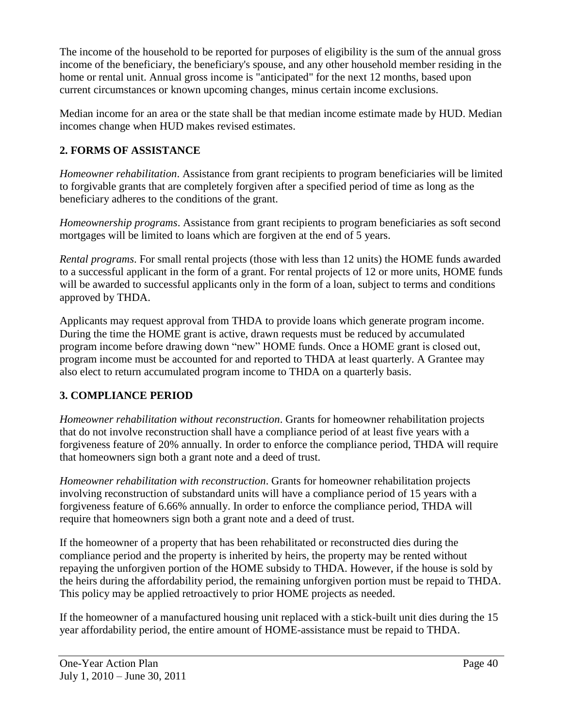The income of the household to be reported for purposes of eligibility is the sum of the annual gross income of the beneficiary, the beneficiary's spouse, and any other household member residing in the home or rental unit. Annual gross income is "anticipated" for the next 12 months, based upon current circumstances or known upcoming changes, minus certain income exclusions.

Median income for an area or the state shall be that median income estimate made by HUD. Median incomes change when HUD makes revised estimates.

# **2. FORMS OF ASSISTANCE**

*Homeowner rehabilitation*. Assistance from grant recipients to program beneficiaries will be limited to forgivable grants that are completely forgiven after a specified period of time as long as the beneficiary adheres to the conditions of the grant.

*Homeownership programs*. Assistance from grant recipients to program beneficiaries as soft second mortgages will be limited to loans which are forgiven at the end of 5 years.

*Rental programs*. For small rental projects (those with less than 12 units) the HOME funds awarded to a successful applicant in the form of a grant. For rental projects of 12 or more units, HOME funds will be awarded to successful applicants only in the form of a loan, subject to terms and conditions approved by THDA.

Applicants may request approval from THDA to provide loans which generate program income. During the time the HOME grant is active, drawn requests must be reduced by accumulated program income before drawing down "new" HOME funds. Once a HOME grant is closed out, program income must be accounted for and reported to THDA at least quarterly. A Grantee may also elect to return accumulated program income to THDA on a quarterly basis.

# **3. COMPLIANCE PERIOD**

*Homeowner rehabilitation without reconstruction*. Grants for homeowner rehabilitation projects that do not involve reconstruction shall have a compliance period of at least five years with a forgiveness feature of 20% annually. In order to enforce the compliance period, THDA will require that homeowners sign both a grant note and a deed of trust.

*Homeowner rehabilitation with reconstruction*. Grants for homeowner rehabilitation projects involving reconstruction of substandard units will have a compliance period of 15 years with a forgiveness feature of 6.66% annually. In order to enforce the compliance period, THDA will require that homeowners sign both a grant note and a deed of trust.

If the homeowner of a property that has been rehabilitated or reconstructed dies during the compliance period and the property is inherited by heirs, the property may be rented without repaying the unforgiven portion of the HOME subsidy to THDA. However, if the house is sold by the heirs during the affordability period, the remaining unforgiven portion must be repaid to THDA. This policy may be applied retroactively to prior HOME projects as needed.

If the homeowner of a manufactured housing unit replaced with a stick-built unit dies during the 15 year affordability period, the entire amount of HOME-assistance must be repaid to THDA.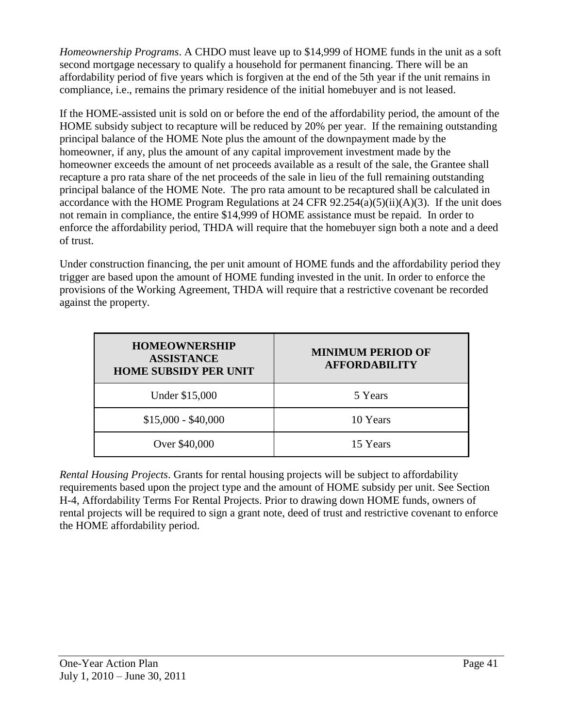*Homeownership Programs*. A CHDO must leave up to \$14,999 of HOME funds in the unit as a soft second mortgage necessary to qualify a household for permanent financing. There will be an affordability period of five years which is forgiven at the end of the 5th year if the unit remains in compliance, i.e., remains the primary residence of the initial homebuyer and is not leased.

If the HOME-assisted unit is sold on or before the end of the affordability period, the amount of the HOME subsidy subject to recapture will be reduced by 20% per year. If the remaining outstanding principal balance of the HOME Note plus the amount of the downpayment made by the homeowner, if any, plus the amount of any capital improvement investment made by the homeowner exceeds the amount of net proceeds available as a result of the sale, the Grantee shall recapture a pro rata share of the net proceeds of the sale in lieu of the full remaining outstanding principal balance of the HOME Note. The pro rata amount to be recaptured shall be calculated in accordance with the HOME Program Regulations at 24 CFR  $92.254(a)(5)(ii)(A)(3)$ . If the unit does not remain in compliance, the entire \$14,999 of HOME assistance must be repaid. In order to enforce the affordability period, THDA will require that the homebuyer sign both a note and a deed of trust.

Under construction financing, the per unit amount of HOME funds and the affordability period they trigger are based upon the amount of HOME funding invested in the unit. In order to enforce the provisions of the Working Agreement, THDA will require that a restrictive covenant be recorded against the property.

| <b>HOMEOWNERSHIP</b><br><b>ASSISTANCE</b><br><b>HOME SUBSIDY PER UNIT</b> | <b>MINIMUM PERIOD OF</b><br><b>AFFORDABILITY</b> |
|---------------------------------------------------------------------------|--------------------------------------------------|
| Under \$15,000                                                            | 5 Years                                          |
| $$15,000 - $40,000$                                                       | 10 Years                                         |
| Over \$40,000                                                             | 15 Years                                         |

*Rental Housing Projects*. Grants for rental housing projects will be subject to affordability requirements based upon the project type and the amount of HOME subsidy per unit. See Section H-4, Affordability Terms For Rental Projects. Prior to drawing down HOME funds, owners of rental projects will be required to sign a grant note, deed of trust and restrictive covenant to enforce the HOME affordability period.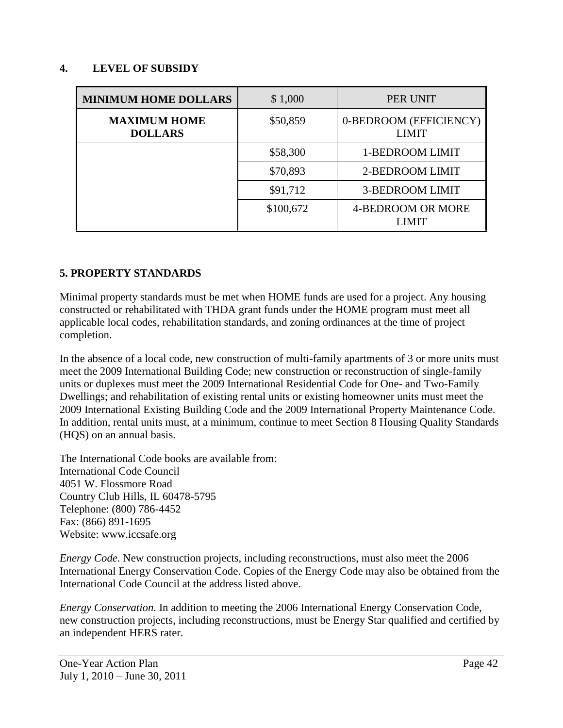### **4. LEVEL OF SUBSIDY**

| <b>MINIMUM HOME DOLLARS</b>           | \$1,000   | PER UNIT                               |
|---------------------------------------|-----------|----------------------------------------|
| <b>MAXIMUM HOME</b><br><b>DOLLARS</b> | \$50,859  | 0-BEDROOM (EFFICIENCY)<br><b>LIMIT</b> |
|                                       | \$58,300  | 1-BEDROOM LIMIT                        |
|                                       | \$70,893  | 2-BEDROOM LIMIT                        |
|                                       | \$91,712  | <b>3-BEDROOM LIMIT</b>                 |
|                                       | \$100,672 | 4-BEDROOM OR MORE<br><b>LIMIT</b>      |

### **5. PROPERTY STANDARDS**

Minimal property standards must be met when HOME funds are used for a project. Any housing constructed or rehabilitated with THDA grant funds under the HOME program must meet all applicable local codes, rehabilitation standards, and zoning ordinances at the time of project completion.

In the absence of a local code, new construction of multi-family apartments of 3 or more units must meet the 2009 International Building Code; new construction or reconstruction of single-family units or duplexes must meet the 2009 International Residential Code for One- and Two-Family Dwellings; and rehabilitation of existing rental units or existing homeowner units must meet the 2009 International Existing Building Code and the 2009 International Property Maintenance Code. In addition, rental units must, at a minimum, continue to meet Section 8 Housing Quality Standards (HQS) on an annual basis.

The International Code books are available from: International Code Council 4051 W. Flossmore Road Country Club Hills, IL 60478-5795 Telephone: (800) 786-4452 Fax: (866) 891-1695 Website: www.iccsafe.org

*Energy Code*. New construction projects, including reconstructions, must also meet the 2006 International Energy Conservation Code. Copies of the Energy Code may also be obtained from the International Code Council at the address listed above.

*Energy Conservation*. In addition to meeting the 2006 International Energy Conservation Code, new construction projects, including reconstructions, must be Energy Star qualified and certified by an independent HERS rater.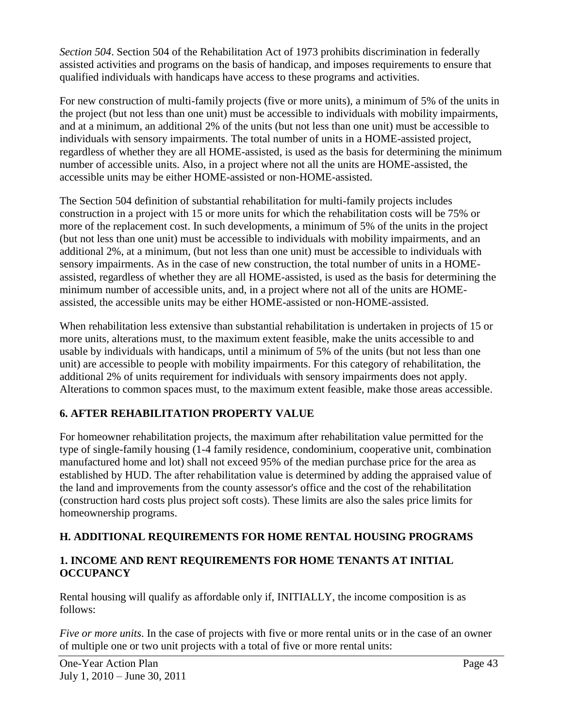*Section 504*. Section 504 of the Rehabilitation Act of 1973 prohibits discrimination in federally assisted activities and programs on the basis of handicap, and imposes requirements to ensure that qualified individuals with handicaps have access to these programs and activities.

For new construction of multi-family projects (five or more units), a minimum of 5% of the units in the project (but not less than one unit) must be accessible to individuals with mobility impairments, and at a minimum, an additional 2% of the units (but not less than one unit) must be accessible to individuals with sensory impairments. The total number of units in a HOME-assisted project, regardless of whether they are all HOME-assisted, is used as the basis for determining the minimum number of accessible units. Also, in a project where not all the units are HOME-assisted, the accessible units may be either HOME-assisted or non-HOME-assisted.

The Section 504 definition of substantial rehabilitation for multi-family projects includes construction in a project with 15 or more units for which the rehabilitation costs will be 75% or more of the replacement cost. In such developments, a minimum of 5% of the units in the project (but not less than one unit) must be accessible to individuals with mobility impairments, and an additional 2%, at a minimum, (but not less than one unit) must be accessible to individuals with sensory impairments. As in the case of new construction, the total number of units in a HOMEassisted, regardless of whether they are all HOME-assisted, is used as the basis for determining the minimum number of accessible units, and, in a project where not all of the units are HOMEassisted, the accessible units may be either HOME-assisted or non-HOME-assisted.

When rehabilitation less extensive than substantial rehabilitation is undertaken in projects of 15 or more units, alterations must, to the maximum extent feasible, make the units accessible to and usable by individuals with handicaps, until a minimum of 5% of the units (but not less than one unit) are accessible to people with mobility impairments. For this category of rehabilitation, the additional 2% of units requirement for individuals with sensory impairments does not apply. Alterations to common spaces must, to the maximum extent feasible, make those areas accessible.

# **6. AFTER REHABILITATION PROPERTY VALUE**

For homeowner rehabilitation projects, the maximum after rehabilitation value permitted for the type of single-family housing (1-4 family residence, condominium, cooperative unit, combination manufactured home and lot) shall not exceed 95% of the median purchase price for the area as established by HUD. The after rehabilitation value is determined by adding the appraised value of the land and improvements from the county assessor's office and the cost of the rehabilitation (construction hard costs plus project soft costs). These limits are also the sales price limits for homeownership programs.

# **H. ADDITIONAL REQUIREMENTS FOR HOME RENTAL HOUSING PROGRAMS**

## **1. INCOME AND RENT REQUIREMENTS FOR HOME TENANTS AT INITIAL OCCUPANCY**

Rental housing will qualify as affordable only if, INITIALLY, the income composition is as follows:

*Five or more units*. In the case of projects with five or more rental units or in the case of an owner of multiple one or two unit projects with a total of five or more rental units: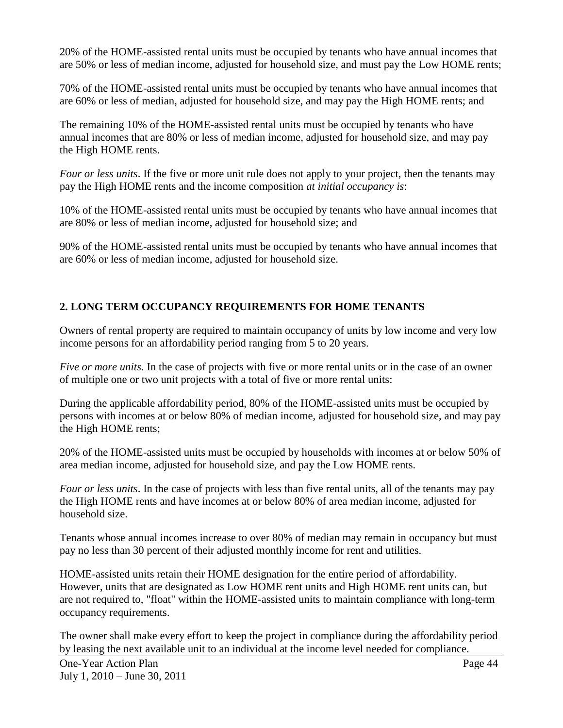20% of the HOME-assisted rental units must be occupied by tenants who have annual incomes that are 50% or less of median income, adjusted for household size, and must pay the Low HOME rents;

70% of the HOME-assisted rental units must be occupied by tenants who have annual incomes that are 60% or less of median, adjusted for household size, and may pay the High HOME rents; and

The remaining 10% of the HOME-assisted rental units must be occupied by tenants who have annual incomes that are 80% or less of median income, adjusted for household size, and may pay the High HOME rents.

*Four or less units*. If the five or more unit rule does not apply to your project, then the tenants may pay the High HOME rents and the income composition *at initial occupancy is*:

10% of the HOME-assisted rental units must be occupied by tenants who have annual incomes that are 80% or less of median income, adjusted for household size; and

90% of the HOME-assisted rental units must be occupied by tenants who have annual incomes that are 60% or less of median income, adjusted for household size.

## **2. LONG TERM OCCUPANCY REQUIREMENTS FOR HOME TENANTS**

Owners of rental property are required to maintain occupancy of units by low income and very low income persons for an affordability period ranging from 5 to 20 years.

*Five or more units*. In the case of projects with five or more rental units or in the case of an owner of multiple one or two unit projects with a total of five or more rental units:

During the applicable affordability period, 80% of the HOME-assisted units must be occupied by persons with incomes at or below 80% of median income, adjusted for household size, and may pay the High HOME rents;

20% of the HOME-assisted units must be occupied by households with incomes at or below 50% of area median income, adjusted for household size, and pay the Low HOME rents.

*Four or less units*. In the case of projects with less than five rental units, all of the tenants may pay the High HOME rents and have incomes at or below 80% of area median income, adjusted for household size.

Tenants whose annual incomes increase to over 80% of median may remain in occupancy but must pay no less than 30 percent of their adjusted monthly income for rent and utilities.

HOME-assisted units retain their HOME designation for the entire period of affordability. However, units that are designated as Low HOME rent units and High HOME rent units can, but are not required to, "float" within the HOME-assisted units to maintain compliance with long-term occupancy requirements.

The owner shall make every effort to keep the project in compliance during the affordability period by leasing the next available unit to an individual at the income level needed for compliance.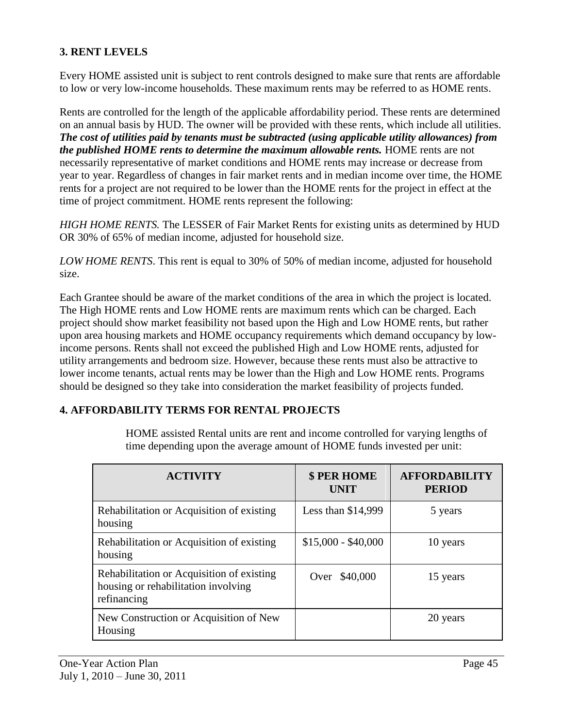## **3. RENT LEVELS**

Every HOME assisted unit is subject to rent controls designed to make sure that rents are affordable to low or very low-income households. These maximum rents may be referred to as HOME rents.

Rents are controlled for the length of the applicable affordability period. These rents are determined on an annual basis by HUD. The owner will be provided with these rents, which include all utilities. *The cost of utilities paid by tenants must be subtracted (using applicable utility allowances) from the published HOME rents to determine the maximum allowable rents.* HOME rents are not necessarily representative of market conditions and HOME rents may increase or decrease from year to year. Regardless of changes in fair market rents and in median income over time, the HOME rents for a project are not required to be lower than the HOME rents for the project in effect at the time of project commitment. HOME rents represent the following:

*HIGH HOME RENTS.* The LESSER of Fair Market Rents for existing units as determined by HUD OR 30% of 65% of median income, adjusted for household size.

*LOW HOME RENTS*. This rent is equal to 30% of 50% of median income, adjusted for household size.

Each Grantee should be aware of the market conditions of the area in which the project is located. The High HOME rents and Low HOME rents are maximum rents which can be charged. Each project should show market feasibility not based upon the High and Low HOME rents, but rather upon area housing markets and HOME occupancy requirements which demand occupancy by lowincome persons. Rents shall not exceed the published High and Low HOME rents, adjusted for utility arrangements and bedroom size. However, because these rents must also be attractive to lower income tenants, actual rents may be lower than the High and Low HOME rents. Programs should be designed so they take into consideration the market feasibility of projects funded.

### **4. AFFORDABILITY TERMS FOR RENTAL PROJECTS**

HOME assisted Rental units are rent and income controlled for varying lengths of time depending upon the average amount of HOME funds invested per unit:

| <b>ACTIVITY</b>                                                                                 | <b>\$ PER HOME</b><br>UNIT | <b>AFFORDABILITY</b><br><b>PERIOD</b> |
|-------------------------------------------------------------------------------------------------|----------------------------|---------------------------------------|
| Rehabilitation or Acquisition of existing<br>housing                                            | Less than $$14,999$        | 5 years                               |
| Rehabilitation or Acquisition of existing<br>housing                                            | $$15,000 - $40,000$        | 10 years                              |
| Rehabilitation or Acquisition of existing<br>housing or rehabilitation involving<br>refinancing | \$40,000<br>Over           | 15 years                              |
| New Construction or Acquisition of New<br>Housing                                               |                            | 20 years                              |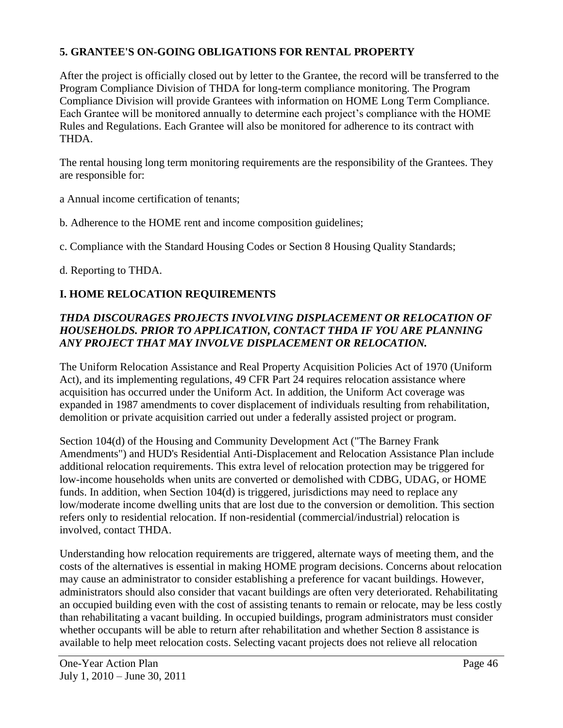## **5. GRANTEE'S ON-GOING OBLIGATIONS FOR RENTAL PROPERTY**

After the project is officially closed out by letter to the Grantee, the record will be transferred to the Program Compliance Division of THDA for long-term compliance monitoring. The Program Compliance Division will provide Grantees with information on HOME Long Term Compliance. Each Grantee will be monitored annually to determine each project's compliance with the HOME Rules and Regulations. Each Grantee will also be monitored for adherence to its contract with THDA.

The rental housing long term monitoring requirements are the responsibility of the Grantees. They are responsible for:

a Annual income certification of tenants;

b. Adherence to the HOME rent and income composition guidelines;

c. Compliance with the Standard Housing Codes or Section 8 Housing Quality Standards;

d. Reporting to THDA.

## **I. HOME RELOCATION REQUIREMENTS**

## *THDA DISCOURAGES PROJECTS INVOLVING DISPLACEMENT OR RELOCATION OF HOUSEHOLDS. PRIOR TO APPLICATION, CONTACT THDA IF YOU ARE PLANNING ANY PROJECT THAT MAY INVOLVE DISPLACEMENT OR RELOCATION.*

The Uniform Relocation Assistance and Real Property Acquisition Policies Act of 1970 (Uniform Act), and its implementing regulations, 49 CFR Part 24 requires relocation assistance where acquisition has occurred under the Uniform Act. In addition, the Uniform Act coverage was expanded in 1987 amendments to cover displacement of individuals resulting from rehabilitation, demolition or private acquisition carried out under a federally assisted project or program.

Section 104(d) of the Housing and Community Development Act ("The Barney Frank Amendments") and HUD's Residential Anti-Displacement and Relocation Assistance Plan include additional relocation requirements. This extra level of relocation protection may be triggered for low-income households when units are converted or demolished with CDBG, UDAG, or HOME funds. In addition, when Section 104(d) is triggered, jurisdictions may need to replace any low/moderate income dwelling units that are lost due to the conversion or demolition. This section refers only to residential relocation. If non-residential (commercial/industrial) relocation is involved, contact THDA.

Understanding how relocation requirements are triggered, alternate ways of meeting them, and the costs of the alternatives is essential in making HOME program decisions. Concerns about relocation may cause an administrator to consider establishing a preference for vacant buildings. However, administrators should also consider that vacant buildings are often very deteriorated. Rehabilitating an occupied building even with the cost of assisting tenants to remain or relocate, may be less costly than rehabilitating a vacant building. In occupied buildings, program administrators must consider whether occupants will be able to return after rehabilitation and whether Section 8 assistance is available to help meet relocation costs. Selecting vacant projects does not relieve all relocation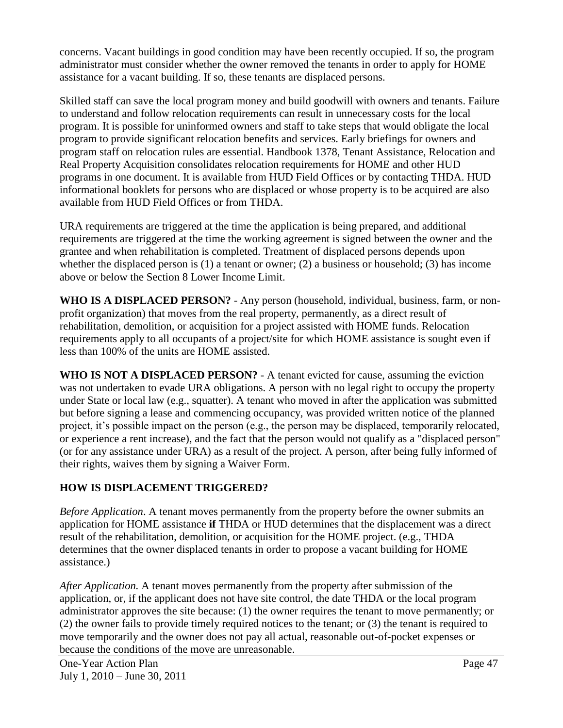concerns. Vacant buildings in good condition may have been recently occupied. If so, the program administrator must consider whether the owner removed the tenants in order to apply for HOME assistance for a vacant building. If so, these tenants are displaced persons.

Skilled staff can save the local program money and build goodwill with owners and tenants. Failure to understand and follow relocation requirements can result in unnecessary costs for the local program. It is possible for uninformed owners and staff to take steps that would obligate the local program to provide significant relocation benefits and services. Early briefings for owners and program staff on relocation rules are essential. Handbook 1378, Tenant Assistance, Relocation and Real Property Acquisition consolidates relocation requirements for HOME and other HUD programs in one document. It is available from HUD Field Offices or by contacting THDA. HUD informational booklets for persons who are displaced or whose property is to be acquired are also available from HUD Field Offices or from THDA.

URA requirements are triggered at the time the application is being prepared, and additional requirements are triggered at the time the working agreement is signed between the owner and the grantee and when rehabilitation is completed. Treatment of displaced persons depends upon whether the displaced person is (1) a tenant or owner; (2) a business or household; (3) has income above or below the Section 8 Lower Income Limit.

**WHO IS A DISPLACED PERSON?** - Any person (household, individual, business, farm, or nonprofit organization) that moves from the real property, permanently, as a direct result of rehabilitation, demolition, or acquisition for a project assisted with HOME funds. Relocation requirements apply to all occupants of a project/site for which HOME assistance is sought even if less than 100% of the units are HOME assisted.

**WHO IS NOT A DISPLACED PERSON?** - A tenant evicted for cause, assuming the eviction was not undertaken to evade URA obligations. A person with no legal right to occupy the property under State or local law (e.g., squatter). A tenant who moved in after the application was submitted but before signing a lease and commencing occupancy, was provided written notice of the planned project, it's possible impact on the person (e.g., the person may be displaced, temporarily relocated, or experience a rent increase), and the fact that the person would not qualify as a "displaced person" (or for any assistance under URA) as a result of the project. A person, after being fully informed of their rights, waives them by signing a Waiver Form.

# **HOW IS DISPLACEMENT TRIGGERED?**

*Before Application*. A tenant moves permanently from the property before the owner submits an application for HOME assistance **if** THDA or HUD determines that the displacement was a direct result of the rehabilitation, demolition, or acquisition for the HOME project. (e.g., THDA determines that the owner displaced tenants in order to propose a vacant building for HOME assistance.)

*After Application.* A tenant moves permanently from the property after submission of the application, or, if the applicant does not have site control, the date THDA or the local program administrator approves the site because: (1) the owner requires the tenant to move permanently; or (2) the owner fails to provide timely required notices to the tenant; or (3) the tenant is required to move temporarily and the owner does not pay all actual, reasonable out-of-pocket expenses or because the conditions of the move are unreasonable.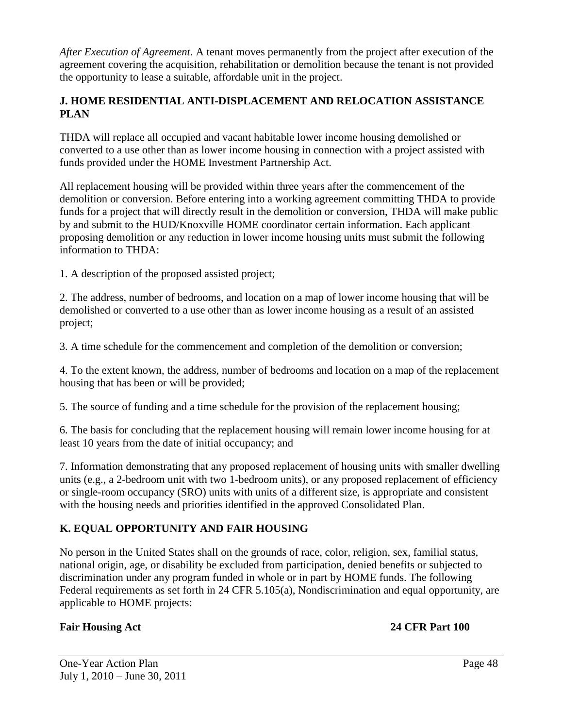*After Execution of Agreement*. A tenant moves permanently from the project after execution of the agreement covering the acquisition, rehabilitation or demolition because the tenant is not provided the opportunity to lease a suitable, affordable unit in the project.

### **J. HOME RESIDENTIAL ANTI-DISPLACEMENT AND RELOCATION ASSISTANCE PLAN**

THDA will replace all occupied and vacant habitable lower income housing demolished or converted to a use other than as lower income housing in connection with a project assisted with funds provided under the HOME Investment Partnership Act.

All replacement housing will be provided within three years after the commencement of the demolition or conversion. Before entering into a working agreement committing THDA to provide funds for a project that will directly result in the demolition or conversion, THDA will make public by and submit to the HUD/Knoxville HOME coordinator certain information. Each applicant proposing demolition or any reduction in lower income housing units must submit the following information to THDA:

1. A description of the proposed assisted project;

2. The address, number of bedrooms, and location on a map of lower income housing that will be demolished or converted to a use other than as lower income housing as a result of an assisted project;

3. A time schedule for the commencement and completion of the demolition or conversion;

4. To the extent known, the address, number of bedrooms and location on a map of the replacement housing that has been or will be provided;

5. The source of funding and a time schedule for the provision of the replacement housing;

6. The basis for concluding that the replacement housing will remain lower income housing for at least 10 years from the date of initial occupancy; and

7. Information demonstrating that any proposed replacement of housing units with smaller dwelling units (e.g., a 2-bedroom unit with two 1-bedroom units), or any proposed replacement of efficiency or single-room occupancy (SRO) units with units of a different size, is appropriate and consistent with the housing needs and priorities identified in the approved Consolidated Plan.

# **K. EQUAL OPPORTUNITY AND FAIR HOUSING**

No person in the United States shall on the grounds of race, color, religion, sex, familial status, national origin, age, or disability be excluded from participation, denied benefits or subjected to discrimination under any program funded in whole or in part by HOME funds. The following Federal requirements as set forth in 24 CFR 5.105(a), Nondiscrimination and equal opportunity, are applicable to HOME projects:

## **Fair Housing Act 24 CFR Part 100**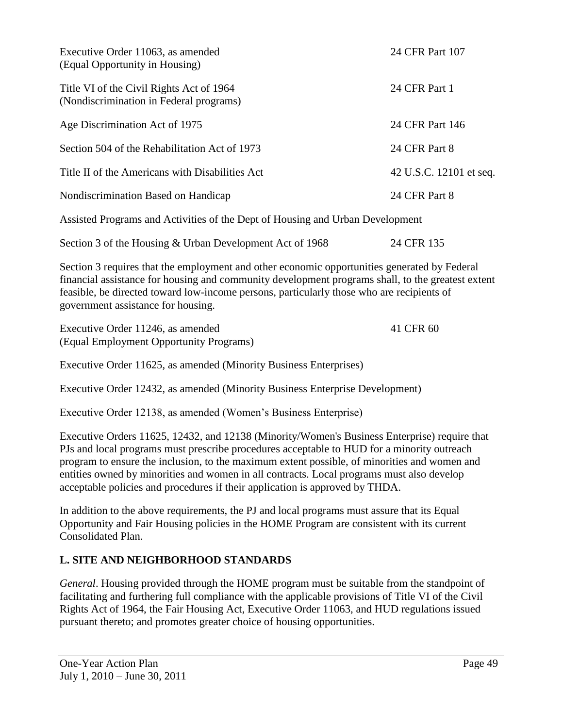| Executive Order 11063, as amended<br>(Equal Opportunity in Housing)                          | 24 CFR Part 107         |
|----------------------------------------------------------------------------------------------|-------------------------|
| Title VI of the Civil Rights Act of 1964<br>(Nondiscrimination in Federal programs)          | 24 CFR Part 1           |
| Age Discrimination Act of 1975                                                               | 24 CFR Part 146         |
| Section 504 of the Rehabilitation Act of 1973                                                | 24 CFR Part 8           |
| Title II of the Americans with Disabilities Act                                              | 42 U.S.C. 12101 et seq. |
| Nondiscrimination Based on Handicap                                                          | 24 CFR Part 8           |
| Assisted Programs and Activities of the Dept of Housing and Urban Development                |                         |
| Section 3 of the Housing & Urban Development Act of 1968                                     | 24 CFR 135              |
| Section 3 requires that the employment and other economic opportunities generated by Federal |                         |

financial assistance for housing and community development programs shall, to the greatest extent feasible, be directed toward low-income persons, particularly those who are recipients of government assistance for housing.

| Executive Order 11246, as amended       | 41 CFR 60 |
|-----------------------------------------|-----------|
| (Equal Employment Opportunity Programs) |           |

Executive Order 11625, as amended (Minority Business Enterprises)

Executive Order 12432, as amended (Minority Business Enterprise Development)

Executive Order 12138, as amended (Women's Business Enterprise)

Executive Orders 11625, 12432, and 12138 (Minority/Women's Business Enterprise) require that PJs and local programs must prescribe procedures acceptable to HUD for a minority outreach program to ensure the inclusion, to the maximum extent possible, of minorities and women and entities owned by minorities and women in all contracts. Local programs must also develop acceptable policies and procedures if their application is approved by THDA.

In addition to the above requirements, the PJ and local programs must assure that its Equal Opportunity and Fair Housing policies in the HOME Program are consistent with its current Consolidated Plan.

## **L. SITE AND NEIGHBORHOOD STANDARDS**

*General*. Housing provided through the HOME program must be suitable from the standpoint of facilitating and furthering full compliance with the applicable provisions of Title VI of the Civil Rights Act of 1964, the Fair Housing Act, Executive Order 11063, and HUD regulations issued pursuant thereto; and promotes greater choice of housing opportunities.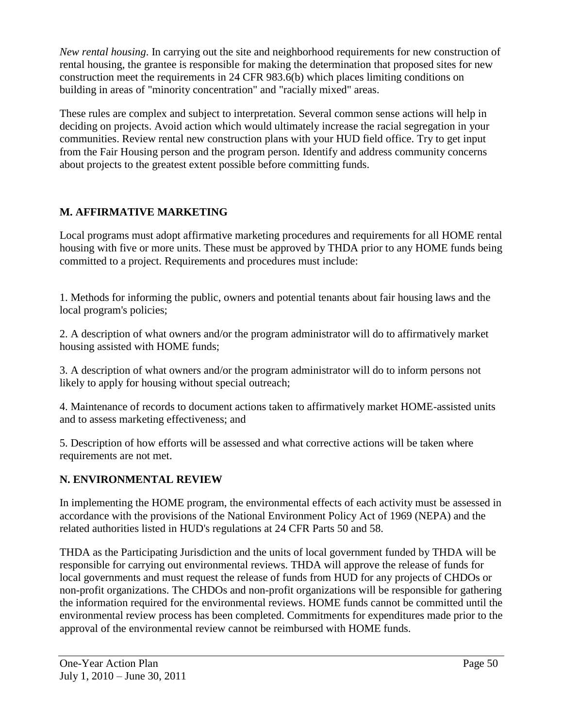*New rental housing*. In carrying out the site and neighborhood requirements for new construction of rental housing, the grantee is responsible for making the determination that proposed sites for new construction meet the requirements in 24 CFR 983.6(b) which places limiting conditions on building in areas of "minority concentration" and "racially mixed" areas.

These rules are complex and subject to interpretation. Several common sense actions will help in deciding on projects. Avoid action which would ultimately increase the racial segregation in your communities. Review rental new construction plans with your HUD field office. Try to get input from the Fair Housing person and the program person. Identify and address community concerns about projects to the greatest extent possible before committing funds.

# **M. AFFIRMATIVE MARKETING**

Local programs must adopt affirmative marketing procedures and requirements for all HOME rental housing with five or more units. These must be approved by THDA prior to any HOME funds being committed to a project. Requirements and procedures must include:

1. Methods for informing the public, owners and potential tenants about fair housing laws and the local program's policies;

2. A description of what owners and/or the program administrator will do to affirmatively market housing assisted with HOME funds;

3. A description of what owners and/or the program administrator will do to inform persons not likely to apply for housing without special outreach;

4. Maintenance of records to document actions taken to affirmatively market HOME-assisted units and to assess marketing effectiveness; and

5. Description of how efforts will be assessed and what corrective actions will be taken where requirements are not met.

# **N. ENVIRONMENTAL REVIEW**

In implementing the HOME program, the environmental effects of each activity must be assessed in accordance with the provisions of the National Environment Policy Act of 1969 (NEPA) and the related authorities listed in HUD's regulations at 24 CFR Parts 50 and 58.

THDA as the Participating Jurisdiction and the units of local government funded by THDA will be responsible for carrying out environmental reviews. THDA will approve the release of funds for local governments and must request the release of funds from HUD for any projects of CHDOs or non-profit organizations. The CHDOs and non-profit organizations will be responsible for gathering the information required for the environmental reviews. HOME funds cannot be committed until the environmental review process has been completed. Commitments for expenditures made prior to the approval of the environmental review cannot be reimbursed with HOME funds.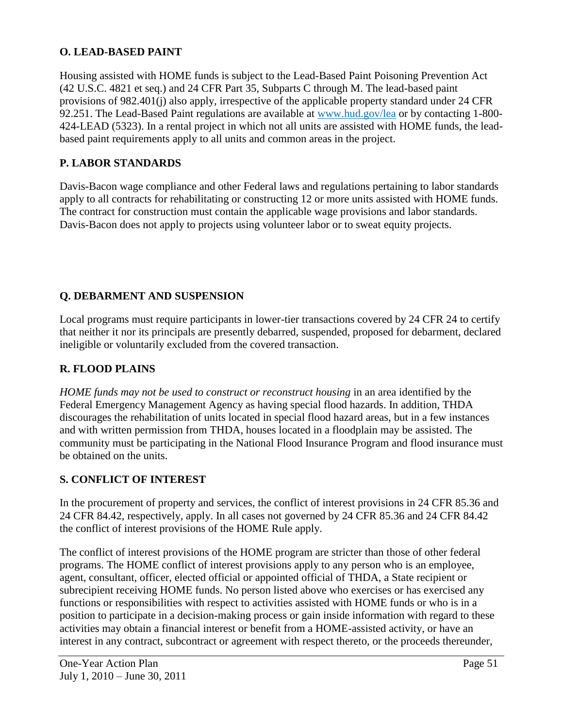## **O. LEAD-BASED PAINT**

Housing assisted with HOME funds is subject to the Lead-Based Paint Poisoning Prevention Act (42 U.S.C. 4821 et seq.) and 24 CFR Part 35, Subparts C through M. The lead-based paint provisions of 982.401(j) also apply, irrespective of the applicable property standard under 24 CFR 92.251. The Lead-Based Paint regulations are available at www.hud.gov/lea or by contacting 1-800-424-LEAD (5323). In a rental project in which not all units are assisted with HOME funds, the leadbased paint requirements apply to all units and common areas in the project.

## **P. LABOR STANDARDS**

Davis-Bacon wage compliance and other Federal laws and regulations pertaining to labor standards apply to all contracts for rehabilitating or constructing 12 or more units assisted with HOME funds. The contract for construction must contain the applicable wage provisions and labor standards. Davis-Bacon does not apply to projects using volunteer labor or to sweat equity projects.

## **Q. DEBARMENT AND SUSPENSION**

Local programs must require participants in lower-tier transactions covered by 24 CFR 24 to certify that neither it nor its principals are presently debarred, suspended, proposed for debarment, declared ineligible or voluntarily excluded from the covered transaction.

### **R. FLOOD PLAINS**

*HOME funds may not be used to construct or reconstruct housing* in an area identified by the Federal Emergency Management Agency as having special flood hazards. In addition, THDA discourages the rehabilitation of units located in special flood hazard areas, but in a few instances and with written permission from THDA, houses located in a floodplain may be assisted. The community must be participating in the National Flood Insurance Program and flood insurance must be obtained on the units.

### **S. CONFLICT OF INTEREST**

In the procurement of property and services, the conflict of interest provisions in 24 CFR 85.36 and 24 CFR 84.42, respectively, apply. In all cases not governed by 24 CFR 85.36 and 24 CFR 84.42 the conflict of interest provisions of the HOME Rule apply.

The conflict of interest provisions of the HOME program are stricter than those of other federal programs. The HOME conflict of interest provisions apply to any person who is an employee, agent, consultant, officer, elected official or appointed official of THDA, a State recipient or subrecipient receiving HOME funds. No person listed above who exercises or has exercised any functions or responsibilities with respect to activities assisted with HOME funds or who is in a position to participate in a decision-making process or gain inside information with regard to these activities may obtain a financial interest or benefit from a HOME-assisted activity, or have an interest in any contract, subcontract or agreement with respect thereto, or the proceeds thereunder,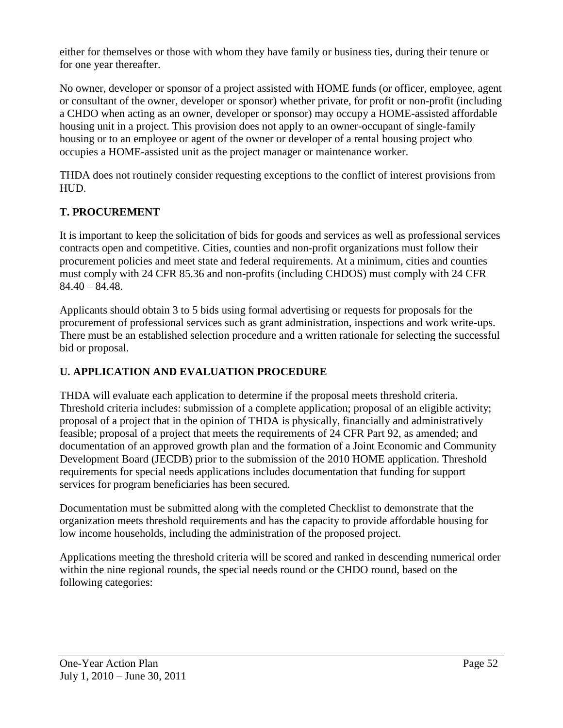either for themselves or those with whom they have family or business ties, during their tenure or for one year thereafter.

No owner, developer or sponsor of a project assisted with HOME funds (or officer, employee, agent or consultant of the owner, developer or sponsor) whether private, for profit or non-profit (including a CHDO when acting as an owner, developer or sponsor) may occupy a HOME-assisted affordable housing unit in a project. This provision does not apply to an owner-occupant of single-family housing or to an employee or agent of the owner or developer of a rental housing project who occupies a HOME-assisted unit as the project manager or maintenance worker.

THDA does not routinely consider requesting exceptions to the conflict of interest provisions from HUD.

## **T. PROCUREMENT**

It is important to keep the solicitation of bids for goods and services as well as professional services contracts open and competitive. Cities, counties and non-profit organizations must follow their procurement policies and meet state and federal requirements. At a minimum, cities and counties must comply with 24 CFR 85.36 and non-profits (including CHDOS) must comply with 24 CFR  $84.40 - 84.48$ .

Applicants should obtain 3 to 5 bids using formal advertising or requests for proposals for the procurement of professional services such as grant administration, inspections and work write-ups. There must be an established selection procedure and a written rationale for selecting the successful bid or proposal.

# **U. APPLICATION AND EVALUATION PROCEDURE**

THDA will evaluate each application to determine if the proposal meets threshold criteria. Threshold criteria includes: submission of a complete application; proposal of an eligible activity; proposal of a project that in the opinion of THDA is physically, financially and administratively feasible; proposal of a project that meets the requirements of 24 CFR Part 92, as amended; and documentation of an approved growth plan and the formation of a Joint Economic and Community Development Board (JECDB) prior to the submission of the 2010 HOME application. Threshold requirements for special needs applications includes documentation that funding for support services for program beneficiaries has been secured.

Documentation must be submitted along with the completed Checklist to demonstrate that the organization meets threshold requirements and has the capacity to provide affordable housing for low income households, including the administration of the proposed project.

Applications meeting the threshold criteria will be scored and ranked in descending numerical order within the nine regional rounds, the special needs round or the CHDO round, based on the following categories: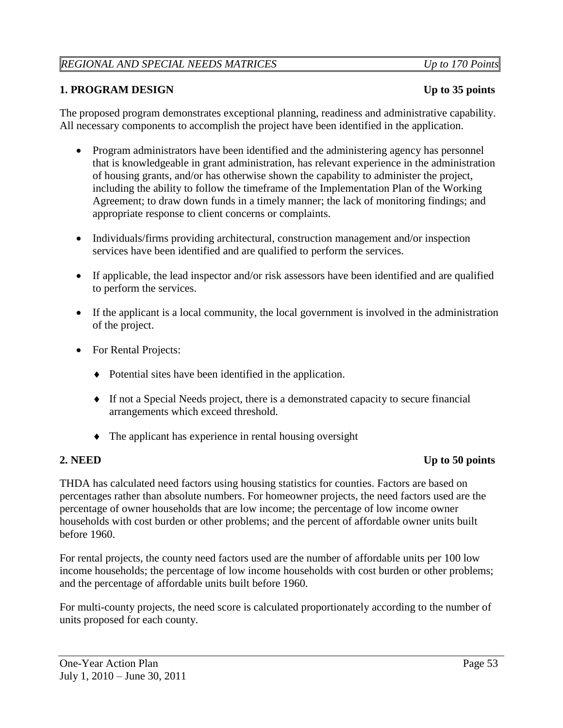## *REGIONAL AND SPECIAL NEEDS MATRICES Up to 170 Points*

### **1. PROGRAM DESIGN Up to 35 points**

The proposed program demonstrates exceptional planning, readiness and administrative capability. All necessary components to accomplish the project have been identified in the application.

- Program administrators have been identified and the administering agency has personnel that is knowledgeable in grant administration, has relevant experience in the administration of housing grants, and/or has otherwise shown the capability to administer the project, including the ability to follow the timeframe of the Implementation Plan of the Working Agreement; to draw down funds in a timely manner; the lack of monitoring findings; and appropriate response to client concerns or complaints.
- Individuals/firms providing architectural, construction management and/or inspection services have been identified and are qualified to perform the services.
- If applicable, the lead inspector and/or risk assessors have been identified and are qualified to perform the services.
- If the applicant is a local community, the local government is involved in the administration of the project.
- For Rental Projects:
	- Potential sites have been identified in the application.
	- If not a Special Needs project, there is a demonstrated capacity to secure financial arrangements which exceed threshold.
	- The applicant has experience in rental housing oversight

### **2.** NEED Up to 50 points

THDA has calculated need factors using housing statistics for counties. Factors are based on percentages rather than absolute numbers. For homeowner projects, the need factors used are the percentage of owner households that are low income; the percentage of low income owner households with cost burden or other problems; and the percent of affordable owner units built before 1960.

For rental projects, the county need factors used are the number of affordable units per 100 low income households; the percentage of low income households with cost burden or other problems; and the percentage of affordable units built before 1960.

For multi-county projects, the need score is calculated proportionately according to the number of units proposed for each county.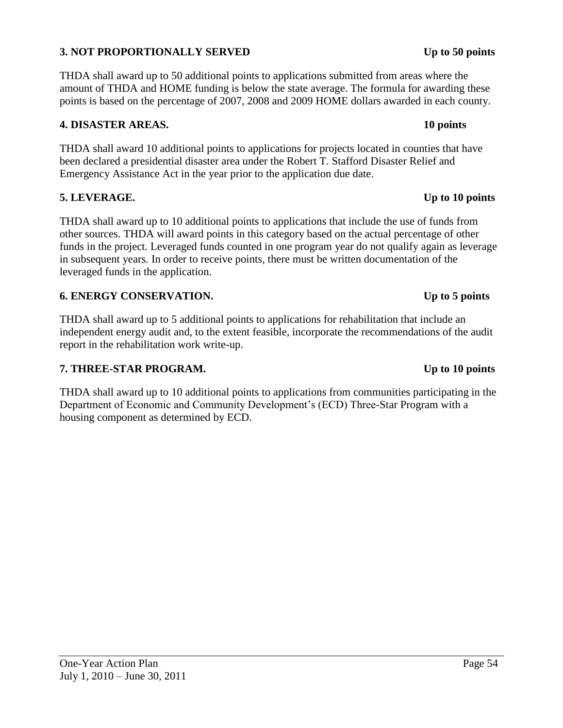### One-Year Action Plan Page 54 July 1, 2010 – June 30, 2011

# **3. NOT PROPORTIONALLY SERVED Up to 50 points**

THDA shall award up to 50 additional points to applications submitted from areas where the amount of THDA and HOME funding is below the state average. The formula for awarding these points is based on the percentage of 2007, 2008 and 2009 HOME dollars awarded in each county.

# **4. DISASTER AREAS. 10 points**

THDA shall award 10 additional points to applications for projects located in counties that have been declared a presidential disaster area under the Robert T. Stafford Disaster Relief and Emergency Assistance Act in the year prior to the application due date.

# **5. LEVERAGE. Up to 10 points**

THDA shall award up to 10 additional points to applications that include the use of funds from other sources. THDA will award points in this category based on the actual percentage of other funds in the project. Leveraged funds counted in one program year do not qualify again as leverage in subsequent years. In order to receive points, there must be written documentation of the leveraged funds in the application.

# **6. ENERGY CONSERVATION. Up to 5 points**

THDA shall award up to 5 additional points to applications for rehabilitation that include an independent energy audit and, to the extent feasible, incorporate the recommendations of the audit report in the rehabilitation work write-up.

# **7. THREE-STAR PROGRAM. Up to 10 points**

THDA shall award up to 10 additional points to applications from communities participating in the Department of Economic and Community Development's (ECD) Three-Star Program with a housing component as determined by ECD.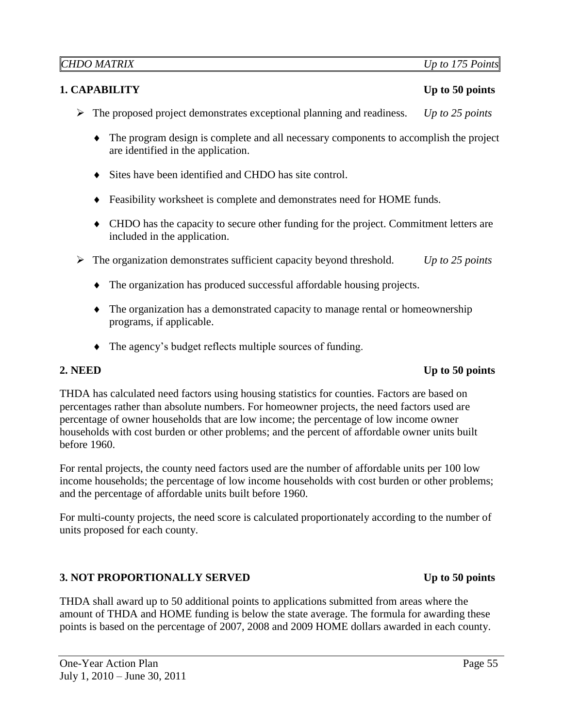## **1. CAPABILITY** Up to 50 points

- The proposed project demonstrates exceptional planning and readiness. *Up to 25 points*
	- The program design is complete and all necessary components to accomplish the project are identified in the application.
	- Sites have been identified and CHDO has site control.
	- Feasibility worksheet is complete and demonstrates need for HOME funds.
	- CHDO has the capacity to secure other funding for the project. Commitment letters are included in the application.
- The organization demonstrates sufficient capacity beyond threshold. *Up to 25 points*
	- The organization has produced successful affordable housing projects.
	- The organization has a demonstrated capacity to manage rental or homeownership programs, if applicable.
	- The agency's budget reflects multiple sources of funding.

### **2.** NEED Up to 50 points

THDA has calculated need factors using housing statistics for counties. Factors are based on percentages rather than absolute numbers. For homeowner projects, the need factors used are percentage of owner households that are low income; the percentage of low income owner households with cost burden or other problems; and the percent of affordable owner units built before 1960.

For rental projects, the county need factors used are the number of affordable units per 100 low income households; the percentage of low income households with cost burden or other problems; and the percentage of affordable units built before 1960.

For multi-county projects, the need score is calculated proportionately according to the number of units proposed for each county.

### **3. NOT PROPORTIONALLY SERVED** Up to 50 points

THDA shall award up to 50 additional points to applications submitted from areas where the amount of THDA and HOME funding is below the state average. The formula for awarding these points is based on the percentage of 2007, 2008 and 2009 HOME dollars awarded in each county.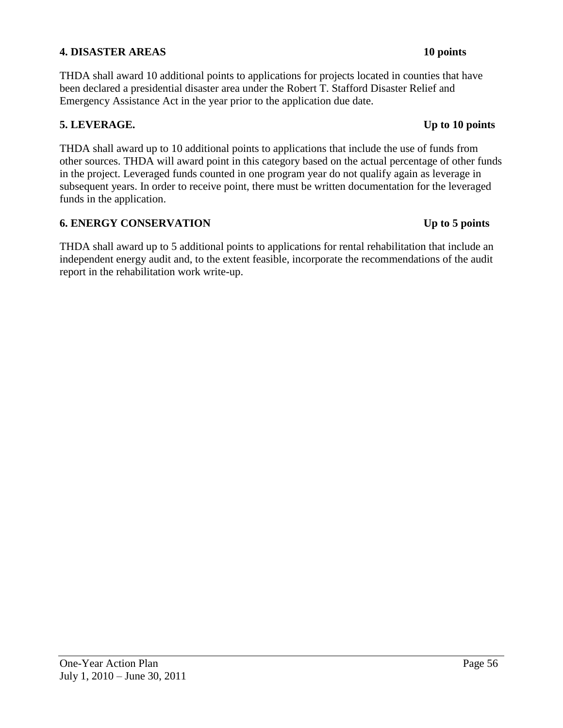### **4. DISASTER AREAS 10 points**

THDA shall award 10 additional points to applications for projects located in counties that have been declared a presidential disaster area under the Robert T. Stafford Disaster Relief and Emergency Assistance Act in the year prior to the application due date.

### **5. LEVERAGE. Up to 10 points**

THDA shall award up to 10 additional points to applications that include the use of funds from other sources. THDA will award point in this category based on the actual percentage of other funds in the project. Leveraged funds counted in one program year do not qualify again as leverage in subsequent years. In order to receive point, there must be written documentation for the leveraged funds in the application.

### **6. ENERGY CONSERVATION Up to 5 points**

THDA shall award up to 5 additional points to applications for rental rehabilitation that include an independent energy audit and, to the extent feasible, incorporate the recommendations of the audit report in the rehabilitation work write-up.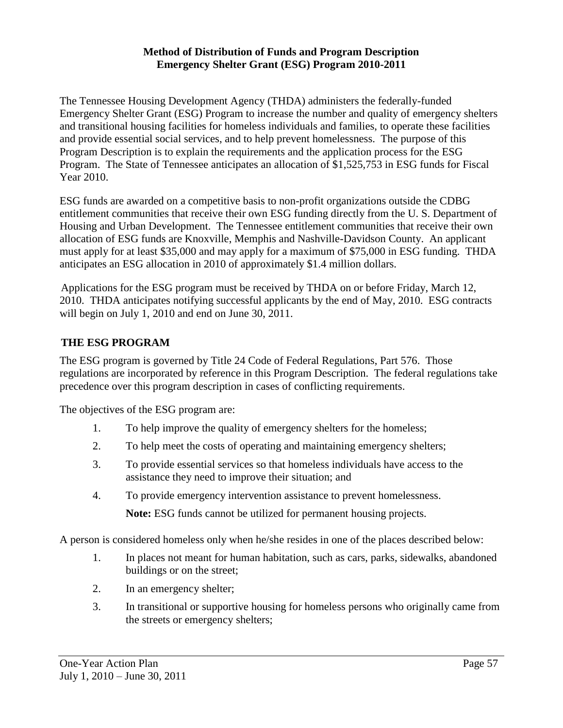### **Method of Distribution of Funds and Program Description Emergency Shelter Grant (ESG) Program 2010-2011**

The Tennessee Housing Development Agency (THDA) administers the federally-funded Emergency Shelter Grant (ESG) Program to increase the number and quality of emergency shelters and transitional housing facilities for homeless individuals and families, to operate these facilities and provide essential social services, and to help prevent homelessness. The purpose of this Program Description is to explain the requirements and the application process for the ESG Program. The State of Tennessee anticipates an allocation of \$1,525,753 in ESG funds for Fiscal Year 2010.

ESG funds are awarded on a competitive basis to non-profit organizations outside the CDBG entitlement communities that receive their own ESG funding directly from the U. S. Department of Housing and Urban Development. The Tennessee entitlement communities that receive their own allocation of ESG funds are Knoxville, Memphis and Nashville-Davidson County. An applicant must apply for at least \$35,000 and may apply for a maximum of \$75,000 in ESG funding. THDA anticipates an ESG allocation in 2010 of approximately \$1.4 million dollars.

Applications for the ESG program must be received by THDA on or before Friday, March 12, 2010. THDA anticipates notifying successful applicants by the end of May, 2010. ESG contracts will begin on July 1, 2010 and end on June 30, 2011.

## **THE ESG PROGRAM**

The ESG program is governed by Title 24 Code of Federal Regulations, Part 576. Those regulations are incorporated by reference in this Program Description. The federal regulations take precedence over this program description in cases of conflicting requirements.

The objectives of the ESG program are:

- 1. To help improve the quality of emergency shelters for the homeless;
- 2. To help meet the costs of operating and maintaining emergency shelters;
- 3. To provide essential services so that homeless individuals have access to the assistance they need to improve their situation; and
- 4. To provide emergency intervention assistance to prevent homelessness.

**Note:** ESG funds cannot be utilized for permanent housing projects.

A person is considered homeless only when he/she resides in one of the places described below:

- 1. In places not meant for human habitation, such as cars, parks, sidewalks, abandoned buildings or on the street;
- 2. In an emergency shelter;
- 3. In transitional or supportive housing for homeless persons who originally came from the streets or emergency shelters;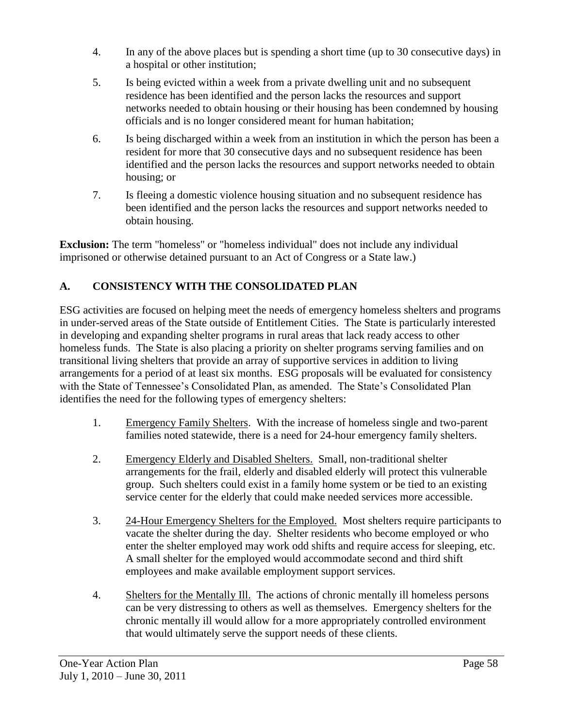- 4. In any of the above places but is spending a short time (up to 30 consecutive days) in a hospital or other institution;
- 5. Is being evicted within a week from a private dwelling unit and no subsequent residence has been identified and the person lacks the resources and support networks needed to obtain housing or their housing has been condemned by housing officials and is no longer considered meant for human habitation;
- 6. Is being discharged within a week from an institution in which the person has been a resident for more that 30 consecutive days and no subsequent residence has been identified and the person lacks the resources and support networks needed to obtain housing; or
- 7. Is fleeing a domestic violence housing situation and no subsequent residence has been identified and the person lacks the resources and support networks needed to obtain housing.

**Exclusion:** The term "homeless" or "homeless individual" does not include any individual imprisoned or otherwise detained pursuant to an Act of Congress or a State law.)

# **A. CONSISTENCY WITH THE CONSOLIDATED PLAN**

ESG activities are focused on helping meet the needs of emergency homeless shelters and programs in under-served areas of the State outside of Entitlement Cities. The State is particularly interested in developing and expanding shelter programs in rural areas that lack ready access to other homeless funds. The State is also placing a priority on shelter programs serving families and on transitional living shelters that provide an array of supportive services in addition to living arrangements for a period of at least six months. ESG proposals will be evaluated for consistency with the State of Tennessee's Consolidated Plan, as amended. The State's Consolidated Plan identifies the need for the following types of emergency shelters:

- 1. Emergency Family Shelters. With the increase of homeless single and two-parent families noted statewide, there is a need for 24-hour emergency family shelters.
- 2. Emergency Elderly and Disabled Shelters. Small, non-traditional shelter arrangements for the frail, elderly and disabled elderly will protect this vulnerable group. Such shelters could exist in a family home system or be tied to an existing service center for the elderly that could make needed services more accessible.
- 3. 24-Hour Emergency Shelters for the Employed. Most shelters require participants to vacate the shelter during the day. Shelter residents who become employed or who enter the shelter employed may work odd shifts and require access for sleeping, etc. A small shelter for the employed would accommodate second and third shift employees and make available employment support services.
- 4. Shelters for the Mentally Ill. The actions of chronic mentally ill homeless persons can be very distressing to others as well as themselves. Emergency shelters for the chronic mentally ill would allow for a more appropriately controlled environment that would ultimately serve the support needs of these clients.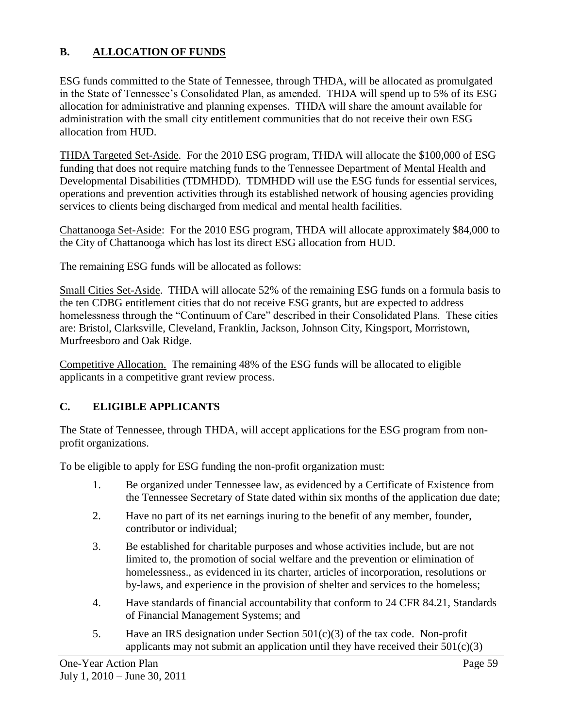# **B. ALLOCATION OF FUNDS**

ESG funds committed to the State of Tennessee, through THDA, will be allocated as promulgated in the State of Tennessee's Consolidated Plan, as amended. THDA will spend up to 5% of its ESG allocation for administrative and planning expenses. THDA will share the amount available for administration with the small city entitlement communities that do not receive their own ESG allocation from HUD.

THDA Targeted Set-Aside. For the 2010 ESG program, THDA will allocate the \$100,000 of ESG funding that does not require matching funds to the Tennessee Department of Mental Health and Developmental Disabilities (TDMHDD). TDMHDD will use the ESG funds for essential services, operations and prevention activities through its established network of housing agencies providing services to clients being discharged from medical and mental health facilities.

Chattanooga Set-Aside: For the 2010 ESG program, THDA will allocate approximately \$84,000 to the City of Chattanooga which has lost its direct ESG allocation from HUD.

The remaining ESG funds will be allocated as follows:

Small Cities Set-Aside. THDA will allocate 52% of the remaining ESG funds on a formula basis to the ten CDBG entitlement cities that do not receive ESG grants, but are expected to address homelessness through the "Continuum of Care" described in their Consolidated Plans. These cities are: Bristol, Clarksville, Cleveland, Franklin, Jackson, Johnson City, Kingsport, Morristown, Murfreesboro and Oak Ridge.

Competitive Allocation. The remaining 48% of the ESG funds will be allocated to eligible applicants in a competitive grant review process.

## **C. ELIGIBLE APPLICANTS**

The State of Tennessee, through THDA, will accept applications for the ESG program from nonprofit organizations.

To be eligible to apply for ESG funding the non-profit organization must:

- 1. Be organized under Tennessee law, as evidenced by a Certificate of Existence from the Tennessee Secretary of State dated within six months of the application due date;
- 2. Have no part of its net earnings inuring to the benefit of any member, founder, contributor or individual;
- 3. Be established for charitable purposes and whose activities include, but are not limited to, the promotion of social welfare and the prevention or elimination of homelessness., as evidenced in its charter, articles of incorporation, resolutions or by-laws, and experience in the provision of shelter and services to the homeless;
- 4. Have standards of financial accountability that conform to 24 CFR 84.21, Standards of Financial Management Systems; and
- 5. Have an IRS designation under Section  $501(c)(3)$  of the tax code. Non-profit applicants may not submit an application until they have received their  $501(c)(3)$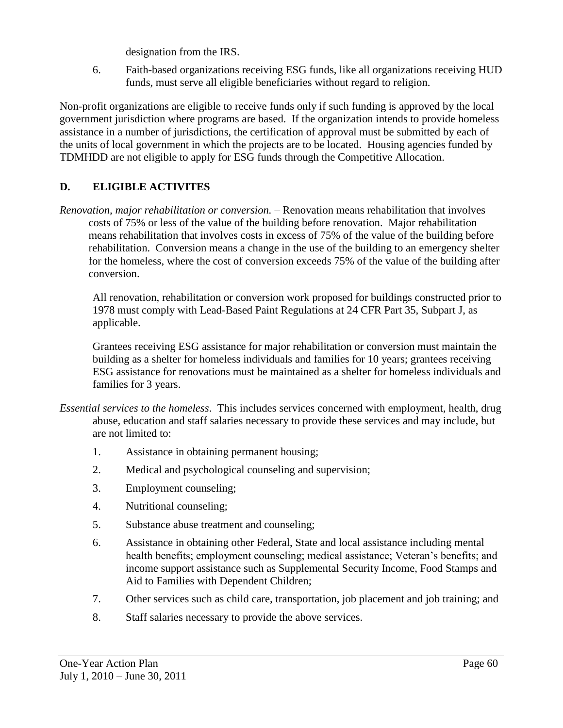designation from the IRS.

6. Faith-based organizations receiving ESG funds, like all organizations receiving HUD funds, must serve all eligible beneficiaries without regard to religion.

Non-profit organizations are eligible to receive funds only if such funding is approved by the local government jurisdiction where programs are based. If the organization intends to provide homeless assistance in a number of jurisdictions, the certification of approval must be submitted by each of the units of local government in which the projects are to be located. Housing agencies funded by TDMHDD are not eligible to apply for ESG funds through the Competitive Allocation.

# **D. ELIGIBLE ACTIVITES**

*Renovation, major rehabilitation or conversion.* – Renovation means rehabilitation that involves costs of 75% or less of the value of the building before renovation. Major rehabilitation means rehabilitation that involves costs in excess of 75% of the value of the building before rehabilitation. Conversion means a change in the use of the building to an emergency shelter for the homeless, where the cost of conversion exceeds 75% of the value of the building after conversion.

All renovation, rehabilitation or conversion work proposed for buildings constructed prior to 1978 must comply with Lead-Based Paint Regulations at 24 CFR Part 35, Subpart J, as applicable.

Grantees receiving ESG assistance for major rehabilitation or conversion must maintain the building as a shelter for homeless individuals and families for 10 years; grantees receiving ESG assistance for renovations must be maintained as a shelter for homeless individuals and families for 3 years.

- *Essential services to the homeless*. This includes services concerned with employment, health, drug abuse, education and staff salaries necessary to provide these services and may include, but are not limited to:
	- 1. Assistance in obtaining permanent housing;
	- 2. Medical and psychological counseling and supervision;
	- 3. Employment counseling;
	- 4. Nutritional counseling;
	- 5. Substance abuse treatment and counseling;
	- 6. Assistance in obtaining other Federal, State and local assistance including mental health benefits; employment counseling; medical assistance; Veteran's benefits; and income support assistance such as Supplemental Security Income, Food Stamps and Aid to Families with Dependent Children;
	- 7. Other services such as child care, transportation, job placement and job training; and
	- 8. Staff salaries necessary to provide the above services.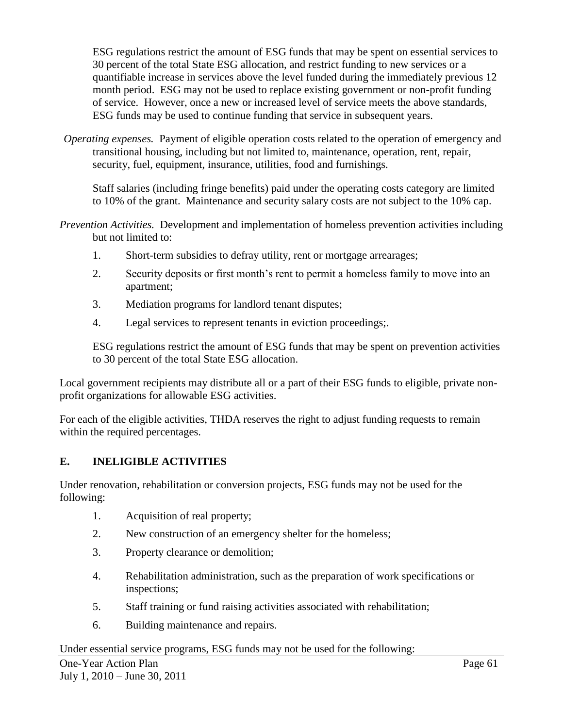ESG regulations restrict the amount of ESG funds that may be spent on essential services to 30 percent of the total State ESG allocation, and restrict funding to new services or a quantifiable increase in services above the level funded during the immediately previous 12 month period. ESG may not be used to replace existing government or non-profit funding of service. However, once a new or increased level of service meets the above standards, ESG funds may be used to continue funding that service in subsequent years.

*Operating expenses.* Payment of eligible operation costs related to the operation of emergency and transitional housing, including but not limited to, maintenance, operation, rent, repair, security, fuel, equipment, insurance, utilities, food and furnishings.

Staff salaries (including fringe benefits) paid under the operating costs category are limited to 10% of the grant. Maintenance and security salary costs are not subject to the 10% cap.

- *Prevention Activities.* Development and implementation of homeless prevention activities including but not limited to:
	- 1. Short-term subsidies to defray utility, rent or mortgage arrearages;
	- 2. Security deposits or first month's rent to permit a homeless family to move into an apartment;
	- 3. Mediation programs for landlord tenant disputes;
	- 4. Legal services to represent tenants in eviction proceedings;.

ESG regulations restrict the amount of ESG funds that may be spent on prevention activities to 30 percent of the total State ESG allocation.

Local government recipients may distribute all or a part of their ESG funds to eligible, private nonprofit organizations for allowable ESG activities.

For each of the eligible activities, THDA reserves the right to adjust funding requests to remain within the required percentages.

# **E. INELIGIBLE ACTIVITIES**

Under renovation, rehabilitation or conversion projects, ESG funds may not be used for the following:

- 1. Acquisition of real property;
- 2. New construction of an emergency shelter for the homeless;
- 3. Property clearance or demolition;
- 4. Rehabilitation administration, such as the preparation of work specifications or inspections;
- 5. Staff training or fund raising activities associated with rehabilitation;
- 6. Building maintenance and repairs.

## Under essential service programs, ESG funds may not be used for the following: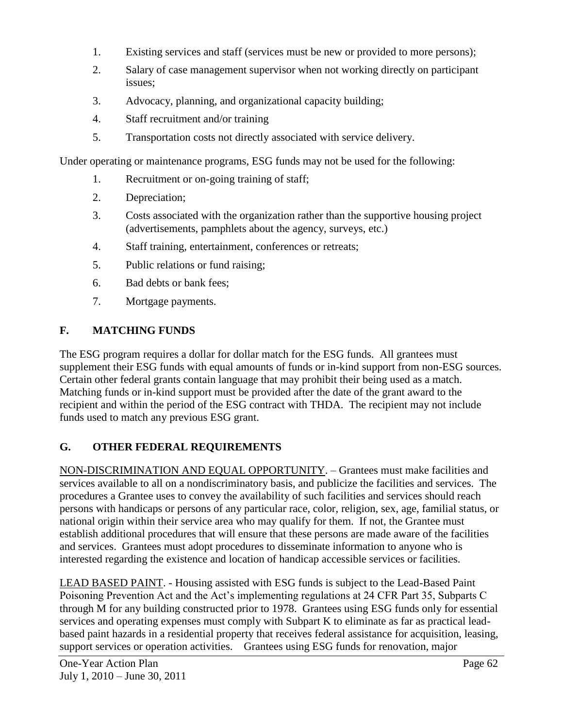- 1. Existing services and staff (services must be new or provided to more persons);
- 2. Salary of case management supervisor when not working directly on participant issues;
- 3. Advocacy, planning, and organizational capacity building;
- 4. Staff recruitment and/or training
- 5. Transportation costs not directly associated with service delivery.

Under operating or maintenance programs, ESG funds may not be used for the following:

- 1. Recruitment or on-going training of staff;
- 2. Depreciation;
- 3. Costs associated with the organization rather than the supportive housing project (advertisements, pamphlets about the agency, surveys, etc.)
- 4. Staff training, entertainment, conferences or retreats;
- 5. Public relations or fund raising;
- 6. Bad debts or bank fees;
- 7. Mortgage payments.

## **F. MATCHING FUNDS**

The ESG program requires a dollar for dollar match for the ESG funds.All grantees must supplement their ESG funds with equal amounts of funds or in-kind support from non-ESG sources. Certain other federal grants contain language that may prohibit their being used as a match. Matching funds or in-kind support must be provided after the date of the grant award to the recipient and within the period of the ESG contract with THDA. The recipient may not include funds used to match any previous ESG grant.

# **G. OTHER FEDERAL REQUIREMENTS**

NON-DISCRIMINATION AND EQUAL OPPORTUNITY. – Grantees must make facilities and services available to all on a nondiscriminatory basis, and publicize the facilities and services. The procedures a Grantee uses to convey the availability of such facilities and services should reach persons with handicaps or persons of any particular race, color, religion, sex, age, familial status, or national origin within their service area who may qualify for them. If not, the Grantee must establish additional procedures that will ensure that these persons are made aware of the facilities and services. Grantees must adopt procedures to disseminate information to anyone who is interested regarding the existence and location of handicap accessible services or facilities.

LEAD BASED PAINT. - Housing assisted with ESG funds is subject to the Lead-Based Paint Poisoning Prevention Act and the Act's implementing regulations at 24 CFR Part 35, Subparts C through M for any building constructed prior to 1978. Grantees using ESG funds only for essential services and operating expenses must comply with Subpart K to eliminate as far as practical leadbased paint hazards in a residential property that receives federal assistance for acquisition, leasing, support services or operation activities. Grantees using ESG funds for renovation, major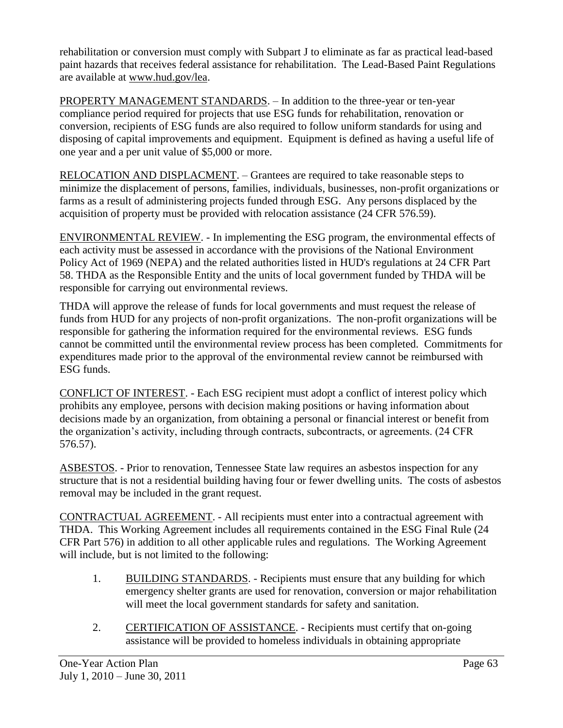rehabilitation or conversion must comply with Subpart J to eliminate as far as practical lead-based paint hazards that receives federal assistance for rehabilitation. The Lead-Based Paint Regulations are available at [www.hud.gov/lea.](http://www.hud.gov/lea)

PROPERTY MANAGEMENT STANDARDS. – In addition to the three-year or ten-year compliance period required for projects that use ESG funds for rehabilitation, renovation or conversion, recipients of ESG funds are also required to follow uniform standards for using and disposing of capital improvements and equipment. Equipment is defined as having a useful life of one year and a per unit value of \$5,000 or more.

RELOCATION AND DISPLACMENT. – Grantees are required to take reasonable steps to minimize the displacement of persons, families, individuals, businesses, non-profit organizations or farms as a result of administering projects funded through ESG. Any persons displaced by the acquisition of property must be provided with relocation assistance (24 CFR 576.59).

ENVIRONMENTAL REVIEW. - In implementing the ESG program, the environmental effects of each activity must be assessed in accordance with the provisions of the National Environment Policy Act of 1969 (NEPA) and the related authorities listed in HUD's regulations at 24 CFR Part 58. THDA as the Responsible Entity and the units of local government funded by THDA will be responsible for carrying out environmental reviews.

THDA will approve the release of funds for local governments and must request the release of funds from HUD for any projects of non-profit organizations. The non-profit organizations will be responsible for gathering the information required for the environmental reviews. ESG funds cannot be committed until the environmental review process has been completed. Commitments for expenditures made prior to the approval of the environmental review cannot be reimbursed with ESG funds.

CONFLICT OF INTEREST. - Each ESG recipient must adopt a conflict of interest policy which prohibits any employee, persons with decision making positions or having information about decisions made by an organization, from obtaining a personal or financial interest or benefit from the organization's activity, including through contracts, subcontracts, or agreements. (24 CFR 576.57).

ASBESTOS. - Prior to renovation, Tennessee State law requires an asbestos inspection for any structure that is not a residential building having four or fewer dwelling units. The costs of asbestos removal may be included in the grant request.

CONTRACTUAL AGREEMENT. - All recipients must enter into a contractual agreement with THDA. This Working Agreement includes all requirements contained in the ESG Final Rule (24 CFR Part 576) in addition to all other applicable rules and regulations. The Working Agreement will include, but is not limited to the following:

- 1. BUILDING STANDARDS. Recipients must ensure that any building for which emergency shelter grants are used for renovation, conversion or major rehabilitation will meet the local government standards for safety and sanitation.
- 2. CERTIFICATION OF ASSISTANCE. Recipients must certify that on-going assistance will be provided to homeless individuals in obtaining appropriate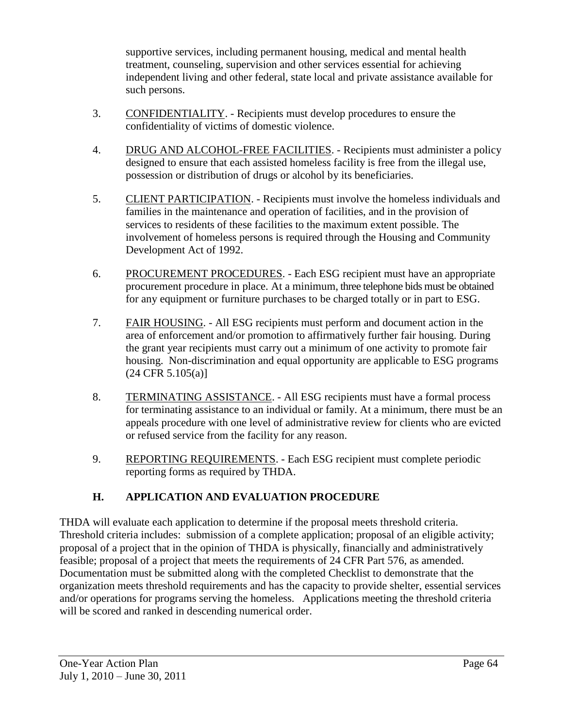supportive services, including permanent housing, medical and mental health treatment, counseling, supervision and other services essential for achieving independent living and other federal, state local and private assistance available for such persons.

- 3. CONFIDENTIALITY. Recipients must develop procedures to ensure the confidentiality of victims of domestic violence.
- 4. DRUG AND ALCOHOL-FREE FACILITIES. Recipients must administer a policy designed to ensure that each assisted homeless facility is free from the illegal use, possession or distribution of drugs or alcohol by its beneficiaries.
- 5. CLIENT PARTICIPATION. Recipients must involve the homeless individuals and families in the maintenance and operation of facilities, and in the provision of services to residents of these facilities to the maximum extent possible. The involvement of homeless persons is required through the Housing and Community Development Act of 1992.
- 6. PROCUREMENT PROCEDURES. Each ESG recipient must have an appropriate procurement procedure in place. At a minimum, three telephone bids must be obtained for any equipment or furniture purchases to be charged totally or in part to ESG.
- 7. FAIR HOUSING. All ESG recipients must perform and document action in the area of enforcement and/or promotion to affirmatively further fair housing. During the grant year recipients must carry out a minimum of one activity to promote fair housing. Non-discrimination and equal opportunity are applicable to ESG programs  $(24 \text{ CFR } 5.105(a)]$
- 8. TERMINATING ASSISTANCE. All ESG recipients must have a formal process for terminating assistance to an individual or family. At a minimum, there must be an appeals procedure with one level of administrative review for clients who are evicted or refused service from the facility for any reason.
- 9. REPORTING REQUIREMENTS. Each ESG recipient must complete periodic reporting forms as required by THDA.

# **H. APPLICATION AND EVALUATION PROCEDURE**

THDA will evaluate each application to determine if the proposal meets threshold criteria. Threshold criteria includes: submission of a complete application; proposal of an eligible activity; proposal of a project that in the opinion of THDA is physically, financially and administratively feasible; proposal of a project that meets the requirements of 24 CFR Part 576, as amended. Documentation must be submitted along with the completed Checklist to demonstrate that the organization meets threshold requirements and has the capacity to provide shelter, essential services and/or operations for programs serving the homeless. Applications meeting the threshold criteria will be scored and ranked in descending numerical order.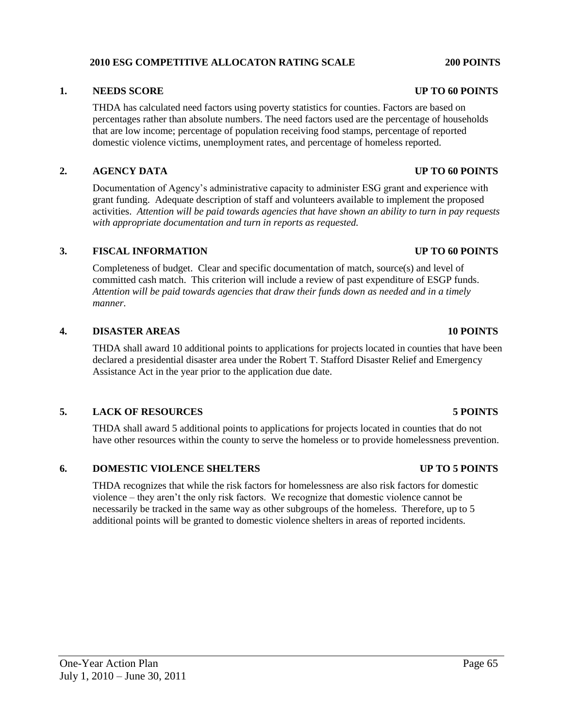### **2010 ESG COMPETITIVE ALLOCATON RATING SCALE 200 POINTS**

### **1. NEEDS SCORE UP TO 60 POINTS**

THDA has calculated need factors using poverty statistics for counties. Factors are based on percentages rather than absolute numbers. The need factors used are the percentage of households that are low income; percentage of population receiving food stamps, percentage of reported domestic violence victims, unemployment rates, and percentage of homeless reported.

### **2. AGENCY DATA UP TO 60 POINTS**

Documentation of Agency's administrative capacity to administer ESG grant and experience with grant funding. Adequate description of staff and volunteers available to implement the proposed activities. *Attention will be paid towards agencies that have shown an ability to turn in pay requests with appropriate documentation and turn in reports as requested.*

### **3. FISCAL INFORMATION UP TO 60 POINTS**

Completeness of budget. Clear and specific documentation of match, source(s) and level of committed cash match. This criterion will include a review of past expenditure of ESGP funds. *Attention will be paid towards agencies that draw their funds down as needed and in a timely manner.*

### **4. DISASTER AREAS 10 POINTS**

THDA shall award 10 additional points to applications for projects located in counties that have been declared a presidential disaster area under the Robert T. Stafford Disaster Relief and Emergency Assistance Act in the year prior to the application due date.

### **5. LACK OF RESOURCES 5 POINTS**

THDA shall award 5 additional points to applications for projects located in counties that do not have other resources within the county to serve the homeless or to provide homelessness prevention.

### **6. DOMESTIC VIOLENCE SHELTERS UP TO 5 POINTS**

THDA recognizes that while the risk factors for homelessness are also risk factors for domestic violence – they aren't the only risk factors. We recognize that domestic violence cannot be necessarily be tracked in the same way as other subgroups of the homeless. Therefore, up to 5 additional points will be granted to domestic violence shelters in areas of reported incidents.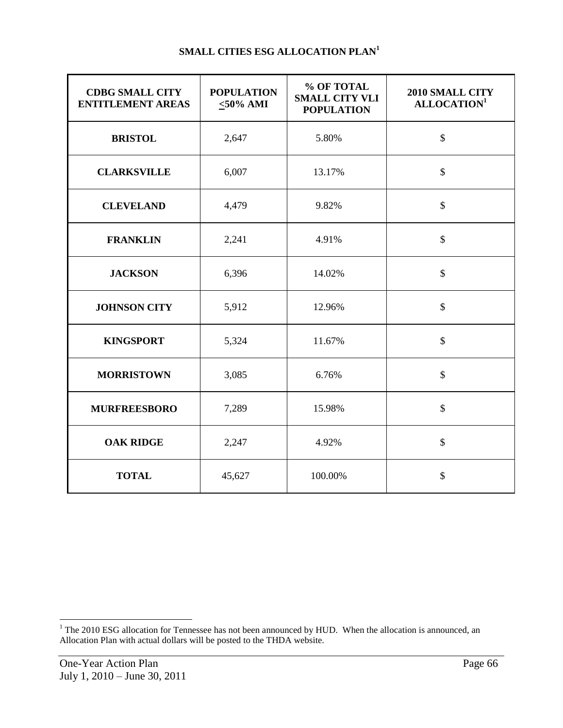| <b>CDBG SMALL CITY</b><br><b>ENTITLEMENT AREAS</b> | <b>POPULATION</b><br>$\leq 50\%$ AMI | % OF TOTAL<br><b>SMALL CITY VLI</b><br><b>POPULATION</b> | 2010 SMALL CITY<br>ALLOCATION <sup>1</sup> |
|----------------------------------------------------|--------------------------------------|----------------------------------------------------------|--------------------------------------------|
| <b>BRISTOL</b>                                     | 2,647                                | 5.80%                                                    | $\mathbb{S}$                               |
| <b>CLARKSVILLE</b>                                 | 6,007                                | 13.17%                                                   | $\mathbb{S}$                               |
| <b>CLEVELAND</b>                                   | 4,479                                | 9.82%                                                    | $\mathbb{S}$                               |
| <b>FRANKLIN</b>                                    | 2,241                                | 4.91%                                                    | \$                                         |
| <b>JACKSON</b>                                     | 6,396                                | 14.02%                                                   | $\mathbb{S}$                               |
| <b>JOHNSON CITY</b>                                | 5,912                                | 12.96%                                                   | \$                                         |
| <b>KINGSPORT</b>                                   | 5,324                                | 11.67%                                                   | \$                                         |
| <b>MORRISTOWN</b>                                  | 3,085                                | 6.76%                                                    | \$                                         |
| <b>MURFREESBORO</b>                                | 7,289                                | 15.98%                                                   | \$                                         |
| <b>OAK RIDGE</b>                                   | 2,247                                | 4.92%                                                    | \$                                         |
| <b>TOTAL</b>                                       | 45,627                               | 100.00%                                                  | \$                                         |

l

 $1$  The 2010 ESG allocation for Tennessee has not been announced by HUD. When the allocation is announced, an Allocation Plan with actual dollars will be posted to the THDA website.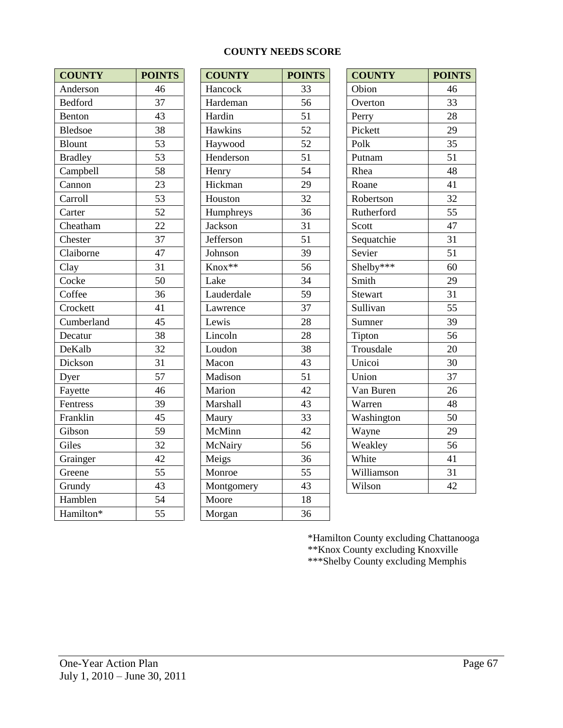### **COUNTY NEEDS SCORE**

| <b>COUNTY</b>  | <b>POINTS</b>   | <b>COUNTY</b> | <b>POIN</b>     |
|----------------|-----------------|---------------|-----------------|
| Anderson       | 46              | Hancock       | 33              |
| <b>Bedford</b> | 37              | Hardeman      | 56              |
| Benton         | 43              | Hardin        | 51              |
| <b>Bledsoe</b> | 38              | Hawkins       | 52              |
| <b>Blount</b>  | 53              | Haywood       | 52              |
| <b>Bradley</b> | 53              | Henderson     | 51              |
| Campbell       | 58              | Henry         | 54              |
| Cannon         | 23              | Hickman       | 29              |
| Carroll        | 53              | Houston       | 32              |
| Carter         | 52              | Humphreys     | 36              |
| Cheatham       | 22              | Jackson       | 31              |
| Chester        | $\overline{37}$ | Jefferson     | $\overline{51}$ |
| Claiborne      | 47              | Johnson       | 39              |
| Clay           | 31              | Knox**        | 56              |
| Cocke          | 50              | Lake          | 34              |
| Coffee         | 36              | Lauderdale    | 59              |
| Crockett       | 41              | Lawrence      | 37              |
| Cumberland     | 45              | Lewis         | 28              |
| Decatur        | 38              | Lincoln       | 28              |
| DeKalb         | 32              | Loudon        | 38              |
| Dickson        | 31              | Macon         | 43              |
| Dyer           | 57              | Madison       | 51              |
| Fayette        | 46              | Marion        | 42              |
| Fentress       | 39              | Marshall      | 43              |
| Franklin       | 45              | Maury         | 33              |
| Gibson         | 59              | McMinn        | $\overline{42}$ |
| Giles          | 32              | McNairy       | $\overline{56}$ |
| Grainger       | 42              | Meigs         | 36              |
| Greene         | 55              | Monroe        | 55              |
| Grundy         | 43              | Montgomery    | 43              |
| Hamblen        | 54              | Moore         | 18              |
| Hamilton*      | 55              | Morgan        | 36              |

| <b>COUNTY</b>  | <b>POINTS</b> | <b>COUNTY</b> | <b>POINTS</b> | <b>COUNTY</b> | <b>POINTS</b> |
|----------------|---------------|---------------|---------------|---------------|---------------|
| Anderson       | 46            | Hancock       | 33            | Obion         | 46            |
| <b>Bedford</b> | 37            | Hardeman      | 56            | Overton       | 33            |
| Benton         | 43            | Hardin        | 51            | Perry         | 28            |
| Bledsoe        | 38            | Hawkins       | 52            | Pickett       | 29            |
| Blount         | 53            | Haywood       | 52            | Polk          | 35            |
| <b>Bradley</b> | 53            | Henderson     | 51            | Putnam        | 51            |
| Campbell       | 58            | Henry         | 54            | Rhea          | 48            |
| Cannon         | 23            | Hickman       | 29            | Roane         | 41            |
| Carroll        | 53            | Houston       | 32            | Robertson     | 32            |
| Carter         | 52            | Humphreys     | 36            | Rutherford    | 55            |
| Cheatham       | 22            | Jackson       | 31            | Scott         | 47            |
| Chester        | 37            | Jefferson     | 51            | Sequatchie    | 31            |
| Claiborne      | 47            | Johnson       | 39            | Sevier        | 51            |
| Clay           | 31            | Knox**        | 56            | Shelby***     | 60            |
| Cocke          | 50            | Lake          | 34            | Smith         | 29            |
| Coffee         | 36            | Lauderdale    | 59            | Stewart       | 31            |
| Crockett       | 41            | Lawrence      | 37            | Sullivan      | 55            |
| Cumberland     | 45            | Lewis         | 28            | Sumner        | 39            |
| Decatur        | 38            | Lincoln       | 28            | Tipton        | 56            |
| DeKalb         | 32            | Loudon        | 38            | Trousdale     | 20            |
| Dickson        | 31            | Macon         | 43            | Unicoi        | 30            |
| Dyer           | 57            | Madison       | 51            | Union         | 37            |
| Fayette        | 46            | Marion        | 42            | Van Buren     | 26            |
| Fentress       | 39            | Marshall      | 43            | Warren        | 48            |
| Franklin       | 45            | Maury         | 33            | Washington    | 50            |
| Gibson         | 59            | McMinn        | 42            | Wayne         | 29            |
| Giles          | 32            | McNairy       | 56            | Weakley       | 56            |
| Grainger       | 42            | Meigs         | 36            | White         | 41            |
| Greene         | 55            | Monroe        | 55            | Williamson    | 31            |
| Grundy         | 43            | Montgomery    | 43            | Wilson        | 42            |
| Hamblen        | 54            | Moore         | 18            |               |               |
| Hamilton*      | 55            | Morgan        | 36            |               |               |

| <b>COUNTY</b>  | <b>POINTS</b> |
|----------------|---------------|
| Obion          | 46            |
| Overton        | 33            |
| Perry          | 28            |
| Pickett        | 29            |
| Polk           | 35            |
| Putnam         | 51            |
| Rhea           | 48            |
| Roane          | 41            |
| Robertson      | 32            |
| Rutherford     | 55            |
| Scott          | 47            |
| Sequatchie     | 31            |
| Sevier         | 51            |
| $S$ helby***   | 60            |
| Smith          | 29            |
| <b>Stewart</b> | 31            |
| Sullivan       | 55            |
| Sumner         | 39            |
| Tipton         | 56            |
| Trousdale      | 20            |
| Unicoi         | 30            |
| Union          | 37            |
| Van Buren      | 26            |
| Warren         | 48            |
| Washington     | 50            |
| Wayne          | 29            |
| Weakley        | 56            |
| White          | 41            |
| Williamson     | 31            |
| Wilson         | 42            |

\*Hamilton County excluding Chattanooga \*\*Knox County excluding Knoxville \*\*\*Shelby County excluding Memphis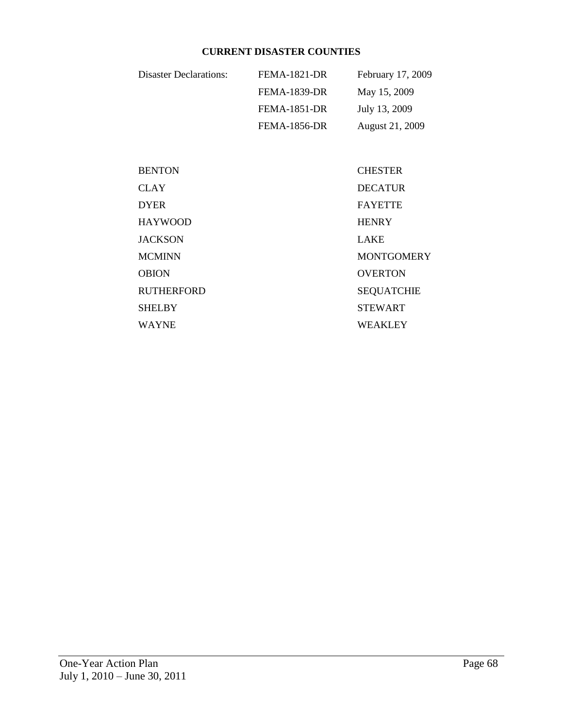### **CURRENT DISASTER COUNTIES**

| Disaster Declarations: | <b>FEMA-1821-DR</b> | February 17, 2009 |
|------------------------|---------------------|-------------------|
|                        | FEMA-1839-DR        | May 15, 2009      |
|                        | FEMA-1851-DR        | July 13, 2009     |
|                        | <b>FEMA-1856-DR</b> | August 21, 2009   |

| <b>BENTON</b> | <b>CHESTER</b>    |
|---------------|-------------------|
| CLAY          | <b>DECATUR</b>    |
| DYER          | <b>FAYETTE</b>    |
| HAYWOOD       | <b>HENRY</b>      |
| JACKSON       | <b>LAKE</b>       |
| <b>MCMINN</b> | <b>MONTGOMERY</b> |
| <b>OBION</b>  | <b>OVERTON</b>    |
| RUTHERFORD    | <b>SEQUATCHIE</b> |
| SHELBY        | <b>STEWART</b>    |
| WAYNE         | <b>WEAKLEY</b>    |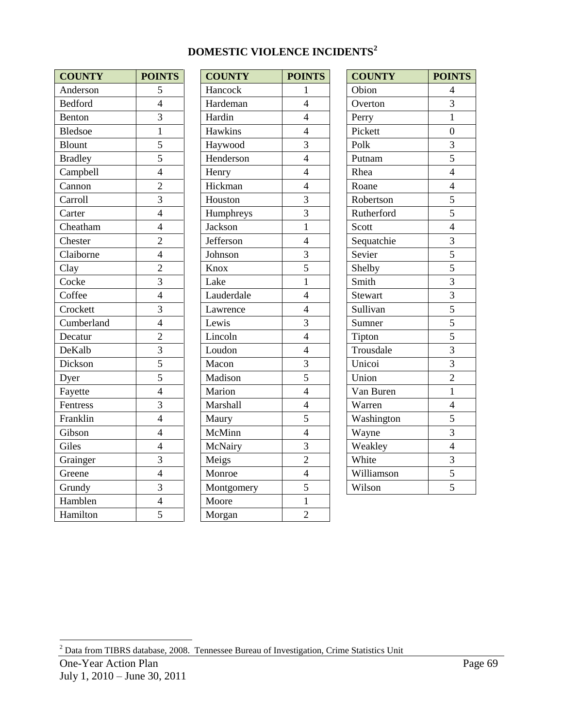# **DOMESTIC VIOLENCE INCIDENTS<sup>2</sup>**

| <b>COUNTY</b>  | <b>POINTS</b>  | <b>COUNTY</b> | POIN           |
|----------------|----------------|---------------|----------------|
| Anderson       | 5              | Hancock       | $\mathbf{1}$   |
| <b>Bedford</b> | $\overline{4}$ | Hardeman      | $\overline{4}$ |
| Benton         | $\overline{3}$ | Hardin        | $\overline{4}$ |
| <b>Bledsoe</b> | $\mathbf{1}$   | Hawkins       | $\overline{4}$ |
| <b>Blount</b>  | 5              | Haywood       | 3              |
| <b>Bradley</b> | $\overline{5}$ | Henderson     | $\overline{4}$ |
| Campbell       | $\overline{4}$ | Henry         | $\overline{4}$ |
| Cannon         | $\overline{c}$ | Hickman       | $\overline{4}$ |
| Carroll        | $\overline{3}$ | Houston       | $\overline{3}$ |
| Carter         | $\overline{4}$ | Humphreys     | 3              |
| Cheatham       | $\overline{4}$ | Jackson       | $\mathbf{1}$   |
| Chester        | $\overline{2}$ | Jefferson     | $\overline{4}$ |
| Claiborne      | $\overline{4}$ | Johnson       | 3              |
| Clay           | $\overline{2}$ | Knox          | $\overline{5}$ |
| Cocke          | 3              | Lake          | $\mathbf{1}$   |
| Coffee         | $\overline{4}$ | Lauderdale    | $\overline{4}$ |
| Crockett       | 3              | Lawrence      | $\overline{4}$ |
| Cumberland     | $\overline{4}$ | Lewis         | 3              |
| Decatur        | $\overline{2}$ | Lincoln       | $\overline{4}$ |
| DeKalb         | $\overline{3}$ | Loudon        | $\overline{4}$ |
| Dickson        | $\overline{5}$ | Macon         | $\frac{3}{5}$  |
| Dyer           | $\overline{5}$ | Madison       |                |
| Fayette        | $\overline{4}$ | Marion        | $\overline{4}$ |
| Fentress       | $\overline{3}$ | Marshall      | $\overline{4}$ |
| Franklin       | $\overline{4}$ | Maury         | 5              |
| Gibson         | $\overline{4}$ | McMinn        | $\overline{4}$ |
| Giles          | $\overline{4}$ | McNairy       | 3              |
| Grainger       | $\overline{3}$ | Meigs         | $\overline{c}$ |
| Greene         | $\overline{4}$ | Monroe        | $\overline{4}$ |
| Grundy         | $\overline{3}$ | Montgomery    | 5              |
| Hamblen        | $\overline{4}$ | Moore         | $\mathbf{1}$   |
| Hamilton       | $\overline{5}$ | Morgan        | $\overline{2}$ |

| <b>COUNTY</b>  | <b>POINTS</b>  | <b>COUNTY</b> | <b>POINTS</b>  | <b>COUNTY</b> | <b>POINTS</b>  |
|----------------|----------------|---------------|----------------|---------------|----------------|
| Anderson       | 5              | Hancock       | 1              | Obion         | $\overline{4}$ |
| <b>Bedford</b> | $\overline{4}$ | Hardeman      | $\overline{4}$ | Overton       | $\overline{3}$ |
| Benton         | $\overline{3}$ | Hardin        | $\overline{4}$ | Perry         | $\mathbf{1}$   |
| Bledsoe        | $\mathbf{1}$   | Hawkins       | $\overline{4}$ | Pickett       | $\overline{0}$ |
| Blount         | 5              | Haywood       | 3              | Polk          | 3              |
| <b>Bradley</b> | 5              | Henderson     | $\overline{4}$ | Putnam        | 5              |
| Campbell       | $\overline{4}$ | Henry         | $\overline{4}$ | Rhea          | $\overline{4}$ |
| Cannon         | $\overline{2}$ | Hickman       | $\overline{4}$ | Roane         | $\overline{4}$ |
| Carroll        | $\overline{3}$ | Houston       | 3              | Robertson     | 5              |
| Carter         | $\overline{4}$ | Humphreys     | $\overline{3}$ | Rutherford    | 5              |
| Cheatham       | $\overline{4}$ | Jackson       | $\mathbf{1}$   | Scott         | $\overline{4}$ |
| Chester        | $\overline{2}$ | Jefferson     | $\overline{4}$ | Sequatchie    | $\overline{3}$ |
| Claiborne      | $\overline{4}$ | Johnson       | 3              | Sevier        | $\overline{5}$ |
| Clay           | $\overline{2}$ | Knox          | 5              | Shelby        | 5              |
| Cocke          | $\overline{3}$ | Lake          | $\mathbf{1}$   | Smith         | $\overline{3}$ |
| Coffee         | $\overline{4}$ | Lauderdale    | $\overline{4}$ | Stewart       | $\overline{3}$ |
| Crockett       | $\overline{3}$ | Lawrence      | $\overline{4}$ | Sullivan      | $\overline{5}$ |
| Cumberland     | $\overline{4}$ | Lewis         | $\overline{3}$ | Sumner        | $\overline{5}$ |
| Decatur        | $\overline{2}$ | Lincoln       | $\overline{4}$ | Tipton        | $\overline{5}$ |
| DeKalb         | 3              | Loudon        | $\overline{4}$ | Trousdale     | 3              |
| Dickson        | $\overline{5}$ | Macon         | $\overline{3}$ | Unicoi        | $\overline{3}$ |
| Dyer           | 5              | Madison       | 5              | Union         | $\overline{2}$ |
| Fayette        | $\overline{4}$ | Marion        | $\overline{4}$ | Van Buren     | $\mathbf{1}$   |
| Fentress       | 3              | Marshall      | $\overline{4}$ | Warren        | $\overline{4}$ |
| Franklin       | $\overline{4}$ | Maury         | 5              | Washington    | 5              |
| Gibson         | $\overline{4}$ | McMinn        | $\overline{4}$ | Wayne         | $\overline{3}$ |
| Giles          | $\overline{4}$ | McNairy       | 3              | Weakley       | $\overline{4}$ |
| Grainger       | $\overline{3}$ | Meigs         | $\overline{2}$ | White         | $\overline{3}$ |
| Greene         | $\overline{4}$ | Monroe        | $\overline{4}$ | Williamson    | 5              |
| Grundy         | $\overline{3}$ | Montgomery    | 5              | Wilson        | $\overline{5}$ |
| Hamblen        | $\overline{4}$ | Moore         | $\mathbf{1}$   |               |                |
| Hamilton       | $\overline{5}$ | Morgan        | $\overline{2}$ |               |                |

| <b>COUNTY</b>  | <b>POINTS</b>                                                                                     |  |
|----------------|---------------------------------------------------------------------------------------------------|--|
| Obion          | $\overline{4}$                                                                                    |  |
| Overton        | 3                                                                                                 |  |
| Perry          | $\mathbf{1}$                                                                                      |  |
| Pickett        | $\overline{0}$                                                                                    |  |
| Polk           |                                                                                                   |  |
| Putnam         | $\frac{3}{5}$                                                                                     |  |
| Rhea           | $\overline{4}$                                                                                    |  |
| Roane          | $\overline{4}$                                                                                    |  |
| Robertson      | 5                                                                                                 |  |
| Rutherford     | $\frac{5}{4}$                                                                                     |  |
| Scott          |                                                                                                   |  |
| Sequatchie     |                                                                                                   |  |
| Sevier         |                                                                                                   |  |
| Shelby         |                                                                                                   |  |
| Smith          | $\frac{3}{5}$ $\frac{5}{3}$ $\frac{3}{3}$ $\frac{5}{5}$ $\frac{5}{3}$ $\frac{3}{3}$ $\frac{3}{2}$ |  |
| <b>Stewart</b> |                                                                                                   |  |
| Sullivan       |                                                                                                   |  |
| Sumner         |                                                                                                   |  |
| Tipton         |                                                                                                   |  |
| Trousdale      |                                                                                                   |  |
| Unicoi         |                                                                                                   |  |
| Union          |                                                                                                   |  |
| Van Buren      | $\overline{1}$                                                                                    |  |
| Warren         | $\overline{4}$                                                                                    |  |
| Washington     | 5                                                                                                 |  |
| Wayne          | $\frac{1}{3}$                                                                                     |  |
| Weakley        | $\overline{4}$                                                                                    |  |
| White          | $\frac{3}{5}$                                                                                     |  |
| Williamson     |                                                                                                   |  |
| Wilson         | $\overline{5}$                                                                                    |  |

l

 $^{2}$  Data from TIBRS database, 2008. Tennessee Bureau of Investigation, Crime Statistics Unit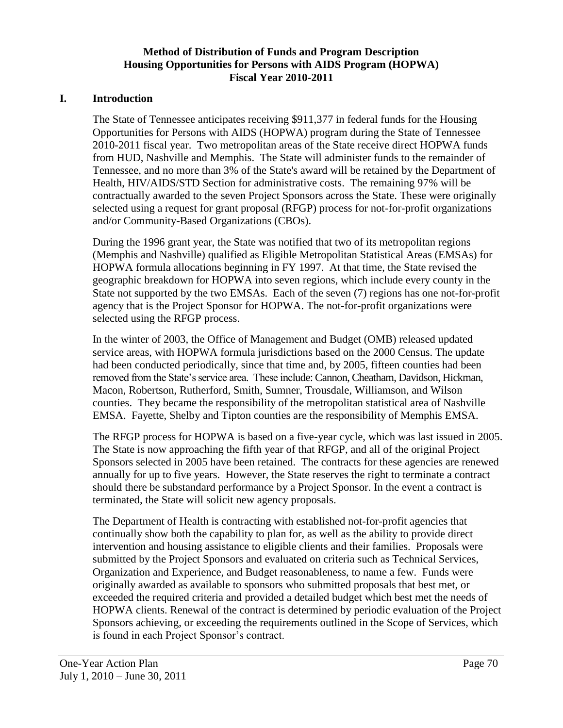## **Method of Distribution of Funds and Program Description Housing Opportunities for Persons with AIDS Program (HOPWA) Fiscal Year 2010-2011**

### **I. Introduction**

The State of Tennessee anticipates receiving \$911,377 in federal funds for the Housing Opportunities for Persons with AIDS (HOPWA) program during the State of Tennessee 2010-2011 fiscal year. Two metropolitan areas of the State receive direct HOPWA funds from HUD, Nashville and Memphis. The State will administer funds to the remainder of Tennessee, and no more than 3% of the State's award will be retained by the Department of Health, HIV/AIDS/STD Section for administrative costs. The remaining 97% will be contractually awarded to the seven Project Sponsors across the State. These were originally selected using a request for grant proposal (RFGP) process for not-for-profit organizations and/or Community-Based Organizations (CBOs).

During the 1996 grant year, the State was notified that two of its metropolitan regions (Memphis and Nashville) qualified as Eligible Metropolitan Statistical Areas (EMSAs) for HOPWA formula allocations beginning in FY 1997. At that time, the State revised the geographic breakdown for HOPWA into seven regions, which include every county in the State not supported by the two EMSAs. Each of the seven (7) regions has one not-for-profit agency that is the Project Sponsor for HOPWA. The not-for-profit organizations were selected using the RFGP process.

In the winter of 2003, the Office of Management and Budget (OMB) released updated service areas, with HOPWA formula jurisdictions based on the 2000 Census. The update had been conducted periodically, since that time and, by 2005, fifteen counties had been removed from the State's service area. These include: Cannon, Cheatham, Davidson, Hickman, Macon, Robertson, Rutherford, Smith, Sumner, Trousdale, Williamson, and Wilson counties. They became the responsibility of the metropolitan statistical area of Nashville EMSA. Fayette, Shelby and Tipton counties are the responsibility of Memphis EMSA.

The RFGP process for HOPWA is based on a five-year cycle, which was last issued in 2005. The State is now approaching the fifth year of that RFGP, and all of the original Project Sponsors selected in 2005 have been retained. The contracts for these agencies are renewed annually for up to five years. However, the State reserves the right to terminate a contract should there be substandard performance by a Project Sponsor. In the event a contract is terminated, the State will solicit new agency proposals.

The Department of Health is contracting with established not-for-profit agencies that continually show both the capability to plan for, as well as the ability to provide direct intervention and housing assistance to eligible clients and their families. Proposals were submitted by the Project Sponsors and evaluated on criteria such as Technical Services, Organization and Experience, and Budget reasonableness, to name a few. Funds were originally awarded as available to sponsors who submitted proposals that best met, or exceeded the required criteria and provided a detailed budget which best met the needs of HOPWA clients. Renewal of the contract is determined by periodic evaluation of the Project Sponsors achieving, or exceeding the requirements outlined in the Scope of Services, which is found in each Project Sponsor's contract.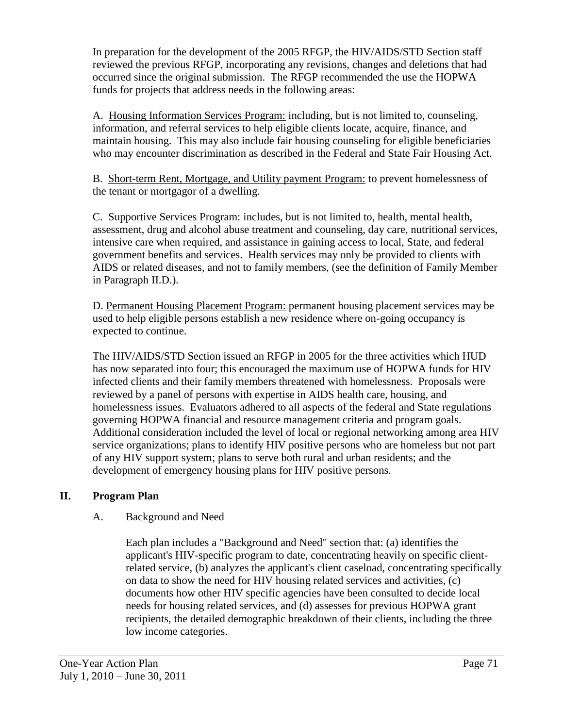In preparation for the development of the 2005 RFGP, the HIV/AIDS/STD Section staff reviewed the previous RFGP, incorporating any revisions, changes and deletions that had occurred since the original submission. The RFGP recommended the use the HOPWA funds for projects that address needs in the following areas:

A. Housing Information Services Program: including, but is not limited to, counseling, information, and referral services to help eligible clients locate, acquire, finance, and maintain housing. This may also include fair housing counseling for eligible beneficiaries who may encounter discrimination as described in the Federal and State Fair Housing Act.

B. Short-term Rent, Mortgage, and Utility payment Program: to prevent homelessness of the tenant or mortgagor of a dwelling.

C. Supportive Services Program: includes, but is not limited to, health, mental health, assessment, drug and alcohol abuse treatment and counseling, day care, nutritional services, intensive care when required, and assistance in gaining access to local, State, and federal government benefits and services. Health services may only be provided to clients with AIDS or related diseases, and not to family members, (see the definition of Family Member in Paragraph II.D.).

D. Permanent Housing Placement Program: permanent housing placement services may be used to help eligible persons establish a new residence where on-going occupancy is expected to continue.

The HIV/AIDS/STD Section issued an RFGP in 2005 for the three activities which HUD has now separated into four; this encouraged the maximum use of HOPWA funds for HIV infected clients and their family members threatened with homelessness. Proposals were reviewed by a panel of persons with expertise in AIDS health care, housing, and homelessness issues. Evaluators adhered to all aspects of the federal and State regulations governing HOPWA financial and resource management criteria and program goals. Additional consideration included the level of local or regional networking among area HIV service organizations; plans to identify HIV positive persons who are homeless but not part of any HIV support system; plans to serve both rural and urban residents; and the development of emergency housing plans for HIV positive persons.

## **II. Program Plan**

## A. Background and Need

Each plan includes a "Background and Need" section that: (a) identifies the applicant's HIV-specific program to date, concentrating heavily on specific clientrelated service, (b) analyzes the applicant's client caseload, concentrating specifically on data to show the need for HIV housing related services and activities, (c) documents how other HIV specific agencies have been consulted to decide local needs for housing related services, and (d) assesses for previous HOPWA grant recipients, the detailed demographic breakdown of their clients, including the three low income categories.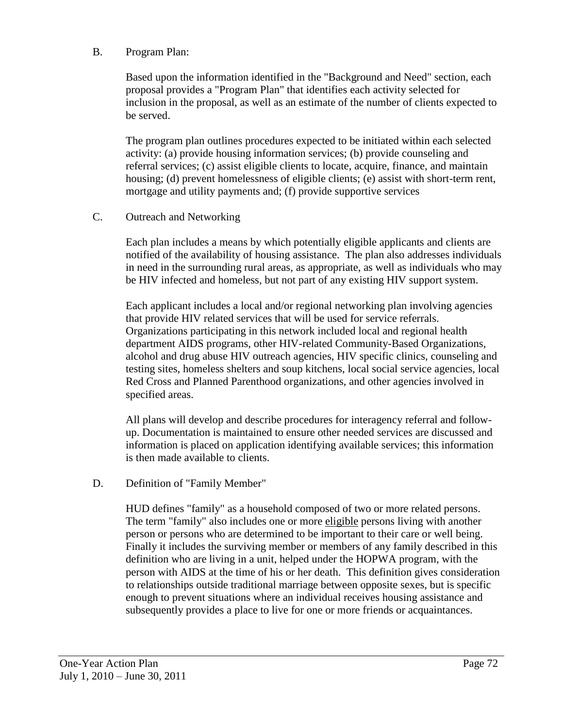#### B. Program Plan:

Based upon the information identified in the "Background and Need" section, each proposal provides a "Program Plan" that identifies each activity selected for inclusion in the proposal, as well as an estimate of the number of clients expected to be served.

The program plan outlines procedures expected to be initiated within each selected activity: (a) provide housing information services; (b) provide counseling and referral services; (c) assist eligible clients to locate, acquire, finance, and maintain housing; (d) prevent homelessness of eligible clients; (e) assist with short-term rent, mortgage and utility payments and; (f) provide supportive services

#### C. Outreach and Networking

Each plan includes a means by which potentially eligible applicants and clients are notified of the availability of housing assistance. The plan also addresses individuals in need in the surrounding rural areas, as appropriate, as well as individuals who may be HIV infected and homeless, but not part of any existing HIV support system.

Each applicant includes a local and/or regional networking plan involving agencies that provide HIV related services that will be used for service referrals. Organizations participating in this network included local and regional health department AIDS programs, other HIV-related Community-Based Organizations, alcohol and drug abuse HIV outreach agencies, HIV specific clinics, counseling and testing sites, homeless shelters and soup kitchens, local social service agencies, local Red Cross and Planned Parenthood organizations, and other agencies involved in specified areas.

All plans will develop and describe procedures for interagency referral and followup. Documentation is maintained to ensure other needed services are discussed and information is placed on application identifying available services; this information is then made available to clients.

#### D. Definition of "Family Member"

HUD defines "family" as a household composed of two or more related persons. The term "family" also includes one or more eligible persons living with another person or persons who are determined to be important to their care or well being. Finally it includes the surviving member or members of any family described in this definition who are living in a unit, helped under the HOPWA program, with the person with AIDS at the time of his or her death. This definition gives consideration to relationships outside traditional marriage between opposite sexes, but is specific enough to prevent situations where an individual receives housing assistance and subsequently provides a place to live for one or more friends or acquaintances.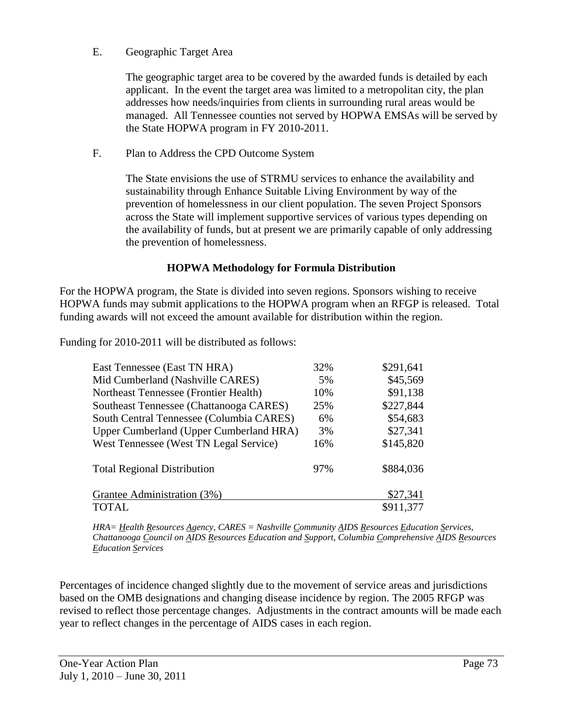#### E. Geographic Target Area

The geographic target area to be covered by the awarded funds is detailed by each applicant. In the event the target area was limited to a metropolitan city, the plan addresses how needs/inquiries from clients in surrounding rural areas would be managed. All Tennessee counties not served by HOPWA EMSAs will be served by the State HOPWA program in FY 2010-2011.

# F. Plan to Address the CPD Outcome System

The State envisions the use of STRMU services to enhance the availability and sustainability through Enhance Suitable Living Environment by way of the prevention of homelessness in our client population. The seven Project Sponsors across the State will implement supportive services of various types depending on the availability of funds, but at present we are primarily capable of only addressing the prevention of homelessness.

# **HOPWA Methodology for Formula Distribution**

For the HOPWA program, the State is divided into seven regions. Sponsors wishing to receive HOPWA funds may submit applications to the HOPWA program when an RFGP is released. Total funding awards will not exceed the amount available for distribution within the region.

Funding for 2010-2011 will be distributed as follows:

| East Tennessee (East TN HRA)             | 32% | \$291,641 |
|------------------------------------------|-----|-----------|
| Mid Cumberland (Nashville CARES)         | 5%  | \$45,569  |
| Northeast Tennessee (Frontier Health)    | 10% | \$91,138  |
| Southeast Tennessee (Chattanooga CARES)  | 25% | \$227,844 |
| South Central Tennessee (Columbia CARES) | 6%  | \$54,683  |
| Upper Cumberland (Upper Cumberland HRA)  | 3%  | \$27,341  |
| West Tennessee (West TN Legal Service)   | 16% | \$145,820 |
| <b>Total Regional Distribution</b>       | 97% | \$884,036 |
| Grantee Administration (3%)              |     | \$27,341  |
| TOTAL                                    |     | \$911,377 |

*HRA= Health Resources Agency, CARES = Nashville Community AIDS Resources Education Services, Chattanooga Council on AIDS Resources Education and Support, Columbia Comprehensive AIDS Resources Education Services*

Percentages of incidence changed slightly due to the movement of service areas and jurisdictions based on the OMB designations and changing disease incidence by region. The 2005 RFGP was revised to reflect those percentage changes. Adjustments in the contract amounts will be made each year to reflect changes in the percentage of AIDS cases in each region.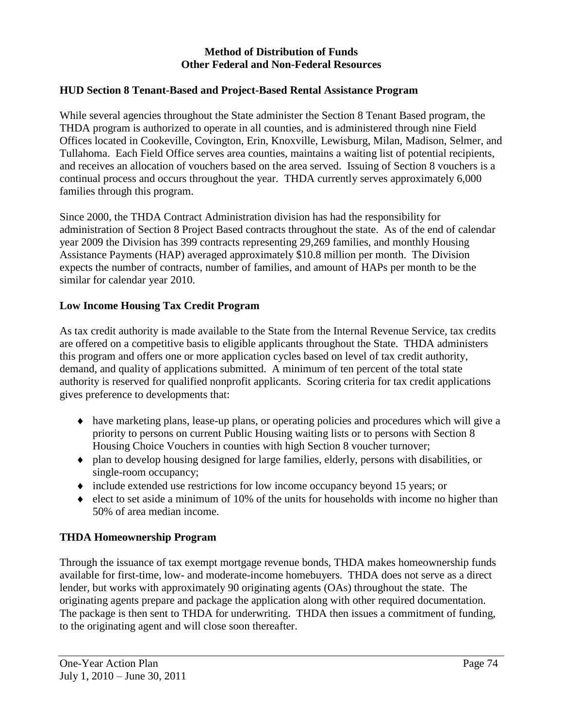#### **Method of Distribution of Funds Other Federal and Non-Federal Resources**

#### **HUD Section 8 Tenant-Based and Project-Based Rental Assistance Program**

While several agencies throughout the State administer the Section 8 Tenant Based program, the THDA program is authorized to operate in all counties, and is administered through nine Field Offices located in Cookeville, Covington, Erin, Knoxville, Lewisburg, Milan, Madison, Selmer, and Tullahoma. Each Field Office serves area counties, maintains a waiting list of potential recipients, and receives an allocation of vouchers based on the area served. Issuing of Section 8 vouchers is a continual process and occurs throughout the year. THDA currently serves approximately 6,000 families through this program.

Since 2000, the THDA Contract Administration division has had the responsibility for administration of Section 8 Project Based contracts throughout the state. As of the end of calendar year 2009 the Division has 399 contracts representing 29,269 families, and monthly Housing Assistance Payments (HAP) averaged approximately \$10.8 million per month. The Division expects the number of contracts, number of families, and amount of HAPs per month to be the similar for calendar year 2010.

#### **Low Income Housing Tax Credit Program**

As tax credit authority is made available to the State from the Internal Revenue Service, tax credits are offered on a competitive basis to eligible applicants throughout the State. THDA administers this program and offers one or more application cycles based on level of tax credit authority, demand, and quality of applications submitted. A minimum of ten percent of the total state authority is reserved for qualified nonprofit applicants. Scoring criteria for tax credit applications gives preference to developments that:

- have marketing plans, lease-up plans, or operating policies and procedures which will give a priority to persons on current Public Housing waiting lists or to persons with Section 8 Housing Choice Vouchers in counties with high Section 8 voucher turnover;
- plan to develop housing designed for large families, elderly, persons with disabilities, or single-room occupancy;
- include extended use restrictions for low income occupancy beyond 15 years; or
- $\bullet$  elect to set aside a minimum of 10% of the units for households with income no higher than 50% of area median income.

#### **THDA Homeownership Program**

Through the issuance of tax exempt mortgage revenue bonds, THDA makes homeownership funds available for first-time, low- and moderate-income homebuyers. THDA does not serve as a direct lender, but works with approximately 90 originating agents (OAs) throughout the state. The originating agents prepare and package the application along with other required documentation. The package is then sent to THDA for underwriting. THDA then issues a commitment of funding, to the originating agent and will close soon thereafter.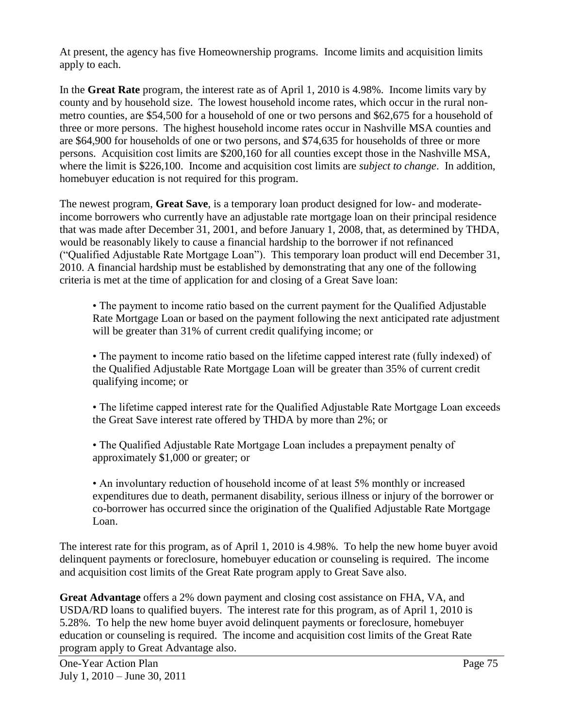At present, the agency has five Homeownership programs. Income limits and acquisition limits apply to each.

In the **Great Rate** program, the interest rate as of April 1, 2010 is 4.98%. Income limits vary by county and by household size. The lowest household income rates, which occur in the rural nonmetro counties, are \$54,500 for a household of one or two persons and \$62,675 for a household of three or more persons. The highest household income rates occur in Nashville MSA counties and are \$64,900 for households of one or two persons, and \$74,635 for households of three or more persons. Acquisition cost limits are \$200,160 for all counties except those in the Nashville MSA, where the limit is \$226,100. Income and acquisition cost limits are *subject to change*. In addition, homebuyer education is not required for this program.

The newest program, **Great Save**, is a temporary loan product designed for low- and moderateincome borrowers who currently have an adjustable rate mortgage loan on their principal residence that was made after December 31, 2001, and before January 1, 2008, that, as determined by THDA, would be reasonably likely to cause a financial hardship to the borrower if not refinanced ("Qualified Adjustable Rate Mortgage Loan"). This temporary loan product will end December 31, 2010. A financial hardship must be established by demonstrating that any one of the following criteria is met at the time of application for and closing of a Great Save loan:

• The payment to income ratio based on the current payment for the Qualified Adjustable Rate Mortgage Loan or based on the payment following the next anticipated rate adjustment will be greater than 31% of current credit qualifying income; or

• The payment to income ratio based on the lifetime capped interest rate (fully indexed) of the Qualified Adjustable Rate Mortgage Loan will be greater than 35% of current credit qualifying income; or

• The lifetime capped interest rate for the Qualified Adjustable Rate Mortgage Loan exceeds the Great Save interest rate offered by THDA by more than 2%; or

• The Qualified Adjustable Rate Mortgage Loan includes a prepayment penalty of approximately \$1,000 or greater; or

• An involuntary reduction of household income of at least 5% monthly or increased expenditures due to death, permanent disability, serious illness or injury of the borrower or co-borrower has occurred since the origination of the Qualified Adjustable Rate Mortgage Loan.

The interest rate for this program, as of April 1, 2010 is 4.98%. To help the new home buyer avoid delinquent payments or foreclosure, homebuyer education or counseling is required. The income and acquisition cost limits of the Great Rate program apply to Great Save also.

**Great Advantage** offers a 2% down payment and closing cost assistance on FHA, VA, and USDA/RD loans to qualified buyers. The interest rate for this program, as of April 1, 2010 is 5.28%. To help the new home buyer avoid delinquent payments or foreclosure, homebuyer education or counseling is required. The income and acquisition cost limits of the Great Rate program apply to Great Advantage also.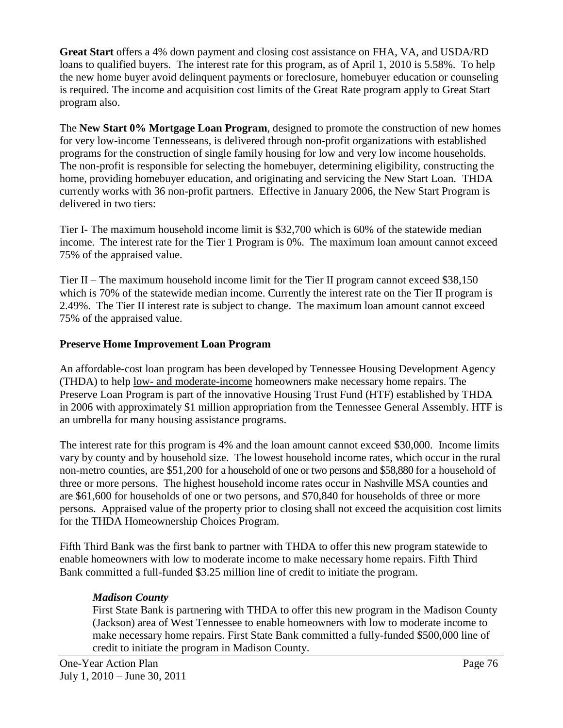**Great Start** offers a 4% down payment and closing cost assistance on FHA, VA, and USDA/RD loans to qualified buyers. The interest rate for this program, as of April 1, 2010 is 5.58%. To help the new home buyer avoid delinquent payments or foreclosure, homebuyer education or counseling is required. The income and acquisition cost limits of the Great Rate program apply to Great Start program also.

The **New Start 0% Mortgage Loan Program**, designed to promote the construction of new homes for very low-income Tennesseans, is delivered through non-profit organizations with established programs for the construction of single family housing for low and very low income households. The non-profit is responsible for selecting the homebuyer, determining eligibility, constructing the home, providing homebuyer education, and originating and servicing the New Start Loan. THDA currently works with 36 non-profit partners. Effective in January 2006, the New Start Program is delivered in two tiers:

Tier I- The maximum household income limit is \$32,700 which is 60% of the statewide median income. The interest rate for the Tier 1 Program is 0%. The maximum loan amount cannot exceed 75% of the appraised value.

Tier II – The maximum household income limit for the Tier II program cannot exceed \$38,150 which is 70% of the statewide median income. Currently the interest rate on the Tier II program is 2.49%. The Tier II interest rate is subject to change. The maximum loan amount cannot exceed 75% of the appraised value.

# **Preserve Home Improvement Loan Program**

An affordable-cost loan program has been developed by Tennessee Housing Development Agency (THDA) to help low- [and moderate-income](http://www.thda.org/singlefamily/acqinc.pdf) homeowners make necessary home repairs. The Preserve Loan Program is part of the innovative Housing Trust Fund (HTF) established by THDA in 2006 with approximately \$1 million appropriation from the Tennessee General Assembly. HTF is an umbrella for many housing assistance programs.

The interest rate for this program is 4% and the loan amount cannot exceed \$30,000. Income limits vary by county and by household size. The lowest household income rates, which occur in the rural non-metro counties, are \$51,200 for a household of one or two persons and \$58,880 for a household of three or more persons. The highest household income rates occur in Nashville MSA counties and are \$61,600 for households of one or two persons, and \$70,840 for households of three or more persons. Appraised value of the property prior to closing shall not exceed the acquisition cost limits for the THDA Homeownership Choices Program.

Fifth Third Bank was the first bank to partner with THDA to offer this new program statewide to enable homeowners with [low to moderate income](http://www.thda.org/singlefamily/acqinc.pdf) to make necessary home repairs. Fifth Third Bank committed a full-funded \$3.25 million line of credit to initiate the program.

#### *Madison County*

First State Bank is partnering with THDA to offer this new program in the Madison County (Jackson) area of West Tennessee to enable homeowners with [low to moderate income](http://www.thda.org/singlefamily/acqinc.pdf) to make necessary home repairs. First State Bank committed a fully-funded \$500,000 line of credit to initiate the program in Madison County.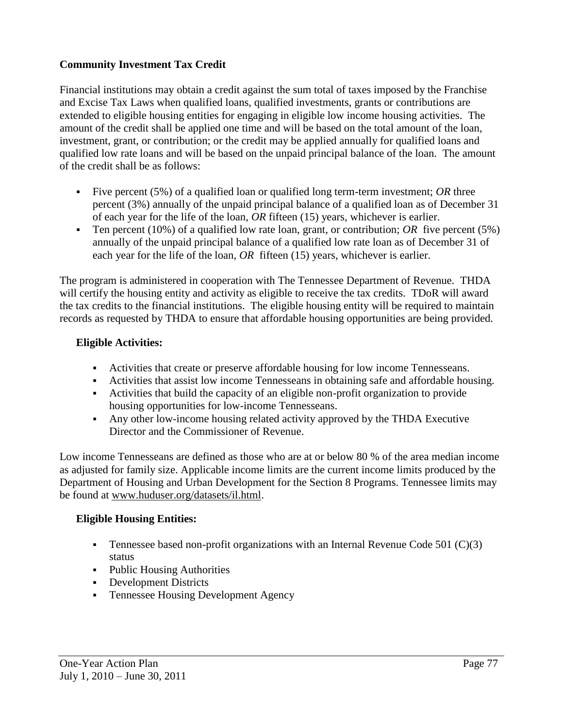# **Community Investment Tax Credit**

Financial institutions may obtain a credit against the sum total of taxes imposed by the Franchise and Excise Tax Laws when qualified loans, qualified investments, grants or contributions are extended to eligible housing entities for engaging in eligible low income housing activities. The amount of the credit shall be applied one time and will be based on the total amount of the loan, investment, grant, or contribution; or the credit may be applied annually for qualified loans and qualified low rate loans and will be based on the unpaid principal balance of the loan. The amount of the credit shall be as follows:

- Five percent (5%) of a qualified loan or qualified long term-term investment; *OR* three percent (3%) annually of the unpaid principal balance of a qualified loan as of December 31 of each year for the life of the loan, *OR* fifteen (15) years, whichever is earlier.
- Ten percent (10%) of a qualified low rate loan, grant, or contribution; *OR* five percent (5%) annually of the unpaid principal balance of a qualified low rate loan as of December 31 of each year for the life of the loan, *OR* fifteen (15) years, whichever is earlier.

The program is administered in cooperation with The Tennessee Department of Revenue. THDA will certify the housing entity and activity as eligible to receive the tax credits. TDoR will award the tax credits to the financial institutions. The eligible housing entity will be required to maintain records as requested by THDA to ensure that affordable housing opportunities are being provided.

# **Eligible Activities:**

- Activities that create or preserve affordable housing for low income Tennesseans.
- Activities that assist low income Tennesseans in obtaining safe and affordable housing.
- Activities that build the capacity of an eligible non-profit organization to provide housing opportunities for low-income Tennesseans.
- Any other low-income housing related activity approved by the THDA Executive Director and the Commissioner of Revenue.

Low income Tennesseans are defined as those who are at or below 80 % of the area median income as adjusted for family size. Applicable income limits are the current income limits produced by the Department of Housing and Urban Development for the Section 8 Programs. Tennessee limits may be found at [www.huduser.org/datasets/il.html.](http://www.huduser.org/datasets/il.html)

#### **Eligible Housing Entities:**

- **Tennessee based non-profit organizations with an Internal Revenue Code 501 (C)(3)** status
- Public Housing Authorities
- Development Districts
- Tennessee Housing Development Agency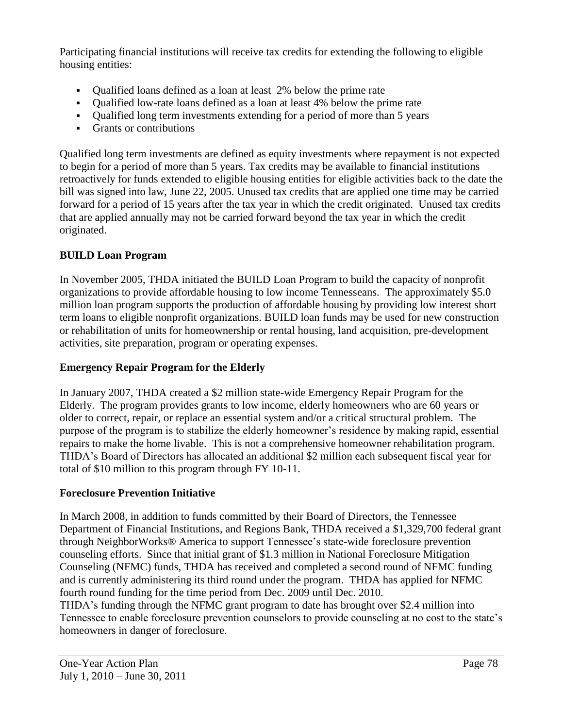Participating financial institutions will receive tax credits for extending the following to eligible housing entities:

- Qualified loans defined as a loan at least 2% below the prime rate
- Qualified low-rate loans defined as a loan at least 4% below the prime rate
- Qualified long term investments extending for a period of more than 5 years
- Grants or contributions

Qualified long term investments are defined as equity investments where repayment is not expected to begin for a period of more than 5 years. Tax credits may be available to financial institutions retroactively for funds extended to eligible housing entities for eligible activities back to the date the bill was signed into law, June 22, 2005. Unused tax credits that are applied one time may be carried forward for a period of 15 years after the tax year in which the credit originated. Unused tax credits that are applied annually may not be carried forward beyond the tax year in which the credit originated.

# **BUILD Loan Program**

In November 2005, THDA initiated the BUILD Loan Program to build the capacity of nonprofit organizations to provide affordable housing to low income Tennesseans. The approximately \$5.0 million loan program supports the production of affordable housing by providing low interest short term loans to eligible nonprofit organizations. BUILD loan funds may be used for new construction or rehabilitation of units for homeownership or rental housing, land acquisition, pre-development activities, site preparation, program or operating expenses.

#### **Emergency Repair Program for the Elderly**

In January 2007, THDA created a \$2 million state-wide Emergency Repair Program for the Elderly. The program provides grants to low income, elderly homeowners who are 60 years or older to correct, repair, or replace an essential system and/or a critical structural problem. The purpose of the program is to stabilize the elderly homeowner's residence by making rapid, essential repairs to make the home livable. This is not a comprehensive homeowner rehabilitation program. THDA's Board of Directors has allocated an additional \$2 million each subsequent fiscal year for total of \$10 million to this program through FY 10-11.

#### **Foreclosure Prevention Initiative**

In March 2008, in addition to funds committed by their Board of Directors, the Tennessee Department of Financial Institutions, and Regions Bank, THDA received a \$1,329,700 federal grant through NeighborWorks® America to support Tennessee's state-wide foreclosure prevention counseling efforts. Since that initial grant of \$1.3 million in National Foreclosure Mitigation Counseling (NFMC) funds, THDA has received and completed a second round of NFMC funding and is currently administering its third round under the program. THDA has applied for NFMC fourth round funding for the time period from Dec. 2009 until Dec. 2010.

THDA's funding through the NFMC grant program to date has brought over \$2.4 million into Tennessee to enable foreclosure prevention counselors to provide counseling at no cost to the state's homeowners in danger of foreclosure.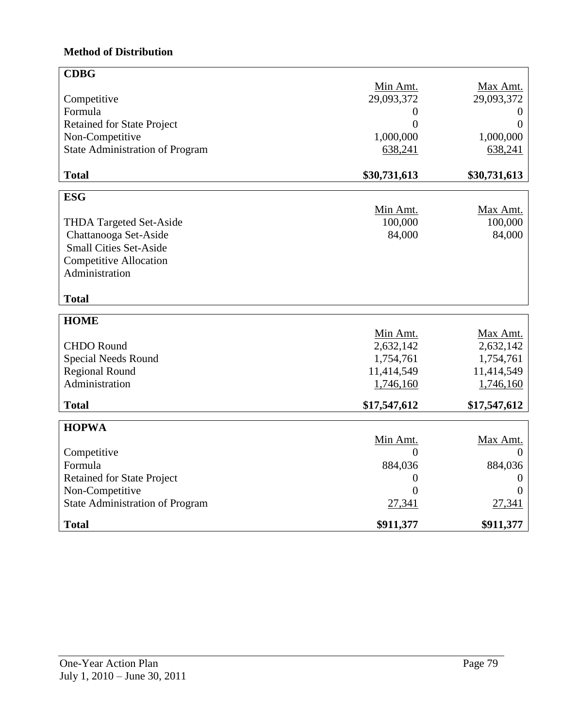# **Method of Distribution**

| <b>CDBG</b>                            |                |              |
|----------------------------------------|----------------|--------------|
|                                        | Min Amt.       | Max Amt.     |
| Competitive                            | 29,093,372     | 29,093,372   |
| Formula                                | 0              | O            |
| Retained for State Project             | 0              | $\theta$     |
| Non-Competitive                        | 1,000,000      | 1,000,000    |
| <b>State Administration of Program</b> | 638,241        | 638,241      |
| <b>Total</b>                           | \$30,731,613   | \$30,731,613 |
| <b>ESG</b>                             |                |              |
|                                        | Min Amt.       | Max Amt.     |
| <b>THDA Targeted Set-Aside</b>         | 100,000        | 100,000      |
| Chattanooga Set-Aside                  | 84,000         | 84,000       |
| <b>Small Cities Set-Aside</b>          |                |              |
| <b>Competitive Allocation</b>          |                |              |
| Administration                         |                |              |
| <b>Total</b>                           |                |              |
| <b>HOME</b>                            |                |              |
|                                        | Min Amt.       | Max Amt.     |
| <b>CHDO</b> Round                      | 2,632,142      | 2,632,142    |
| <b>Special Needs Round</b>             | 1,754,761      | 1,754,761    |
| <b>Regional Round</b>                  | 11,414,549     | 11,414,549   |
| Administration                         | 1,746,160      | 1,746,160    |
| <b>Total</b>                           | \$17,547,612   | \$17,547,612 |
| <b>HOPWA</b>                           |                |              |
|                                        | Min Amt.       | Max Amt.     |
| Competitive                            | $\Omega$       | $\Omega$     |
| Formula                                | 884,036        | 884,036      |
| <b>Retained for State Project</b>      | $\overline{0}$ | $\theta$     |
| Non-Competitive                        | 0              | $\theta$     |
| <b>State Administration of Program</b> | 27,341         | 27,341       |
| <b>Total</b>                           | \$911,377      | \$911,377    |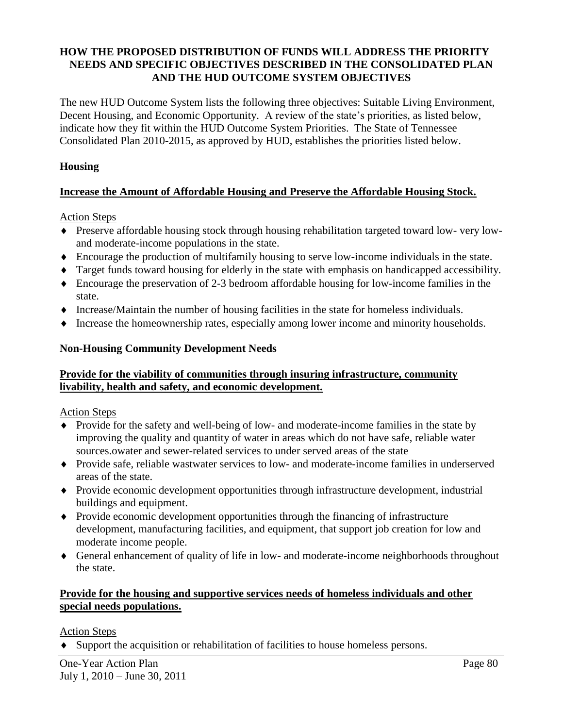# **HOW THE PROPOSED DISTRIBUTION OF FUNDS WILL ADDRESS THE PRIORITY NEEDS AND SPECIFIC OBJECTIVES DESCRIBED IN THE CONSOLIDATED PLAN AND THE HUD OUTCOME SYSTEM OBJECTIVES**

The new HUD Outcome System lists the following three objectives: Suitable Living Environment, Decent Housing, and Economic Opportunity. A review of the state's priorities, as listed below, indicate how they fit within the HUD Outcome System Priorities. The State of Tennessee Consolidated Plan 2010-2015, as approved by HUD, establishes the priorities listed below.

# **Housing**

# **Increase the Amount of Affordable Housing and Preserve the Affordable Housing Stock.**

Action Steps

- Preserve affordable housing stock through housing rehabilitation targeted toward low- very lowand moderate-income populations in the state.
- Encourage the production of multifamily housing to serve low-income individuals in the state.
- Target funds toward housing for elderly in the state with emphasis on handicapped accessibility.
- Encourage the preservation of 2-3 bedroom affordable housing for low-income families in the state.
- $\bullet$  Increase/Maintain the number of housing facilities in the state for homeless individuals.
- Increase the homeownership rates, especially among lower income and minority households.

#### **Non-Housing Community Development Needs**

#### **Provide for the viability of communities through insuring infrastructure, community livability, health and safety, and economic development.**

Action Steps

- Provide for the safety and well-being of low- and moderate-income families in the state by improving the quality and quantity of water in areas which do not have safe, reliable water sources.owater and sewer-related services to under served areas of the state
- Provide safe, reliable wastwater services to low- and moderate-income families in underserved areas of the state.
- Provide economic development opportunities through infrastructure development, industrial buildings and equipment.
- Provide economic development opportunities through the financing of infrastructure development, manufacturing facilities, and equipment, that support job creation for low and moderate income people.
- General enhancement of quality of life in low- and moderate-income neighborhoods throughout the state.

# **Provide for the housing and supportive services needs of homeless individuals and other special needs populations.**

#### Action Steps

Support the acquisition or rehabilitation of facilities to house homeless persons.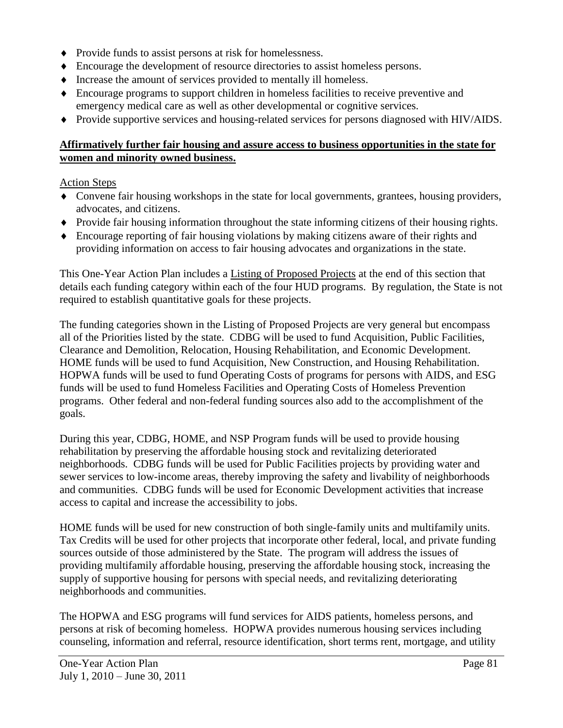- Provide funds to assist persons at risk for homelessness.
- Encourage the development of resource directories to assist homeless persons.
- $\bullet$  Increase the amount of services provided to mentally ill homeless.
- Encourage programs to support children in homeless facilities to receive preventive and emergency medical care as well as other developmental or cognitive services.
- Provide supportive services and housing-related services for persons diagnosed with HIV/AIDS.

# **Affirmatively further fair housing and assure access to business opportunities in the state for women and minority owned business.**

#### Action Steps

- Convene fair housing workshops in the state for local governments, grantees, housing providers, advocates, and citizens.
- Provide fair housing information throughout the state informing citizens of their housing rights.
- Encourage reporting of fair housing violations by making citizens aware of their rights and providing information on access to fair housing advocates and organizations in the state.

This One-Year Action Plan includes a Listing of Proposed Projects at the end of this section that details each funding category within each of the four HUD programs. By regulation, the State is not required to establish quantitative goals for these projects.

The funding categories shown in the Listing of Proposed Projects are very general but encompass all of the Priorities listed by the state. CDBG will be used to fund Acquisition, Public Facilities, Clearance and Demolition, Relocation, Housing Rehabilitation, and Economic Development. HOME funds will be used to fund Acquisition, New Construction, and Housing Rehabilitation. HOPWA funds will be used to fund Operating Costs of programs for persons with AIDS, and ESG funds will be used to fund Homeless Facilities and Operating Costs of Homeless Prevention programs. Other federal and non-federal funding sources also add to the accomplishment of the goals.

During this year, CDBG, HOME, and NSP Program funds will be used to provide housing rehabilitation by preserving the affordable housing stock and revitalizing deteriorated neighborhoods. CDBG funds will be used for Public Facilities projects by providing water and sewer services to low-income areas, thereby improving the safety and livability of neighborhoods and communities. CDBG funds will be used for Economic Development activities that increase access to capital and increase the accessibility to jobs.

HOME funds will be used for new construction of both single-family units and multifamily units. Tax Credits will be used for other projects that incorporate other federal, local, and private funding sources outside of those administered by the State. The program will address the issues of providing multifamily affordable housing, preserving the affordable housing stock, increasing the supply of supportive housing for persons with special needs, and revitalizing deteriorating neighborhoods and communities.

The HOPWA and ESG programs will fund services for AIDS patients, homeless persons, and persons at risk of becoming homeless. HOPWA provides numerous housing services including counseling, information and referral, resource identification, short terms rent, mortgage, and utility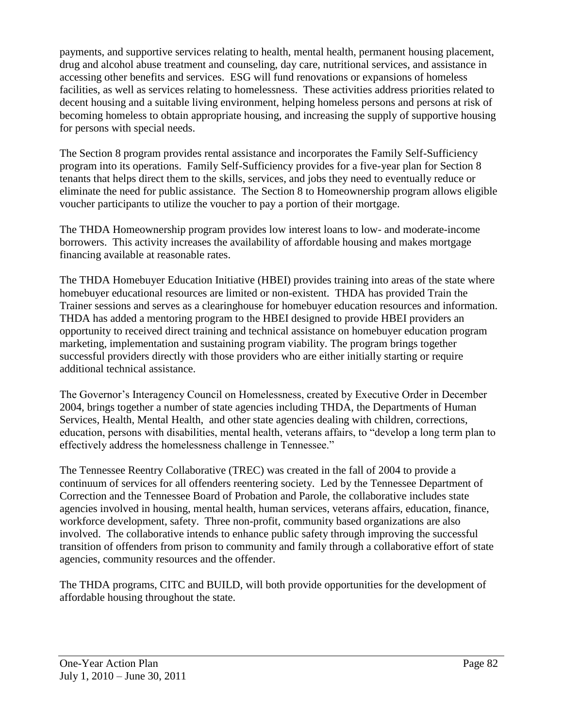payments, and supportive services relating to health, mental health, permanent housing placement, drug and alcohol abuse treatment and counseling, day care, nutritional services, and assistance in accessing other benefits and services. ESG will fund renovations or expansions of homeless facilities, as well as services relating to homelessness. These activities address priorities related to decent housing and a suitable living environment, helping homeless persons and persons at risk of becoming homeless to obtain appropriate housing, and increasing the supply of supportive housing for persons with special needs.

The Section 8 program provides rental assistance and incorporates the Family Self-Sufficiency program into its operations. Family Self-Sufficiency provides for a five-year plan for Section 8 tenants that helps direct them to the skills, services, and jobs they need to eventually reduce or eliminate the need for public assistance. The Section 8 to Homeownership program allows eligible voucher participants to utilize the voucher to pay a portion of their mortgage.

The THDA Homeownership program provides low interest loans to low- and moderate-income borrowers. This activity increases the availability of affordable housing and makes mortgage financing available at reasonable rates.

The THDA Homebuyer Education Initiative (HBEI) provides training into areas of the state where homebuyer educational resources are limited or non-existent. THDA has provided Train the Trainer sessions and serves as a clearinghouse for homebuyer education resources and information. THDA has added a mentoring program to the HBEI designed to provide HBEI providers an opportunity to received direct training and technical assistance on homebuyer education program marketing, implementation and sustaining program viability. The program brings together successful providers directly with those providers who are either initially starting or require additional technical assistance.

The Governor's Interagency Council on Homelessness, created by Executive Order in December 2004, brings together a number of state agencies including THDA, the Departments of Human Services, Health, Mental Health, and other state agencies dealing with children, corrections, education, persons with disabilities, mental health, veterans affairs, to "develop a long term plan to effectively address the homelessness challenge in Tennessee."

The Tennessee Reentry Collaborative (TREC) was created in the fall of 2004 to provide a continuum of services for all offenders reentering society. Led by the Tennessee Department of Correction and the Tennessee Board of Probation and Parole, the collaborative includes state agencies involved in housing, mental health, human services, veterans affairs, education, finance, workforce development, safety. Three non-profit, community based organizations are also involved. The collaborative intends to enhance public safety through improving the successful transition of offenders from prison to community and family through a collaborative effort of state agencies, community resources and the offender.

The THDA programs, CITC and BUILD, will both provide opportunities for the development of affordable housing throughout the state.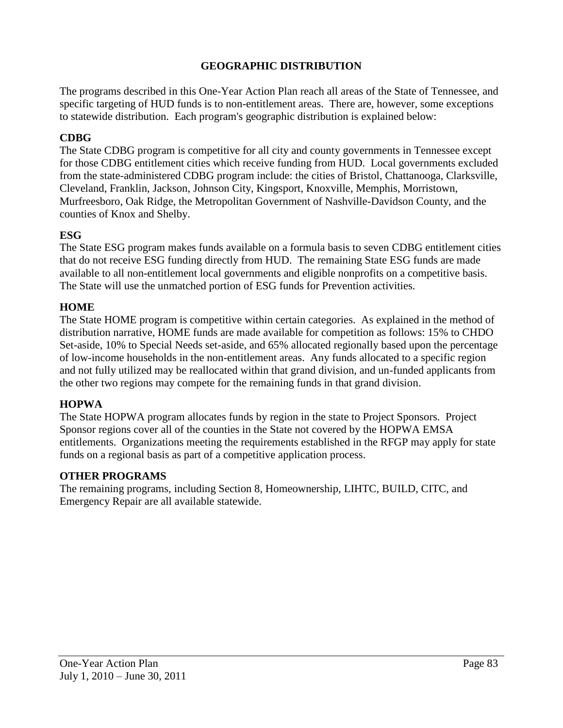# **GEOGRAPHIC DISTRIBUTION**

The programs described in this One-Year Action Plan reach all areas of the State of Tennessee, and specific targeting of HUD funds is to non-entitlement areas. There are, however, some exceptions to statewide distribution. Each program's geographic distribution is explained below:

#### **CDBG**

The State CDBG program is competitive for all city and county governments in Tennessee except for those CDBG entitlement cities which receive funding from HUD. Local governments excluded from the state-administered CDBG program include: the cities of Bristol, Chattanooga, Clarksville, Cleveland, Franklin, Jackson, Johnson City, Kingsport, Knoxville, Memphis, Morristown, Murfreesboro, Oak Ridge, the Metropolitan Government of Nashville-Davidson County, and the counties of Knox and Shelby.

#### **ESG**

The State ESG program makes funds available on a formula basis to seven CDBG entitlement cities that do not receive ESG funding directly from HUD. The remaining State ESG funds are made available to all non-entitlement local governments and eligible nonprofits on a competitive basis. The State will use the unmatched portion of ESG funds for Prevention activities.

#### **HOME**

The State HOME program is competitive within certain categories. As explained in the method of distribution narrative, HOME funds are made available for competition as follows: 15% to CHDO Set-aside, 10% to Special Needs set-aside, and 65% allocated regionally based upon the percentage of low-income households in the non-entitlement areas. Any funds allocated to a specific region and not fully utilized may be reallocated within that grand division, and un-funded applicants from the other two regions may compete for the remaining funds in that grand division.

#### **HOPWA**

The State HOPWA program allocates funds by region in the state to Project Sponsors. Project Sponsor regions cover all of the counties in the State not covered by the HOPWA EMSA entitlements. Organizations meeting the requirements established in the RFGP may apply for state funds on a regional basis as part of a competitive application process.

#### **OTHER PROGRAMS**

The remaining programs, including Section 8, Homeownership, LIHTC, BUILD, CITC, and Emergency Repair are all available statewide.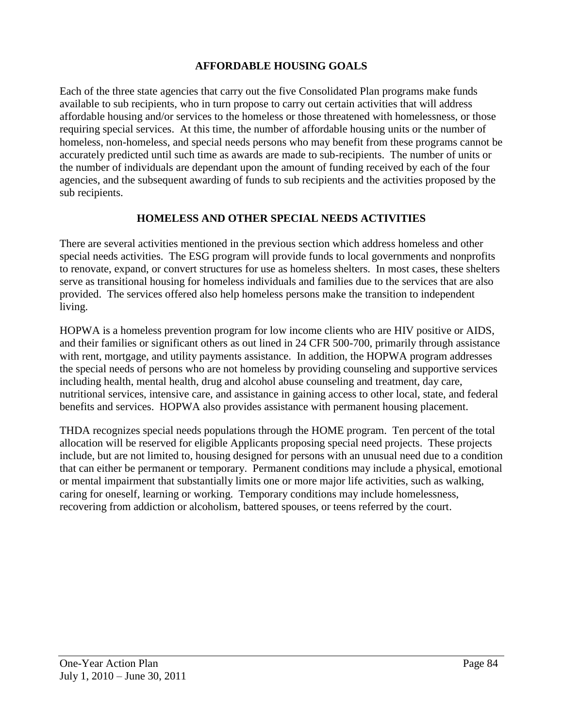# **AFFORDABLE HOUSING GOALS**

Each of the three state agencies that carry out the five Consolidated Plan programs make funds available to sub recipients, who in turn propose to carry out certain activities that will address affordable housing and/or services to the homeless or those threatened with homelessness, or those requiring special services. At this time, the number of affordable housing units or the number of homeless, non-homeless, and special needs persons who may benefit from these programs cannot be accurately predicted until such time as awards are made to sub-recipients. The number of units or the number of individuals are dependant upon the amount of funding received by each of the four agencies, and the subsequent awarding of funds to sub recipients and the activities proposed by the sub recipients.

#### **HOMELESS AND OTHER SPECIAL NEEDS ACTIVITIES**

There are several activities mentioned in the previous section which address homeless and other special needs activities. The ESG program will provide funds to local governments and nonprofits to renovate, expand, or convert structures for use as homeless shelters. In most cases, these shelters serve as transitional housing for homeless individuals and families due to the services that are also provided. The services offered also help homeless persons make the transition to independent living.

HOPWA is a homeless prevention program for low income clients who are HIV positive or AIDS, and their families or significant others as out lined in 24 CFR 500-700, primarily through assistance with rent, mortgage, and utility payments assistance. In addition, the HOPWA program addresses the special needs of persons who are not homeless by providing counseling and supportive services including health, mental health, drug and alcohol abuse counseling and treatment, day care, nutritional services, intensive care, and assistance in gaining access to other local, state, and federal benefits and services. HOPWA also provides assistance with permanent housing placement.

THDA recognizes special needs populations through the HOME program. Ten percent of the total allocation will be reserved for eligible Applicants proposing special need projects. These projects include, but are not limited to, housing designed for persons with an unusual need due to a condition that can either be permanent or temporary. Permanent conditions may include a physical, emotional or mental impairment that substantially limits one or more major life activities, such as walking, caring for oneself, learning or working. Temporary conditions may include homelessness, recovering from addiction or alcoholism, battered spouses, or teens referred by the court.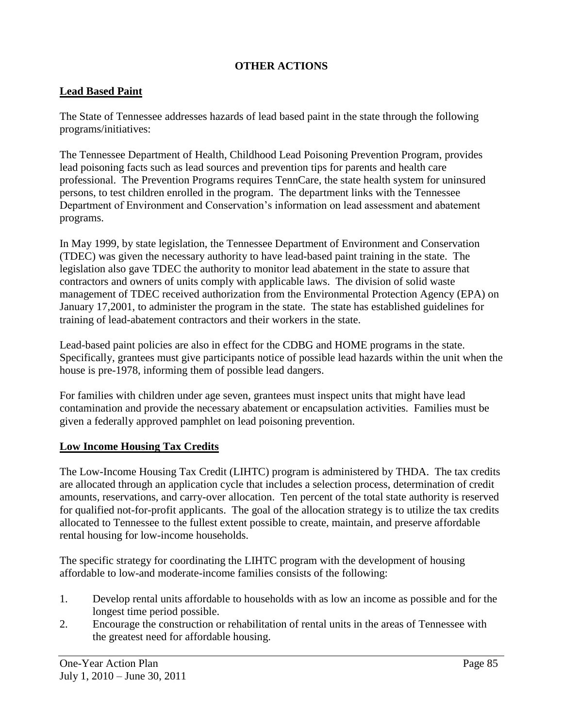# **OTHER ACTIONS**

#### **Lead Based Paint**

The State of Tennessee addresses hazards of lead based paint in the state through the following programs/initiatives:

The Tennessee Department of Health, Childhood Lead Poisoning Prevention Program, provides lead poisoning facts such as lead sources and prevention tips for parents and health care professional. The Prevention Programs requires TennCare, the state health system for uninsured persons, to test children enrolled in the program. The department links with the Tennessee Department of Environment and Conservation's information on lead assessment and abatement programs.

In May 1999, by state legislation, the Tennessee Department of Environment and Conservation (TDEC) was given the necessary authority to have lead-based paint training in the state. The legislation also gave TDEC the authority to monitor lead abatement in the state to assure that contractors and owners of units comply with applicable laws. The division of solid waste management of TDEC received authorization from the Environmental Protection Agency (EPA) on January 17,2001, to administer the program in the state. The state has established guidelines for training of lead-abatement contractors and their workers in the state.

Lead-based paint policies are also in effect for the CDBG and HOME programs in the state. Specifically, grantees must give participants notice of possible lead hazards within the unit when the house is pre-1978, informing them of possible lead dangers.

For families with children under age seven, grantees must inspect units that might have lead contamination and provide the necessary abatement or encapsulation activities. Families must be given a federally approved pamphlet on lead poisoning prevention.

#### **Low Income Housing Tax Credits**

The Low-Income Housing Tax Credit (LIHTC) program is administered by THDA. The tax credits are allocated through an application cycle that includes a selection process, determination of credit amounts, reservations, and carry-over allocation. Ten percent of the total state authority is reserved for qualified not-for-profit applicants. The goal of the allocation strategy is to utilize the tax credits allocated to Tennessee to the fullest extent possible to create, maintain, and preserve affordable rental housing for low-income households.

The specific strategy for coordinating the LIHTC program with the development of housing affordable to low-and moderate-income families consists of the following:

- 1. Develop rental units affordable to households with as low an income as possible and for the longest time period possible.
- 2. Encourage the construction or rehabilitation of rental units in the areas of Tennessee with the greatest need for affordable housing.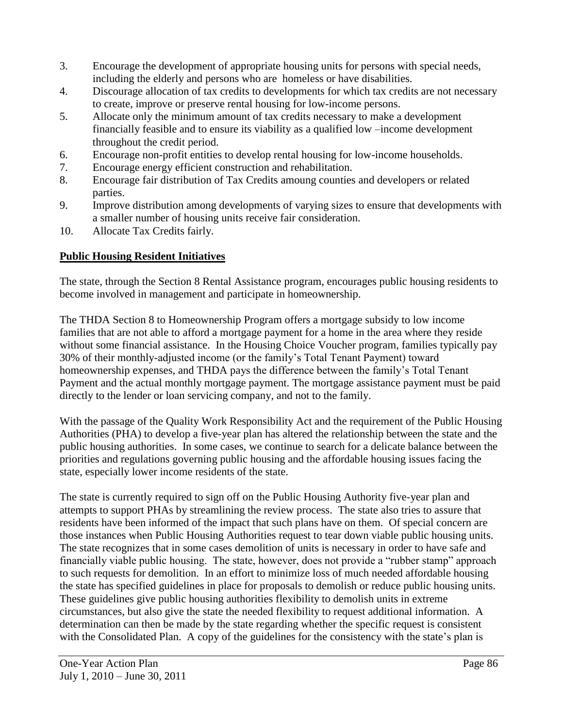- 3. Encourage the development of appropriate housing units for persons with special needs, including the elderly and persons who are homeless or have disabilities.
- 4. Discourage allocation of tax credits to developments for which tax credits are not necessary to create, improve or preserve rental housing for low-income persons.
- 5. Allocate only the minimum amount of tax credits necessary to make a development financially feasible and to ensure its viability as a qualified low –income development throughout the credit period.
- 6. Encourage non-profit entities to develop rental housing for low-income households.
- 7. Encourage energy efficient construction and rehabilitation.
- 8. Encourage fair distribution of Tax Credits amoung counties and developers or related parties.
- 9. Improve distribution among developments of varying sizes to ensure that developments with a smaller number of housing units receive fair consideration.
- 10. Allocate Tax Credits fairly.

# **Public Housing Resident Initiatives**

The state, through the Section 8 Rental Assistance program, encourages public housing residents to become involved in management and participate in homeownership.

The THDA Section 8 to Homeownership Program offers a mortgage subsidy to low income families that are not able to afford a mortgage payment for a home in the area where they reside without some financial assistance. In the Housing Choice Voucher program, families typically pay 30% of their monthly-adjusted income (or the family's Total Tenant Payment) toward homeownership expenses, and THDA pays the difference between the family's Total Tenant Payment and the actual monthly mortgage payment. The mortgage assistance payment must be paid directly to the lender or loan servicing company, and not to the family.

With the passage of the Quality Work Responsibility Act and the requirement of the Public Housing Authorities (PHA) to develop a five-year plan has altered the relationship between the state and the public housing authorities. In some cases, we continue to search for a delicate balance between the priorities and regulations governing public housing and the affordable housing issues facing the state, especially lower income residents of the state.

The state is currently required to sign off on the Public Housing Authority five-year plan and attempts to support PHAs by streamlining the review process. The state also tries to assure that residents have been informed of the impact that such plans have on them. Of special concern are those instances when Public Housing Authorities request to tear down viable public housing units. The state recognizes that in some cases demolition of units is necessary in order to have safe and financially viable public housing. The state, however, does not provide a "rubber stamp" approach to such requests for demolition. In an effort to minimize loss of much needed affordable housing the state has specified guidelines in place for proposals to demolish or reduce public housing units. These guidelines give public housing authorities flexibility to demolish units in extreme circumstances, but also give the state the needed flexibility to request additional information. A determination can then be made by the state regarding whether the specific request is consistent with the Consolidated Plan. A copy of the guidelines for the consistency with the state's plan is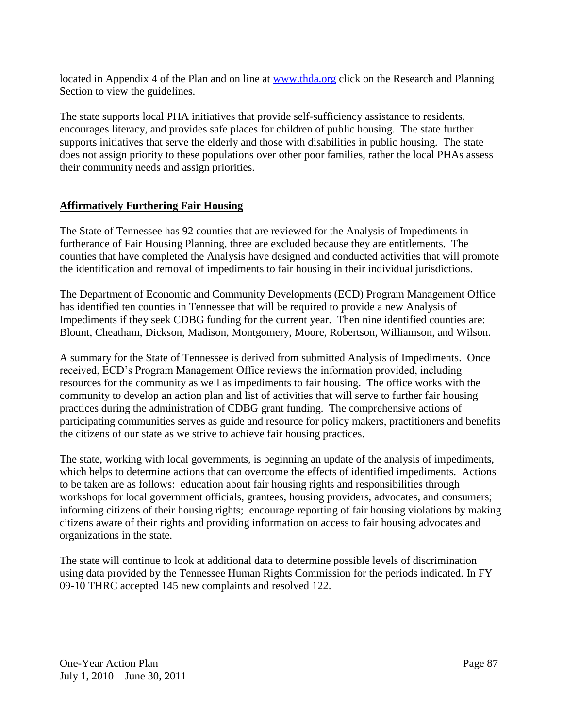located in Appendix 4 of the Plan and on line at [www.thda.org](http://www.thda.org/) click on the Research and Planning Section to view the guidelines.

The state supports local PHA initiatives that provide self-sufficiency assistance to residents, encourages literacy, and provides safe places for children of public housing. The state further supports initiatives that serve the elderly and those with disabilities in public housing. The state does not assign priority to these populations over other poor families, rather the local PHAs assess their community needs and assign priorities.

# **Affirmatively Furthering Fair Housing**

The State of Tennessee has 92 counties that are reviewed for the Analysis of Impediments in furtherance of Fair Housing Planning, three are excluded because they are entitlements. The counties that have completed the Analysis have designed and conducted activities that will promote the identification and removal of impediments to fair housing in their individual jurisdictions.

The Department of Economic and Community Developments (ECD) Program Management Office has identified ten counties in Tennessee that will be required to provide a new Analysis of Impediments if they seek CDBG funding for the current year. Then nine identified counties are: Blount, Cheatham, Dickson, Madison, Montgomery, Moore, Robertson, Williamson, and Wilson.

A summary for the State of Tennessee is derived from submitted Analysis of Impediments. Once received, ECD's Program Management Office reviews the information provided, including resources for the community as well as impediments to fair housing. The office works with the community to develop an action plan and list of activities that will serve to further fair housing practices during the administration of CDBG grant funding. The comprehensive actions of participating communities serves as guide and resource for policy makers, practitioners and benefits the citizens of our state as we strive to achieve fair housing practices.

The state, working with local governments, is beginning an update of the analysis of impediments, which helps to determine actions that can overcome the effects of identified impediments. Actions to be taken are as follows: education about fair housing rights and responsibilities through workshops for local government officials, grantees, housing providers, advocates, and consumers; informing citizens of their housing rights; encourage reporting of fair housing violations by making citizens aware of their rights and providing information on access to fair housing advocates and organizations in the state.

The state will continue to look at additional data to determine possible levels of discrimination using data provided by the Tennessee Human Rights Commission for the periods indicated. In FY 09-10 THRC accepted 145 new complaints and resolved 122.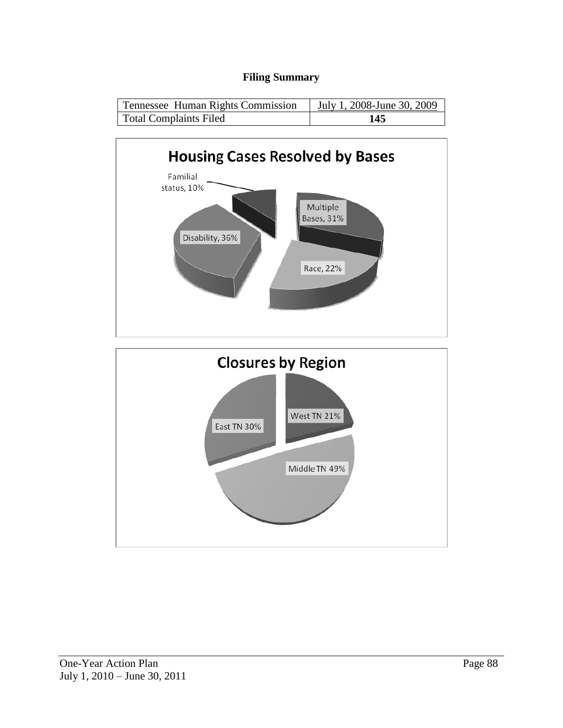# **Filing Summary**

| Tennessee Human Rights Commission | July 1, 2008-June 30, 2009 |
|-----------------------------------|----------------------------|
| Total Complaints Filed            | 145                        |

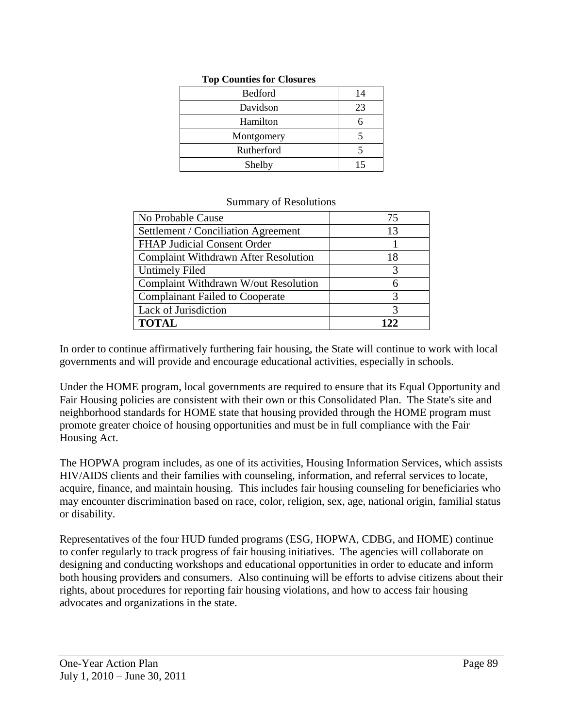| <b>Bedford</b> | 14 |
|----------------|----|
| Davidson       | 23 |
| Hamilton       |    |
| Montgomery     |    |
| Rutherford     |    |
| Shelby         | 15 |

#### **Top Counties for Closures**

#### Summary of Resolutions

| No Probable Cause                           | 75  |
|---------------------------------------------|-----|
| Settlement / Conciliation Agreement         | 13  |
| <b>FHAP Judicial Consent Order</b>          |     |
| <b>Complaint Withdrawn After Resolution</b> | 18  |
| <b>Untimely Filed</b>                       | 3   |
| Complaint Withdrawn W/out Resolution        | 6   |
| <b>Complainant Failed to Cooperate</b>      | 3   |
| Lack of Jurisdiction                        | 3   |
| <b>TOTAL</b>                                | 122 |

In order to continue affirmatively furthering fair housing, the State will continue to work with local governments and will provide and encourage educational activities, especially in schools.

Under the HOME program, local governments are required to ensure that its Equal Opportunity and Fair Housing policies are consistent with their own or this Consolidated Plan. The State's site and neighborhood standards for HOME state that housing provided through the HOME program must promote greater choice of housing opportunities and must be in full compliance with the Fair Housing Act.

The HOPWA program includes, as one of its activities, Housing Information Services, which assists HIV/AIDS clients and their families with counseling, information, and referral services to locate, acquire, finance, and maintain housing. This includes fair housing counseling for beneficiaries who may encounter discrimination based on race, color, religion, sex, age, national origin, familial status or disability.

Representatives of the four HUD funded programs (ESG, HOPWA, CDBG, and HOME) continue to confer regularly to track progress of fair housing initiatives. The agencies will collaborate on designing and conducting workshops and educational opportunities in order to educate and inform both housing providers and consumers. Also continuing will be efforts to advise citizens about their rights, about procedures for reporting fair housing violations, and how to access fair housing advocates and organizations in the state.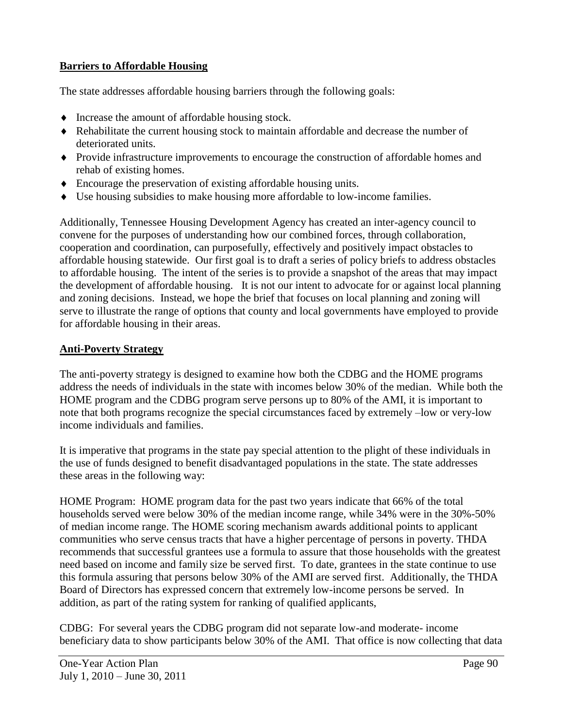# **Barriers to Affordable Housing**

The state addresses affordable housing barriers through the following goals:

- Increase the amount of affordable housing stock.
- Rehabilitate the current housing stock to maintain affordable and decrease the number of deteriorated units.
- Provide infrastructure improvements to encourage the construction of affordable homes and rehab of existing homes.
- Encourage the preservation of existing affordable housing units.
- Use housing subsidies to make housing more affordable to low-income families.

Additionally, Tennessee Housing Development Agency has created an inter-agency council to convene for the purposes of understanding how our combined forces, through collaboration, cooperation and coordination, can purposefully, effectively and positively impact obstacles to affordable housing statewide. Our first goal is to draft a series of policy briefs to address obstacles to affordable housing. The intent of the series is to provide a snapshot of the areas that may impact the development of affordable housing. It is not our intent to advocate for or against local planning and zoning decisions. Instead, we hope the brief that focuses on local planning and zoning will serve to illustrate the range of options that county and local governments have employed to provide for affordable housing in their areas.

# **Anti-Poverty Strategy**

The anti-poverty strategy is designed to examine how both the CDBG and the HOME programs address the needs of individuals in the state with incomes below 30% of the median. While both the HOME program and the CDBG program serve persons up to 80% of the AMI, it is important to note that both programs recognize the special circumstances faced by extremely –low or very-low income individuals and families.

It is imperative that programs in the state pay special attention to the plight of these individuals in the use of funds designed to benefit disadvantaged populations in the state. The state addresses these areas in the following way:

HOME Program: HOME program data for the past two years indicate that 66% of the total households served were below 30% of the median income range, while 34% were in the 30%-50% of median income range. The HOME scoring mechanism awards additional points to applicant communities who serve census tracts that have a higher percentage of persons in poverty. THDA recommends that successful grantees use a formula to assure that those households with the greatest need based on income and family size be served first. To date, grantees in the state continue to use this formula assuring that persons below 30% of the AMI are served first. Additionally, the THDA Board of Directors has expressed concern that extremely low-income persons be served. In addition, as part of the rating system for ranking of qualified applicants,

CDBG: For several years the CDBG program did not separate low-and moderate- income beneficiary data to show participants below 30% of the AMI. That office is now collecting that data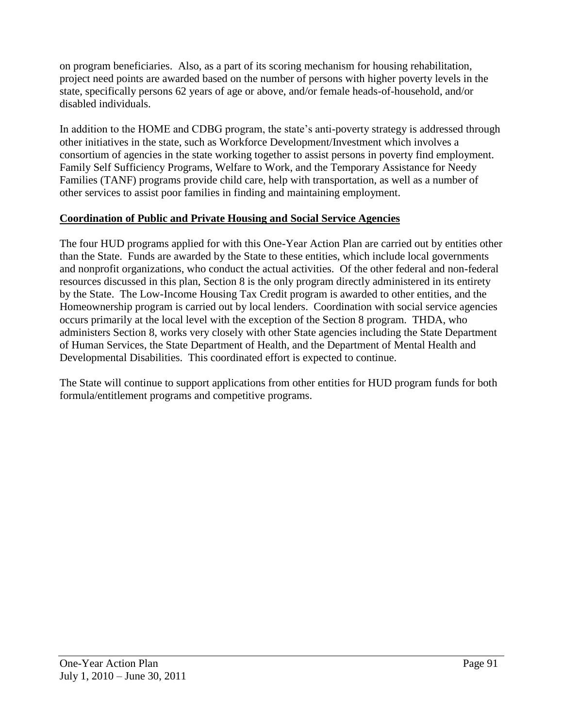on program beneficiaries. Also, as a part of its scoring mechanism for housing rehabilitation, project need points are awarded based on the number of persons with higher poverty levels in the state, specifically persons 62 years of age or above, and/or female heads-of-household, and/or disabled individuals.

In addition to the HOME and CDBG program, the state's anti-poverty strategy is addressed through other initiatives in the state, such as Workforce Development/Investment which involves a consortium of agencies in the state working together to assist persons in poverty find employment. Family Self Sufficiency Programs, Welfare to Work, and the Temporary Assistance for Needy Families (TANF) programs provide child care, help with transportation, as well as a number of other services to assist poor families in finding and maintaining employment.

# **Coordination of Public and Private Housing and Social Service Agencies**

The four HUD programs applied for with this One-Year Action Plan are carried out by entities other than the State. Funds are awarded by the State to these entities, which include local governments and nonprofit organizations, who conduct the actual activities. Of the other federal and non-federal resources discussed in this plan, Section 8 is the only program directly administered in its entirety by the State. The Low-Income Housing Tax Credit program is awarded to other entities, and the Homeownership program is carried out by local lenders. Coordination with social service agencies occurs primarily at the local level with the exception of the Section 8 program. THDA, who administers Section 8, works very closely with other State agencies including the State Department of Human Services, the State Department of Health, and the Department of Mental Health and Developmental Disabilities. This coordinated effort is expected to continue.

The State will continue to support applications from other entities for HUD program funds for both formula/entitlement programs and competitive programs.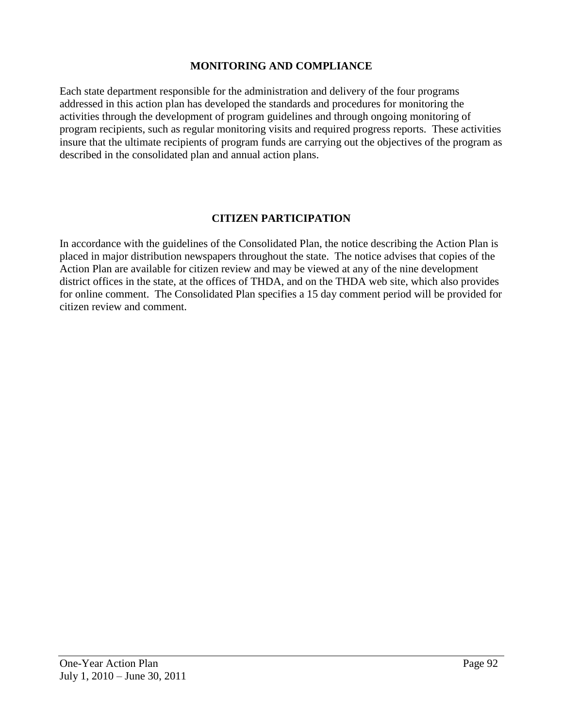#### **MONITORING AND COMPLIANCE**

Each state department responsible for the administration and delivery of the four programs addressed in this action plan has developed the standards and procedures for monitoring the activities through the development of program guidelines and through ongoing monitoring of program recipients, such as regular monitoring visits and required progress reports. These activities insure that the ultimate recipients of program funds are carrying out the objectives of the program as described in the consolidated plan and annual action plans.

#### **CITIZEN PARTICIPATION**

In accordance with the guidelines of the Consolidated Plan, the notice describing the Action Plan is placed in major distribution newspapers throughout the state. The notice advises that copies of the Action Plan are available for citizen review and may be viewed at any of the nine development district offices in the state, at the offices of THDA, and on the THDA web site, which also provides for online comment. The Consolidated Plan specifies a 15 day comment period will be provided for citizen review and comment.